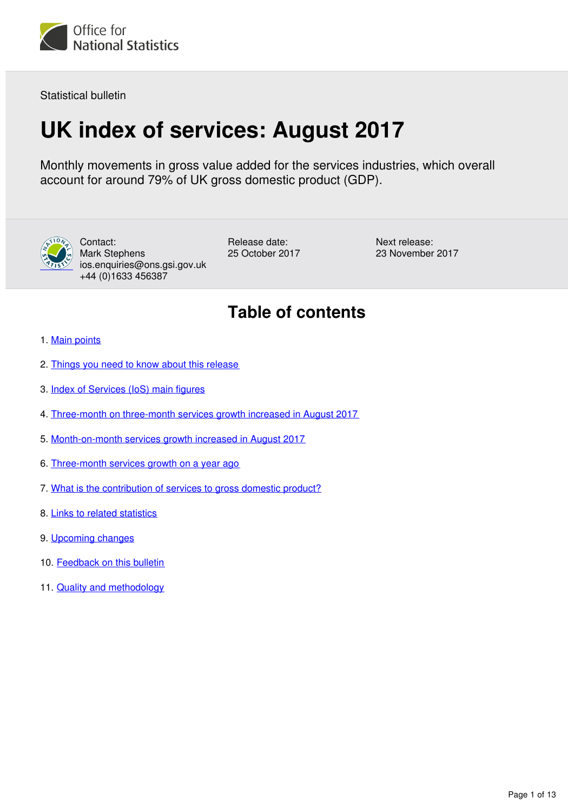

Statistical bulletin

# **UK index of services: August 2017**

Monthly movements in gross value added for the services industries, which overall account for around 79% of UK gross domestic product (GDP).



Contact: Mark Stephens ios.enquiries@ons.gsi.gov.uk +44 (0)1633 456387

Release date: 25 October 2017 Next release: 23 November 2017

# **Table of contents**

- 1. [Main points](#page-1-0)
- 2. [Things you need to know about this release](#page-1-1)
- 3. [Index of Services \(IoS\) main figures](#page-2-0)
- 4. [Three-month on three-month services growth increased in August 2017](#page-3-0)
- 5. [Month-on-month services growth increased in August 2017](#page-5-0)
- 6. [Three-month services growth on a year ago](#page-8-0)
- 7. [What is the contribution of services to gross domestic product?](#page-10-0)
- 8. [Links to related statistics](#page-10-1)
- 9. [Upcoming changes](#page-11-0)
- 10. [Feedback on this bulletin](#page-11-1)
- 11. [Quality and methodology](#page-11-2)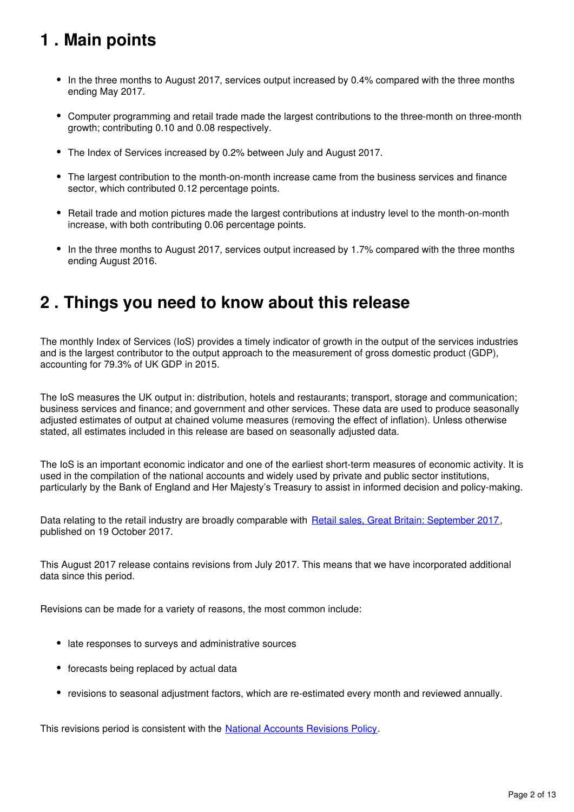# <span id="page-1-0"></span>**1 . Main points**

- In the three months to August 2017, services output increased by 0.4% compared with the three months ending May 2017.
- Computer programming and retail trade made the largest contributions to the three-month on three-month growth; contributing 0.10 and 0.08 respectively.
- The Index of Services increased by 0.2% between July and August 2017.
- The largest contribution to the month-on-month increase came from the business services and finance sector, which contributed 0.12 percentage points.
- Retail trade and motion pictures made the largest contributions at industry level to the month-on-month increase, with both contributing 0.06 percentage points.
- In the three months to August 2017, services output increased by 1.7% compared with the three months ending August 2016.

# <span id="page-1-1"></span>**2 . Things you need to know about this release**

The monthly Index of Services (IoS) provides a timely indicator of growth in the output of the services industries and is the largest contributor to the output approach to the measurement of gross domestic product (GDP), accounting for 79.3% of UK GDP in 2015.

The IoS measures the UK output in: distribution, hotels and restaurants; transport, storage and communication; business services and finance; and government and other services. These data are used to produce seasonally adjusted estimates of output at chained volume measures (removing the effect of inflation). Unless otherwise stated, all estimates included in this release are based on seasonally adjusted data.

The IoS is an important economic indicator and one of the earliest short-term measures of economic activity. It is used in the compilation of the national accounts and widely used by private and public sector institutions, particularly by the Bank of England and Her Majesty's Treasury to assist in informed decision and policy-making.

Data relating to the retail industry are broadly comparable with [Retail sales, Great Britain: September 2017,](https://www.ons.gov.uk/businessindustryandtrade/retailindustry/bulletins/retailsales/september2017) published on 19 October 2017.

This August 2017 release contains revisions from July 2017. This means that we have incorporated additional data since this period.

Revisions can be made for a variety of reasons, the most common include:

- late responses to surveys and administrative sources
- forecasts being replaced by actual data
- revisions to seasonal adjustment factors, which are re-estimated every month and reviewed annually.

This revisions period is consistent with the **National Accounts Revisions Policy**[.](https://www.ons.gov.uk/methodology/methodologytopicsandstatisticalconcepts/revisions/revisionspoliciesforeconomicstatistics)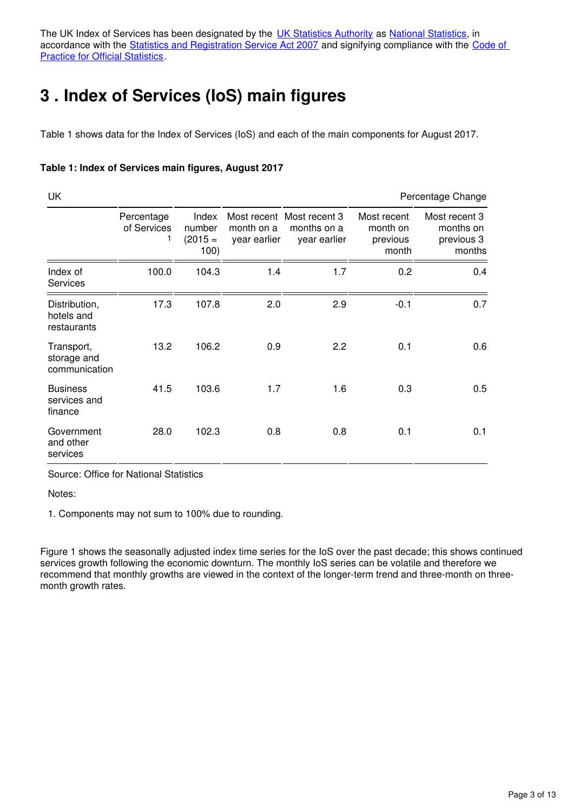The UK Index of Services has been designated by the [UK Statistics Authority](https://www.statisticsauthority.gov.uk/) as National Statistics, in accordance with the [Statistics and Registration Service Act 2007](https://www.statisticsauthority.gov.uk/about-the-authority/uk-statistical-system/legislation/key-legislative-documents/) and signifying compliance with the Code of **[Practice for Official Statistics](https://www.statisticsauthority.gov.uk/monitoring-and-assessment/code-of-practice/).** 

# <span id="page-2-0"></span>**3 . Index of Services (IoS) main figures**

Table 1 shows data for the Index of Services (IoS) and each of the main components for August 2017.

#### **Table 1: Index of Services main figures, August 2017**

| UK                                         |                           |                                      |                            |                                                          |                                              | Percentage Change                                  |
|--------------------------------------------|---------------------------|--------------------------------------|----------------------------|----------------------------------------------------------|----------------------------------------------|----------------------------------------------------|
|                                            | Percentage<br>of Services | Index<br>number<br>$(2015 =$<br>100) | month on a<br>year earlier | Most recent Most recent 3<br>months on a<br>year earlier | Most recent<br>month on<br>previous<br>month | Most recent 3<br>months on<br>previous 3<br>months |
| Index of<br><b>Services</b>                | 100.0                     | 104.3                                | 1.4                        | 1.7                                                      | 0.2                                          | 0.4                                                |
| Distribution,<br>hotels and<br>restaurants | 17.3                      | 107.8                                | 2.0                        | 2.9                                                      | $-0.1$                                       | 0.7                                                |
| Transport,<br>storage and<br>communication | 13.2                      | 106.2                                | 0.9                        | 2.2                                                      | 0.1                                          | 0.6                                                |
| <b>Business</b><br>services and<br>finance | 41.5                      | 103.6                                | 1.7                        | 1.6                                                      | 0.3                                          | 0.5                                                |
| Government<br>and other<br>services        | 28.0                      | 102.3                                | 0.8                        | 0.8                                                      | 0.1                                          | 0.1                                                |

Source: Office for National Statistics

Notes:

1. Components may not sum to 100% due to rounding.

Figure 1 shows the seasonally adjusted index time series for the IoS over the past decade; this shows continued services growth following the economic downturn. The monthly IoS series can be volatile and therefore we recommend that monthly growths are viewed in the context of the longer-term trend and three-month on threemonth growth rates.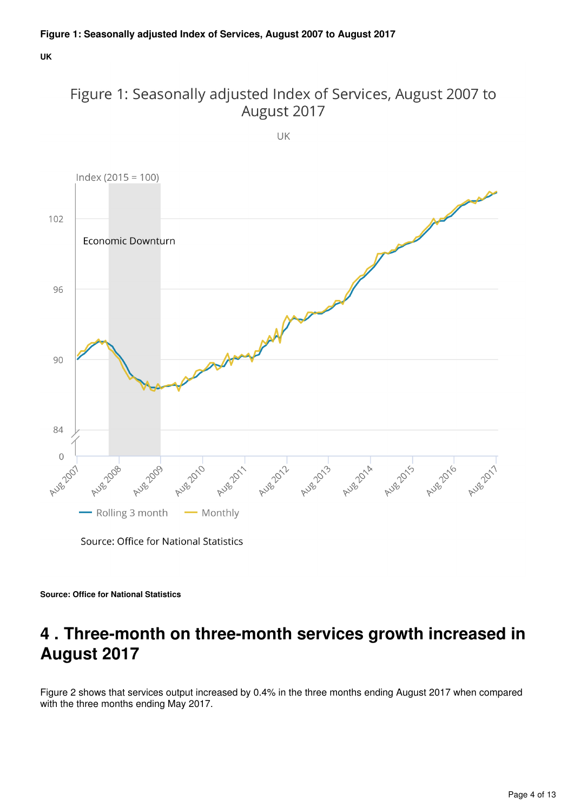**UK**



UK



Source: Office for National Statistics

**Source: Office for National Statistics**

# <span id="page-3-0"></span>**4 . Three-month on three-month services growth increased in August 2017**

Figure 2 shows that services output increased by 0.4% in the three months ending August 2017 when compared with the three months ending May 2017.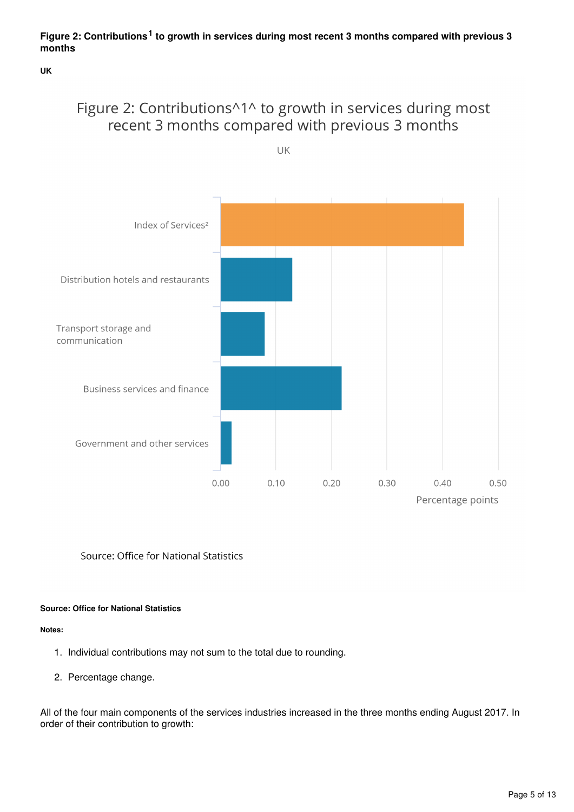## Figure 2: Contributions<sup>1</sup> to growth in services during most recent 3 months compared with previous 3 **months**

**UK**

# Figure 2: Contributions^1^ to growth in services during most recent 3 months compared with previous 3 months



Source: Office for National Statistics

## **Source: Office for National Statistics**

#### **Notes:**

- 1. Individual contributions may not sum to the total due to rounding.
- 2. Percentage change.

All of the four main components of the services industries increased in the three months ending August 2017. In order of their contribution to growth: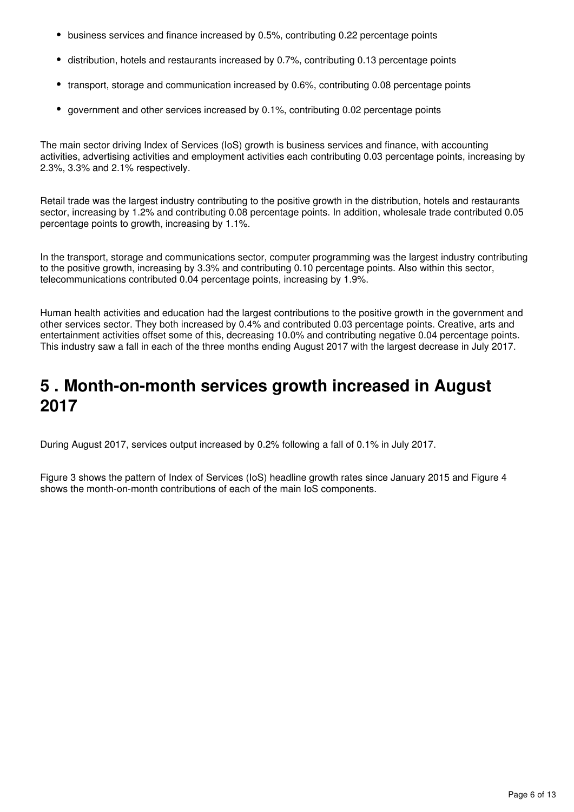- business services and finance increased by 0.5%, contributing 0.22 percentage points
- distribution, hotels and restaurants increased by 0.7%, contributing 0.13 percentage points
- transport, storage and communication increased by 0.6%, contributing 0.08 percentage points
- government and other services increased by 0.1%, contributing 0.02 percentage points

The main sector driving Index of Services (IoS) growth is business services and finance, with accounting activities, advertising activities and employment activities each contributing 0.03 percentage points, increasing by 2.3%, 3.3% and 2.1% respectively.

Retail trade was the largest industry contributing to the positive growth in the distribution, hotels and restaurants sector, increasing by 1.2% and contributing 0.08 percentage points. In addition, wholesale trade contributed 0.05 percentage points to growth, increasing by 1.1%.

In the transport, storage and communications sector, computer programming was the largest industry contributing to the positive growth, increasing by 3.3% and contributing 0.10 percentage points. Also within this sector, telecommunications contributed 0.04 percentage points, increasing by 1.9%.

Human health activities and education had the largest contributions to the positive growth in the government and other services sector. They both increased by 0.4% and contributed 0.03 percentage points. Creative, arts and entertainment activities offset some of this, decreasing 10.0% and contributing negative 0.04 percentage points. This industry saw a fall in each of the three months ending August 2017 with the largest decrease in July 2017.

# <span id="page-5-0"></span>**5 . Month-on-month services growth increased in August 2017**

During August 2017, services output increased by 0.2% following a fall of 0.1% in July 2017.

Figure 3 shows the pattern of Index of Services (IoS) headline growth rates since January 2015 and Figure 4 shows the month-on-month contributions of each of the main IoS components.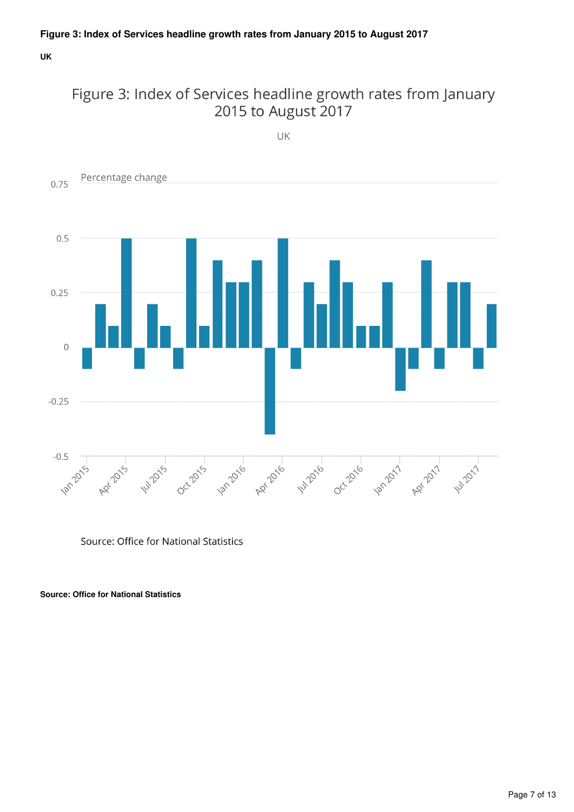**UK**

# Figure 3: Index of Services headline growth rates from January 2015 to August 2017

UK



Source: Office for National Statistics

**Source: Office for National Statistics**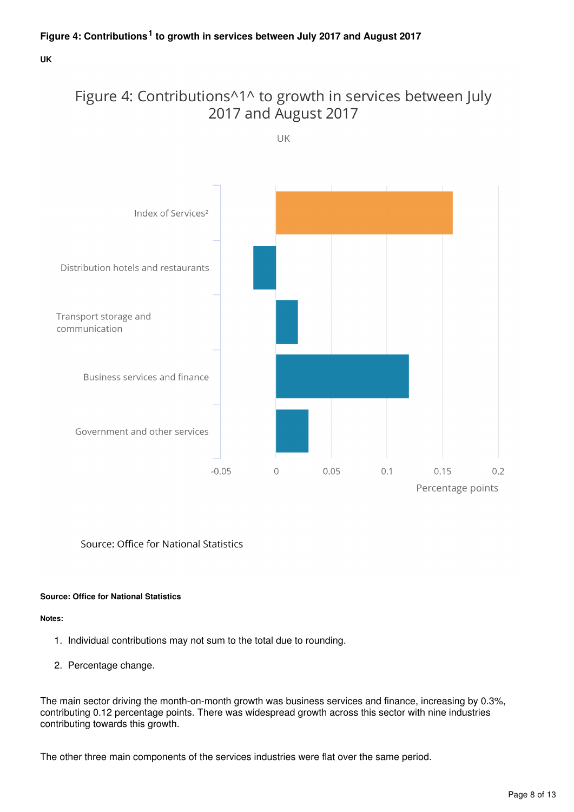**UK**

# Figure 4: Contributions^1^ to growth in services between July 2017 and August 2017





Source: Office for National Statistics

## **Source: Office for National Statistics**

#### **Notes:**

- 1. Individual contributions may not sum to the total due to rounding.
- 2. Percentage change.

The main sector driving the month-on-month growth was business services and finance, increasing by 0.3%, contributing 0.12 percentage points. There was widespread growth across this sector with nine industries contributing towards this growth.

The other three main components of the services industries were flat over the same period.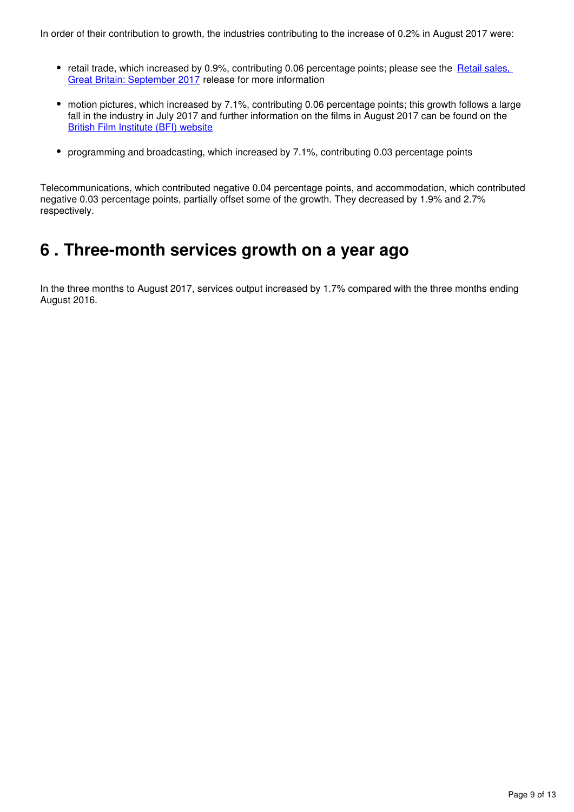- retail trade, which increased by 0.9%, contributing 0.06 percentage points; please see the Retail sales, [Great Britain: September 2017](https://www.ons.gov.uk/businessindustryandtrade/retailindustry/bulletins/retailsales/september2017) release for more information
- motion pictures, which increased by 7.1%, contributing 0.06 percentage points; this growth follows a large fall in the industry in July 2017 and further information on the films in August 2017 can be found on the [British Film Institute \(BFI\) website](http://www.bfi.org.uk/education-research/film-industry-statistics-research/official-statistics-release-calendar)
- programming and broadcasting, which increased by 7.1%, contributing 0.03 percentage points

Telecommunications, which contributed negative 0.04 percentage points, and accommodation, which contributed negative 0.03 percentage points, partially offset some of the growth. They decreased by 1.9% and 2.7% respectively.

# <span id="page-8-0"></span>**6 . Three-month services growth on a year ago**

In the three months to August 2017, services output increased by 1.7% compared with the three months ending August 2016.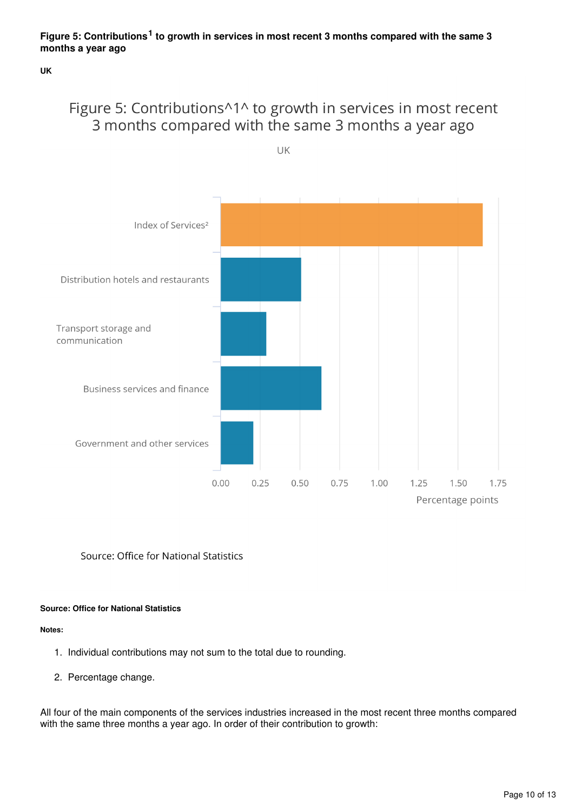**UK**

# Figure 5: Contributions^1^ to growth in services in most recent 3 months compared with the same 3 months a year ago

UK



Source: Office for National Statistics

### **Source: Office for National Statistics**

#### **Notes:**

- 1. Individual contributions may not sum to the total due to rounding.
- 2. Percentage change.

All four of the main components of the services industries increased in the most recent three months compared with the same three months a year ago. In order of their contribution to growth: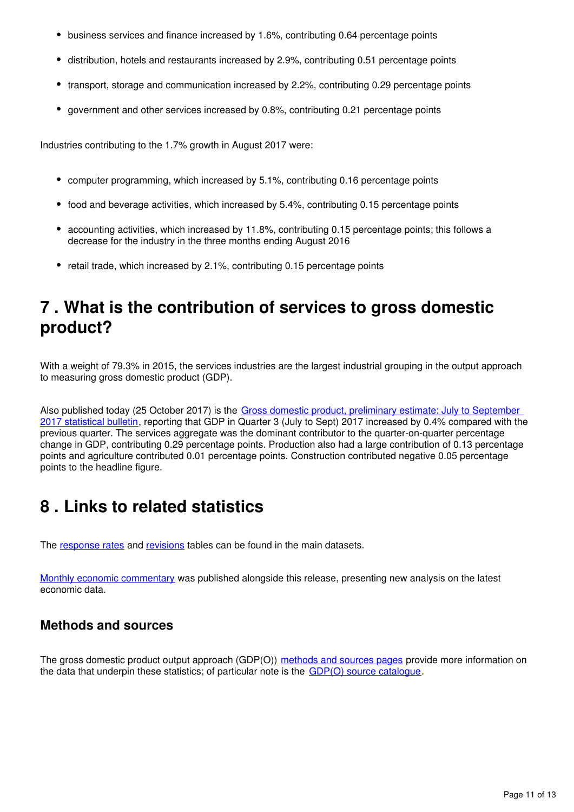- business services and finance increased by 1.6%, contributing 0.64 percentage points
- distribution, hotels and restaurants increased by 2.9%, contributing 0.51 percentage points
- transport, storage and communication increased by 2.2%, contributing 0.29 percentage points
- government and other services increased by 0.8%, contributing 0.21 percentage points

Industries contributing to the 1.7% growth in August 2017 were:

- computer programming, which increased by 5.1%, contributing 0.16 percentage points
- food and beverage activities, which increased by 5.4%, contributing 0.15 percentage points
- accounting activities, which increased by 11.8%, contributing 0.15 percentage points; this follows a decrease for the industry in the three months ending August 2016
- retail trade, which increased by 2.1%, contributing 0.15 percentage points

# <span id="page-10-0"></span>**7 . What is the contribution of services to gross domestic product?**

With a weight of 79.3% in 2015, the services industries are the largest industrial grouping in the output approach to measuring gross domestic product (GDP).

Also published today (25 October 2017) is the [Gross domestic product, preliminary estimate: July to September](https://www.ons.gov.uk/economy/grossdomesticproductgdp/bulletins/grossdomesticproductpreliminaryestimate/julytoseptember2017)  [2017 statistical bulletin,](https://www.ons.gov.uk/economy/grossdomesticproductgdp/bulletins/grossdomesticproductpreliminaryestimate/julytoseptember2017) reporting that GDP in Quarter 3 (July to Sept) 2017 increased by 0.4% compared with the previous quarter. The services aggregate was the dominant contributor to the quarter-on-quarter percentage change in GDP, contributing 0.29 percentage points. Production also had a large contribution of 0.13 percentage points and agriculture contributed 0.01 percentage points. Construction contributed negative 0.05 percentage points to the headline figure.

# <span id="page-10-1"></span>**8 . Links to related statistics**

The response rates and revisions tables can be found in the main datasets.

[Monthly economic commentary](https://www.ons.gov.uk/economy/nationalaccounts/uksectoraccounts/articles/monthlyeconomiccommentary/previousReleases) was published alongside this release, presenting new analysis on the latest economic data.

## **Methods and sources**

The gross domestic product output approach (GDP(O)) [methods and sources pages](https://www.ons.gov.uk/economy/economicoutputandproductivity/output/methodologies/indexofservicesios) provide more information on the data that underpin these statistics; of particular note is the  $GDP(O)$  source catalogue.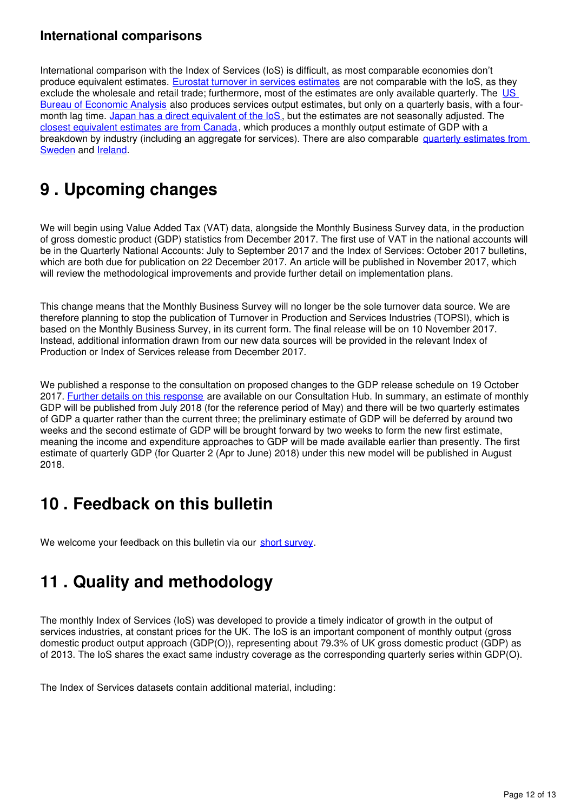## **International comparisons**

International comparison with the Index of Services (IoS) is difficult, as most comparable economies don't produce equivalent estimates. [Eurostat turnover in services estimates](http://ec.europa.eu/eurostat/web/products-datasets/-/teiis700) are not comparable with the IoS, as they exclude the wholesale and retail trade; furthermore, most of the estimates are only available quarterly. The US [Bureau of Economic Analysis](http://bea.gov/newsreleases/glance.htm) also produces services output estimates, but only on a quarterly basis, with a fourmonth lag time. [Japan has a direct equivalent of the IoS](http://www.stat.go.jp/english/data/mssi/kekka.htm), but the estimates are not seasonally adjusted. The [closest equivalent estimates are from Canada](http://www5.statcan.gc.ca/cansim/a05?lang=eng&id=3790031&pattern=3790031&searchTypeByValue=1&p2=35), which produces a monthly output estimate of GDP with a breakdown by industry (including an aggregate for services). There are also comparable quarterly estimates from [Sweden](http://www.scb.se/en_/Finding-statistics/Statistics-by-subject-area/National-Accounts/National-Accounts/National-Accounts-quarterly-and-annual-estimates/) and Ireland[.](http://www.cso.ie/en/statistics/nationalaccounts/)

# <span id="page-11-0"></span>**9 . Upcoming changes**

We will begin using Value Added Tax (VAT) data, alongside the Monthly Business Survey data, in the production of gross domestic product (GDP) statistics from December 2017. The first use of VAT in the national accounts will be in the Quarterly National Accounts: July to September 2017 and the Index of Services: October 2017 bulletins, which are both due for publication on 22 December 2017. An article will be published in November 2017, which will review the methodological improvements and provide further detail on implementation plans.

This change means that the Monthly Business Survey will no longer be the sole turnover data source. We are therefore planning to stop the publication of Turnover in Production and Services Industries (TOPSI), which is based on the Monthly Business Survey, in its current form. The final release will be on 10 November 2017. Instead, additional information drawn from our new data sources will be provided in the relevant Index of Production or Index of Services release from December 2017.

We published a response to the consultation on proposed changes to the GDP release schedule on 19 October 2017. [Further details on this response](https://consultations.ons.gov.uk/communication-division/changes-to-ons-gross-domestic-product-gdp-release/) are available on our Consultation Hub. In summary, an estimate of monthly GDP will be published from July 2018 (for the reference period of May) and there will be two quarterly estimates of GDP a quarter rather than the current three; the preliminary estimate of GDP will be deferred by around two weeks and the second estimate of GDP will be brought forward by two weeks to form the new first estimate, meaning the income and expenditure approaches to GDP will be made available earlier than presently. The first estimate of quarterly GDP (for Quarter 2 (Apr to June) 2018) under this new model will be published in August 2018.

# <span id="page-11-1"></span>**10 . Feedback on this bulletin**

We welcome your feedback on this bulletin via our short survey.

# <span id="page-11-2"></span>**11 . Quality and methodology**

The monthly Index of Services (IoS) was developed to provide a timely indicator of growth in the output of services industries, at constant prices for the UK. The IoS is an important component of monthly output (gross domestic product output approach (GDP(O)), representing about 79.3% of UK gross domestic product (GDP) as of 2013. The IoS shares the exact same industry coverage as the corresponding quarterly series within GDP(O).

The Index of Services datasets contain additional material, including: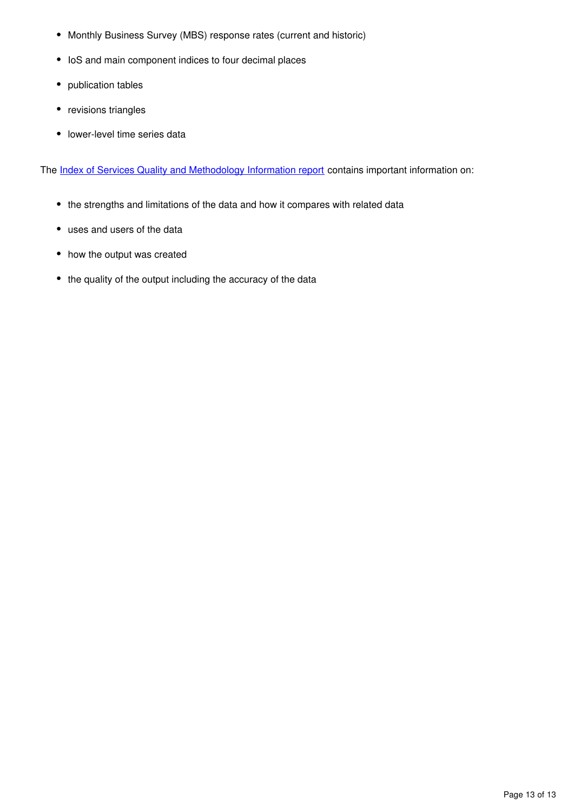- Monthly Business Survey (MBS) response rates (current and historic)
- IoS and main component indices to four decimal places
- publication tables
- revisions triangles
- lower-level time series data

The [Index of Services Quality and Methodology Information report](https://www.ons.gov.uk/economy/nationalaccounts/uksectoraccounts/qmis/indexofservicesqmi) contains important information on:

- the strengths and limitations of the data and how it compares with related data
- uses and users of the data
- how the output was created
- the quality of the output including the accuracy of the data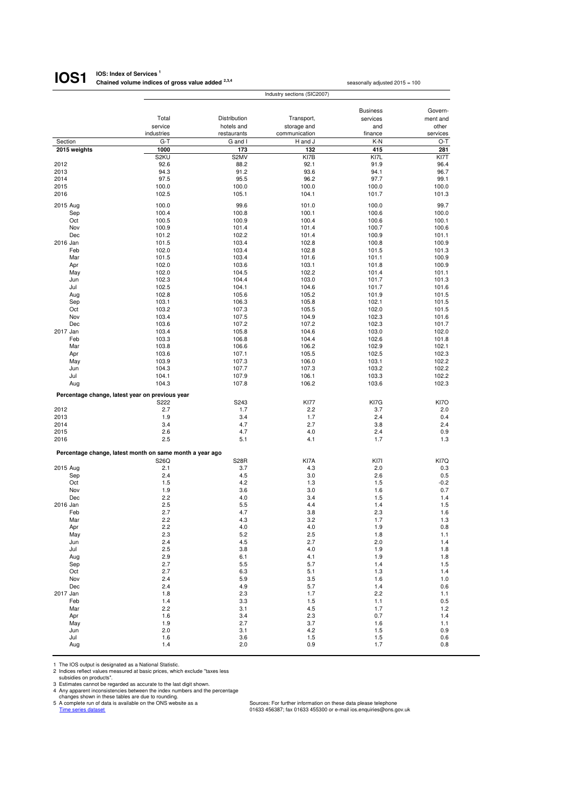#### **IOS: Index of Services <sup>1</sup> Chained volume indices of gross value added 2,3,4 IOS1**

|                                                 |                                                          |                           |                              | <b>Business</b> | Govern-           |
|-------------------------------------------------|----------------------------------------------------------|---------------------------|------------------------------|-----------------|-------------------|
|                                                 | Total                                                    | Distribution              | Transport,                   | services        | ment and          |
|                                                 | service<br>industries                                    | hotels and<br>restaurants | storage and<br>communication | and<br>finance  | other<br>services |
| Section                                         | $G-T$                                                    | G and I                   | H and J                      | K-N             | O-T               |
| 2015 weights                                    | 1000                                                     | 173                       | 132                          | 415             | 281               |
|                                                 | S2KU                                                     | S2MV                      | KI7B                         | KI7L            | KI7T              |
| 2012                                            | 92.6                                                     | 88.2                      | 92.1                         | 91.9            | 96.4              |
| 2013                                            | 94.3                                                     | 91.2                      | 93.6                         | 94.1            | 96.7              |
| 2014                                            | 97.5                                                     | 95.5                      | 96.2                         | 97.7            | 99.1              |
| 2015                                            | 100.0                                                    | 100.0                     | 100.0                        | 100.0           | 100.0             |
| 2016                                            | 102.5                                                    | 105.1                     | 104.1                        | 101.7           | 101.3             |
| 2015 Aug                                        | 100.0                                                    | 99.6                      | 101.0                        | 100.0           | 99.7              |
| Sep                                             | 100.4                                                    | 100.8                     | 100.1                        | 100.6           | 100.0             |
| Oct                                             | 100.5                                                    | 100.9                     | 100.4                        | 100.6           | 100.1             |
| Nov<br>Dec                                      | 100.9<br>101.2                                           | 101.4                     | 101.4<br>101.4               | 100.7<br>100.9  | 100.6<br>101.1    |
| 2016 Jan                                        | 101.5                                                    | 102.2<br>103.4            | 102.8                        | 100.8           | 100.9             |
| Feb                                             | 102.0                                                    | 103.4                     | 102.8                        | 101.5           | 101.3             |
| Mar                                             | 101.5                                                    | 103.4                     | 101.6                        | 101.1           | 100.9             |
| Apr                                             | 102.0                                                    | 103.6                     | 103.1                        | 101.8           | 100.9             |
| May                                             | 102.0                                                    | 104.5                     | 102.2                        | 101.4           | 101.1             |
| Jun                                             | 102.3                                                    | 104.4                     | 103.0                        | 101.7           | 101.3             |
| Jul                                             | 102.5                                                    | 104.1                     | 104.6                        | 101.7           | 101.6             |
| Aug<br>Sep                                      | 102.8<br>103.1                                           | 105.6<br>106.3            | 105.2<br>105.8               | 101.9<br>102.1  | 101.5<br>101.5    |
| Oct                                             | 103.2                                                    | 107.3                     | 105.5                        | 102.0           | 101.5             |
| Nov                                             | 103.4                                                    | 107.5                     | 104.9                        | 102.3           | 101.6             |
| Dec                                             | 103.6                                                    | 107.2                     | 107.2                        | 102.3           | 101.7             |
| 2017 Jan                                        | 103.4                                                    | 105.8                     | 104.6                        | 103.0           | 102.0             |
| Feb                                             | 103.3                                                    | 106.8                     | 104.4                        | 102.6           | 101.8             |
| Mar                                             | 103.8                                                    | 106.6                     | 106.2                        | 102.9           | 102.1             |
| Apr                                             | 103.6                                                    | 107.1                     | 105.5                        | 102.5           | 102.3             |
| May<br>Jun                                      | 103.9<br>104.3                                           | 107.3<br>107.7            | 106.0<br>107.3               | 103.1<br>103.2  | 102.2<br>102.2    |
| Jul                                             | 104.1                                                    | 107.9                     | 106.1                        | 103.3           | 102.2             |
| Aug                                             | 104.3                                                    | 107.8                     | 106.2                        | 103.6           | 102.3             |
|                                                 |                                                          |                           |                              |                 |                   |
| Percentage change, latest year on previous year | S222                                                     | S243                      | <b>KI77</b>                  |                 | KI7O              |
| 2012                                            | 2.7                                                      | 1.7                       | 2.2                          | KI7G<br>3.7     | 2.0               |
| 2013                                            | 1.9                                                      | 3.4                       | 1.7                          | 2.4             | 0.4               |
| 2014                                            | 3.4                                                      | 4.7                       | 2.7                          | 3.8             | 2.4               |
| 2015                                            | 2.6                                                      | 4.7                       | 4.0                          | 2.4             | 0.9               |
| 2016                                            | 2.5                                                      | 5.1                       | 4.1                          | 1.7             | 1.3               |
|                                                 | Percentage change, latest month on same month a year ago |                           |                              |                 |                   |
|                                                 | S26Q                                                     | <b>S28R</b>               | KI7A                         | KI7I            | KI7Q              |
| 2015 Aug                                        | 2.1                                                      | 3.7                       | 4.3                          | 2.0             | 0.3               |
| Sep                                             | 2.4                                                      | 4.5                       | 3.0                          | 2.6             | 0.5               |
| Oct                                             | 1.5                                                      | 4.2                       | 1.3                          | 1.5             | $-0.2$            |
| Nov                                             | 1.9                                                      | 3.6                       | 3.0                          | 1.6             | 0.7               |
| Dec                                             | 2.2                                                      | 4.0                       | 3.4                          | 1.5             | 1.4               |
| 2016 Jan<br>Feb                                 | 2.5<br>2.7                                               | 5.5<br>4.7                | 4.4<br>3.8                   | 1.4<br>2.3      | 1.5<br>1.6        |
| Mar                                             | 2.2                                                      | 4.3                       | 3.2                          | 1.7             | 1.3               |
| Apr                                             | 2.2                                                      | 4.0                       | 4.0                          | 1.9             | 0.8               |
| May                                             | 2.3                                                      | 5.2                       | 2.5                          | 1.8             | 1.1               |
| Jun                                             | 2.4                                                      | 4.5                       | 2.7                          | 2.0             | 1.4               |
| Jul                                             | $2.5\,$                                                  | 3.8                       | 4.0                          | 1.9             | 1.8               |
| Aug                                             | 2.9                                                      | 6.1                       | 4.1                          | 1.9             | 1.8               |
| Sep                                             | 2.7                                                      | 5.5                       | 5.7                          | 1.4             | 1.5               |
| Oct<br>Nov                                      | 2.7<br>2.4                                               | 6.3<br>5.9                | 5.1<br>3.5                   | 1.3<br>1.6      | 1.4<br>1.0        |
| Dec                                             | 2.4                                                      | 4.9                       | 5.7                          | 1.4             | 0.6               |
| 2017 Jan                                        | 1.8                                                      | 2.3                       | 1.7                          | 2.2             | 1.1               |
| Feb                                             | 1.4                                                      | 3.3                       | 1.5                          | 1.1             | 0.5               |
| Mar                                             | 2.2                                                      | 3.1                       | 4.5                          | 1.7             | 1.2               |
| Apr                                             | 1.6                                                      | 3.4                       | 2.3                          | 0.7             | 1.4               |
| May                                             | 1.9                                                      | 2.7                       | 3.7                          | 1.6             | 1.1               |
| Jun<br>Jul                                      | 2.0<br>1.6                                               | 3.1<br>3.6                | 4.2<br>1.5                   | 1.5<br>1.5      | 0.9<br>0.6        |
| Aug                                             | $1.4$                                                    | 2.0                       | 0.9                          | 1.7             | 0.8               |

1 The IOS output is designated as a National Statistic.<br>
2 Indices reflect values measured at basic prices, which exclude "taxes less<br>
3 Istimates cannot be regarded as accurate to the last digit shown.<br>
4 Any apparent inc

seasonally adjusted 2015 = 100

Industry sections (SIC2007)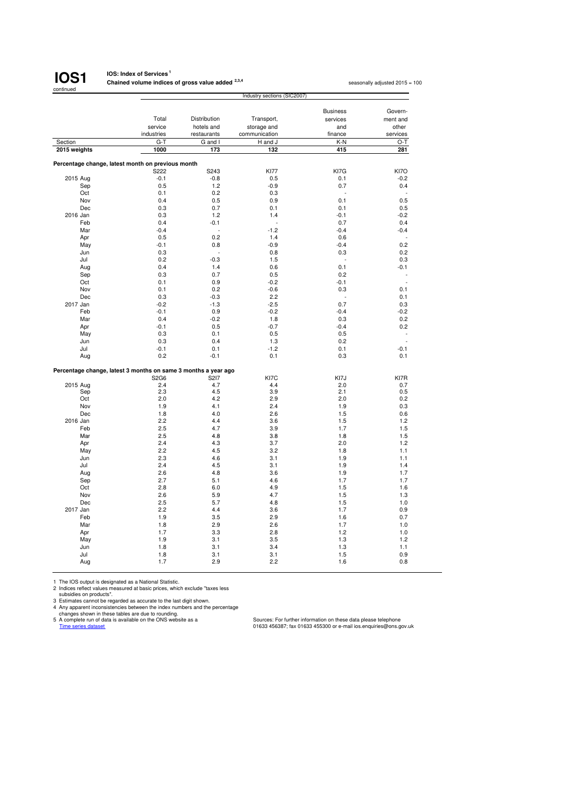

#### **IOS: Index of Services<sup>1</sup> Chained volume indices of gross value added 2,3,4**

seasonally adjusted 2015 = 100

|                 |                                                                        | Industry sections (SIC2007) |               |                 |             |  |  |
|-----------------|------------------------------------------------------------------------|-----------------------------|---------------|-----------------|-------------|--|--|
|                 |                                                                        |                             |               |                 |             |  |  |
|                 |                                                                        |                             |               | <b>Business</b> | Govern-     |  |  |
|                 | Total                                                                  | Distribution                | Transport,    | services        | ment and    |  |  |
|                 | service                                                                | hotels and                  | storage and   | and             | other       |  |  |
|                 | industries                                                             | restaurants                 | communication | finance         | services    |  |  |
| Section         | $G-T$                                                                  | G and I                     | H and J       | K-N             | $O-T$       |  |  |
| 2015 weights    | 1000                                                                   | 173                         | 132           | 415             | 281         |  |  |
|                 |                                                                        |                             |               |                 |             |  |  |
|                 | Percentage change, latest month on previous month                      |                             |               |                 |             |  |  |
|                 | S222                                                                   | S243                        | <b>KI77</b>   | KI7G            | KI7O        |  |  |
| 2015 Aug        | $-0.1$                                                                 | $-0.8$                      | 0.5           | 0.1             | $-0.2$      |  |  |
| Sep             | 0.5                                                                    | 1.2                         | $-0.9$        | 0.7             | 0.4         |  |  |
| Oct             | 0.1                                                                    | 0.2                         | 0.3           | ٠               |             |  |  |
| Nov             | 0.4                                                                    | 0.5                         | 0.9           | 0.1             | 0.5         |  |  |
| Dec             | 0.3                                                                    | 0.7                         | 0.1           | 0.1             | 0.5         |  |  |
| 2016 Jan        | 0.3                                                                    | 1.2                         | 1.4           | $-0.1$          | $-0.2$      |  |  |
| Feb             | 0.4                                                                    | $-0.1$                      |               | 0.7             | 0.4         |  |  |
| Mar             | $-0.4$                                                                 |                             | $-1.2$        | $-0.4$          | $-0.4$      |  |  |
| Apr             | 0.5                                                                    | 0.2                         | 1.4           | 0.6             |             |  |  |
| May             | $-0.1$                                                                 | 0.8                         | $-0.9$        | $-0.4$          | 0.2         |  |  |
| Jun             | 0.3                                                                    |                             | 0.8           | 0.3             | 0.2         |  |  |
| Jul             | 0.2                                                                    | $-0.3$                      | 1.5           | $\overline{a}$  | 0.3         |  |  |
| Aug             | 0.4                                                                    | 1.4                         | 0.6           | 0.1             | $-0.1$      |  |  |
| Sep             | 0.3                                                                    | 0.7                         | 0.5           | 0.2             |             |  |  |
| Oct             | 0.1                                                                    | 0.9                         | $-0.2$        | $-0.1$          | ÷,          |  |  |
| Nov             | 0.1                                                                    | 0.2                         | $-0.6$        | 0.3             | 0.1         |  |  |
| Dec             | 0.3                                                                    | $-0.3$                      | 2.2           |                 | 0.1         |  |  |
|                 |                                                                        |                             |               |                 |             |  |  |
| 2017 Jan<br>Feb | $-0.2$                                                                 | $-1.3$                      | $-2.5$        | 0.7             | 0.3         |  |  |
|                 | $-0.1$                                                                 | 0.9                         | $-0.2$        | $-0.4$          | $-0.2$      |  |  |
| Mar             | 0.4                                                                    | $-0.2$                      | 1.8           | 0.3             | 0.2         |  |  |
| Apr             | $-0.1$                                                                 | 0.5                         | $-0.7$        | $-0.4$          | 0.2         |  |  |
| May             | 0.3                                                                    | 0.1                         | 0.5           | 0.5             |             |  |  |
| Jun             | 0.3                                                                    | 0.4                         | 1.3           | 0.2             | L.          |  |  |
| Jul             | $-0.1$                                                                 | 0.1                         | $-1.2$        | 0.1             | $-0.1$      |  |  |
| Aug             | 0.2                                                                    | $-0.1$                      | 0.1           | 0.3             | 0.1         |  |  |
|                 |                                                                        |                             |               |                 |             |  |  |
|                 | Percentage change, latest 3 months on same 3 months a year ago<br>S2G6 | S217                        |               |                 |             |  |  |
| 2015 Aug        | 2.4                                                                    | 4.7                         | KI7C<br>4.4   | KI7J<br>2.0     | KI7R<br>0.7 |  |  |
| Sep             | 2.3                                                                    | 4.5                         | 3.9           | 2.1             | 0.5         |  |  |
| Oct             | 2.0                                                                    | 4.2                         | 2.9           | 2.0             | 0.2         |  |  |
| Nov             | 1.9                                                                    | 4.1                         | 2.4           | 1.9             | 0.3         |  |  |
| Dec             | 1.8                                                                    | 4.0                         | 2.6           | 1.5             | 0.6         |  |  |
| 2016 Jan        | 2.2                                                                    | 4.4                         |               | 1.5             | 1.2         |  |  |
| Feb             | 2.5                                                                    | 4.7                         | 3.6<br>3.9    | 1.7             | 1.5         |  |  |
| Mar             | 2.5                                                                    | 4.8                         | 3.8           | 1.8             | 1.5         |  |  |
|                 | 2.4                                                                    | 4.3                         | 3.7           | 2.0             | 1.2         |  |  |
| Apr             |                                                                        |                             |               |                 |             |  |  |
| May             | 2.2                                                                    | 4.5                         | 3.2           | 1.8             | 1.1         |  |  |
| Jun             | 2.3                                                                    | 4.6                         | 3.1           | 1.9             | 1.1         |  |  |
| Jul             | 2.4                                                                    | 4.5                         | 3.1           | 1.9             | 1.4         |  |  |
| Aug             | 2.6                                                                    | 4.8                         | 3.6           | 1.9             | 1.7         |  |  |
| Sep             | 2.7                                                                    | 5.1                         | 4.6           | 1.7             | 1.7         |  |  |
| Oct             | 2.8                                                                    | 6.0                         | 4.9           | 1.5             | 1.6         |  |  |
| Nov             | 2.6                                                                    | 5.9                         | 4.7           | 1.5             | 1.3         |  |  |
| Dec             | 2.5                                                                    | 5.7                         | 4.8           | 1.5             | 1.0         |  |  |
| 2017 Jan        | 2.2                                                                    | 4.4                         | 3.6           | 1.7             | 0.9         |  |  |
| Feb             | 1.9                                                                    | 3.5                         | 2.9           | 1.6             | 0.7         |  |  |
| Mar             | 1.8                                                                    | 2.9                         | 2.6           | 1.7             | 1.0         |  |  |
| Apr             | 1.7                                                                    | 3.3                         | 2.8           | 1.2             | 1.0         |  |  |
| May             | 1.9                                                                    | 3.1                         | 3.5           | 1.3             | 1.2         |  |  |
| Jun             | 1.8                                                                    | 3.1                         | 3.4           | 1.3             | 1.1         |  |  |
| Jul             | 1.8                                                                    | 3.1                         | 3.1           | 1.5             | 0.9         |  |  |
| Aug             | 1.7                                                                    | 2.9                         | 2.2           | 1.6             | 0.8         |  |  |

1 The IOS output is designated as a National Statistic.<br>
2 Indices reflect values measured at basic prices, which exclude "taxes less<br>
3 Usticlies on products".<br>
4 Any apparent inconsistencies between the index numbers and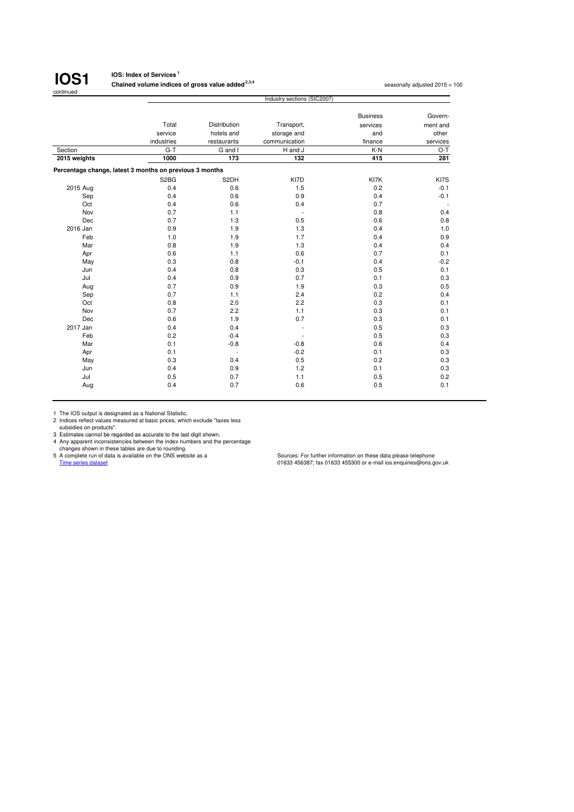

#### **IOS: Index of Services <sup>1</sup>**

**Chained volume indices of gross value added <sup>2,3,4</sup> seasonally adjusted 2015 = 100 seasonally adjusted 2015 = 100** 

|                                                         |                               |                          | Industry sections (SIC2007) |                 |                          |
|---------------------------------------------------------|-------------------------------|--------------------------|-----------------------------|-----------------|--------------------------|
|                                                         |                               |                          |                             | <b>Business</b> | Govern-                  |
|                                                         | Total                         | Distribution             | Transport,                  | services        | ment and                 |
|                                                         | service                       | hotels and               | storage and                 | and             | other                    |
|                                                         | industries                    | restaurants              | communication               | finance         | services                 |
| Section                                                 | $G-T$                         | G and I                  | H and J                     | K-N             | $O-T$                    |
| 2015 weights                                            | 1000                          | 173                      | 132                         | 415             | 281                      |
| Percentage change, latest 3 months on previous 3 months |                               |                          |                             |                 |                          |
|                                                         | S <sub>2</sub> B <sub>G</sub> | S2DH                     | KI7D                        | KI7K            | KI7S                     |
| 2015 Aug                                                | 0.4                           | 0.6                      | 1.5                         | 0.2             | $-0.1$                   |
| Sep                                                     | 0.4                           | 0.6                      | 0.9                         | 0.4             | $-0.1$                   |
| Oct                                                     | 0.4                           | 0.6                      | 0.4                         | 0.7             | $\overline{\phantom{a}}$ |
| Nov                                                     | 0.7                           | 1.1                      | $\overline{\phantom{a}}$    | 0.8             | 0.4                      |
| Dec                                                     | 0.7                           | 1.3                      | 0.5                         | 0.6             | 0.8                      |
| 2016 Jan                                                | 0.9                           | 1.9                      | 1.3                         | 0.4             | 1.0                      |
| Feb                                                     | 1.0                           | 1.9                      | 1.7                         | 0.4             | 0.9                      |
| Mar                                                     | 0.8                           | 1.9                      | 1.3                         | 0.4             | 0.4                      |
| Apr                                                     | 0.6                           | 1.1                      | 0.6                         | 0.7             | 0.1                      |
| May                                                     | 0.3                           | 0.8                      | $-0.1$                      | 0.4             | $-0.2$                   |
| Jun                                                     | 0.4                           | 0.8                      | 0.3                         | 0.5             | 0.1                      |
| Jul                                                     | 0.4                           | 0.9                      | 0.7                         | 0.1             | 0.3                      |
| Aug                                                     | 0.7                           | 0.9                      | 1.9                         | 0.3             | 0.5                      |
| Sep                                                     | 0.7                           | 1.1                      | 2.4                         | 0.2             | 0.4                      |
| Oct                                                     | 0.8                           | 2.0                      | 2.2                         | 0.3             | 0.1                      |
| Nov                                                     | 0.7                           | 2.2                      | 1.1                         | 0.3             | 0.1                      |
| Dec                                                     | 0.6                           | 1.9                      | 0.7                         | 0.3             | 0.1                      |
| 2017 Jan                                                | 0.4                           | 0.4                      | L,                          | 0.5             | 0.3                      |
| Feb                                                     | 0.2                           | $-0.4$                   |                             | 0.5             | 0.3                      |
| Mar                                                     | 0.1                           | $-0.8$                   | $-0.8$                      | 0.6             | 0.4                      |
| Apr                                                     | 0.1                           | $\overline{\phantom{a}}$ | $-0.2$                      | 0.1             | 0.3                      |
| May                                                     | 0.3                           | 0.4                      | 0.5                         | 0.2             | 0.3                      |
| Jun                                                     | 0.4                           | 0.9                      | 1.2                         | 0.1             | 0.3                      |
| Jul                                                     | 0.5                           | 0.7                      | 1.1                         | 0.5             | 0.2                      |
| Aug                                                     | 0.4                           | 0.7                      | 0.6                         | 0.5             | 0.1                      |

1 The IOS output is designated as a National Statistic. 2 Indices reflect values measured at basic prices, which exclude "taxes less subsidies on products".

3 Estimates cannot be regarded as accurate to the last digit shown.<br>
4 Any apparent inconsistencies between the index numbers and the percentage<br>
changes shown in these tales are due to rounding.<br>
5 A complete run of data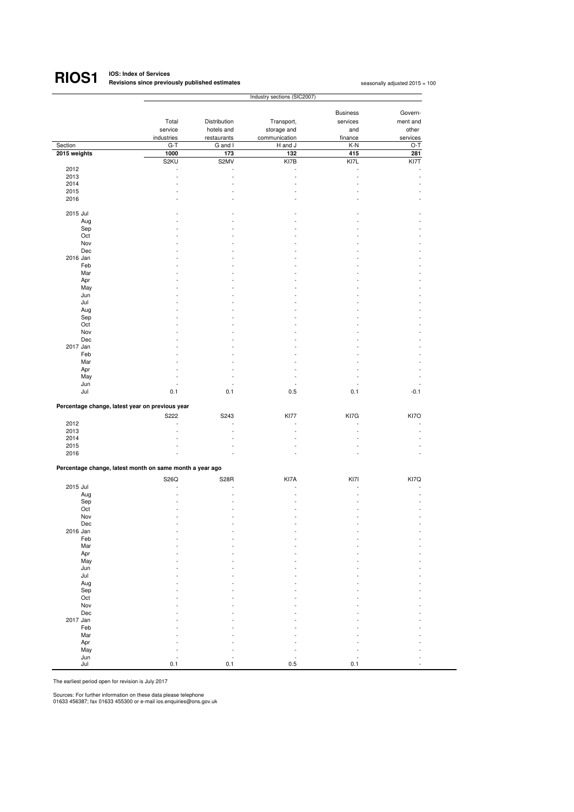#### **IOS: Index of Services Revisions since previously published estimates <sup>1</sup> RIOS1**

|              |                                                                  |                      | Industry sections (SIC2007) |                 |          |
|--------------|------------------------------------------------------------------|----------------------|-----------------------------|-----------------|----------|
|              |                                                                  |                      |                             |                 | Govern-  |
|              |                                                                  |                      |                             | <b>Business</b> |          |
|              | Total                                                            | Distribution         | Transport,                  | services        | ment and |
|              | service                                                          | hotels and           | storage and                 | and             | other    |
|              | industries                                                       | restaurants          | communication               | finance         | services |
| Section      | $G-T$                                                            | G and I              | H and J                     | K-N             | O-T      |
| 2015 weights | 1000                                                             | 173                  | 132                         | 415             | 281      |
|              | S2KU                                                             | S2MV                 | KI7B                        | KI7L            | KI7T     |
| 2012         | ÷,                                                               | $\overline{a}$       | ÷,                          | ÷,              |          |
| 2013         | $\ddot{\phantom{1}}$                                             | $\ddot{\phantom{1}}$ | $\ddot{\phantom{1}}$        | ä,              |          |
| 2014         |                                                                  | ä,                   |                             | ٠               |          |
| 2015         |                                                                  | J.                   |                             |                 |          |
| 2016         |                                                                  |                      |                             |                 |          |
|              |                                                                  |                      |                             |                 |          |
| 2015 Jul     |                                                                  |                      |                             |                 |          |
| Aug          |                                                                  |                      |                             |                 |          |
| Sep          |                                                                  |                      |                             |                 |          |
| Oct          |                                                                  |                      |                             |                 |          |
| Nov          |                                                                  |                      |                             |                 |          |
| Dec          |                                                                  |                      |                             |                 |          |
| 2016 Jan     |                                                                  |                      |                             |                 |          |
| Feb          |                                                                  |                      |                             |                 |          |
| Mar          |                                                                  |                      |                             |                 |          |
| Apr          |                                                                  |                      |                             |                 |          |
| May          |                                                                  |                      |                             |                 |          |
| Jun          |                                                                  |                      |                             |                 |          |
| Jul          |                                                                  |                      |                             |                 |          |
| Aug          |                                                                  |                      |                             |                 |          |
| Sep          |                                                                  |                      |                             |                 |          |
| Oct          |                                                                  |                      |                             |                 |          |
| Nov          |                                                                  |                      |                             |                 |          |
| Dec          |                                                                  |                      |                             |                 |          |
| 2017 Jan     |                                                                  |                      |                             |                 |          |
| Feb          |                                                                  |                      |                             |                 |          |
| Mar          |                                                                  |                      |                             |                 |          |
| Apr          |                                                                  |                      |                             |                 |          |
| May          |                                                                  | ä,                   |                             |                 |          |
| Jun          |                                                                  | J.                   | L,                          |                 |          |
| Jul          | 0.1                                                              | 0.1                  | 0.5                         | 0.1             | $-0.1$   |
|              | Percentage change, latest year on previous year                  |                      |                             |                 |          |
|              | S222                                                             | S243                 | <b>KI77</b>                 | KI7G            | KI7O     |
| 2012         | $\ddot{\phantom{1}}$                                             | ÷,                   | ٠                           | ä,              |          |
| 2013         |                                                                  | l,                   |                             | ä,              |          |
| 2014         |                                                                  |                      |                             |                 |          |
| 2015         |                                                                  |                      |                             |                 |          |
| 2016         | L.                                                               |                      |                             |                 |          |
|              |                                                                  |                      |                             |                 |          |
|              | Percentage change, latest month on same month a year ago<br>S26Q | <b>S28R</b>          | KI7A                        | KI7I            | KI7Q     |
| 2015 Jul     |                                                                  |                      |                             |                 |          |
| Aug          |                                                                  |                      |                             |                 |          |
| Sep          |                                                                  |                      |                             |                 |          |
| Oct          |                                                                  |                      |                             |                 |          |
| Nov          |                                                                  |                      |                             |                 |          |
| Dec          |                                                                  |                      |                             |                 |          |
| 2016 Jan     |                                                                  |                      |                             |                 |          |
| Feb          |                                                                  |                      |                             |                 |          |
| Mar          |                                                                  |                      |                             |                 |          |
| Apr          |                                                                  |                      |                             |                 |          |
| May          |                                                                  |                      |                             |                 |          |
| Jun          |                                                                  |                      |                             |                 |          |
| Jul          |                                                                  |                      |                             |                 |          |
| Aug          |                                                                  |                      |                             |                 |          |
| Sep          |                                                                  |                      |                             |                 |          |
| Oct          |                                                                  |                      |                             |                 |          |
| Nov          |                                                                  |                      |                             |                 |          |
| Dec          |                                                                  |                      |                             |                 |          |
| 2017 Jan     |                                                                  |                      |                             |                 |          |
| Feb          |                                                                  |                      |                             |                 |          |
| Mar          |                                                                  |                      |                             |                 |          |
| Apr          |                                                                  |                      |                             |                 |          |
| May          |                                                                  |                      |                             |                 |          |
| Jun          |                                                                  |                      |                             |                 |          |
| Jul          | 0.1                                                              | 0.1                  | 0.5                         | 0.1             |          |
|              |                                                                  |                      |                             |                 |          |

The earliest period open for revision is July 2017

Sources: For further information on these data please telephone 01633 456387; fax 01633 455300 or e-mail ios.enquiries@ons.gov.uk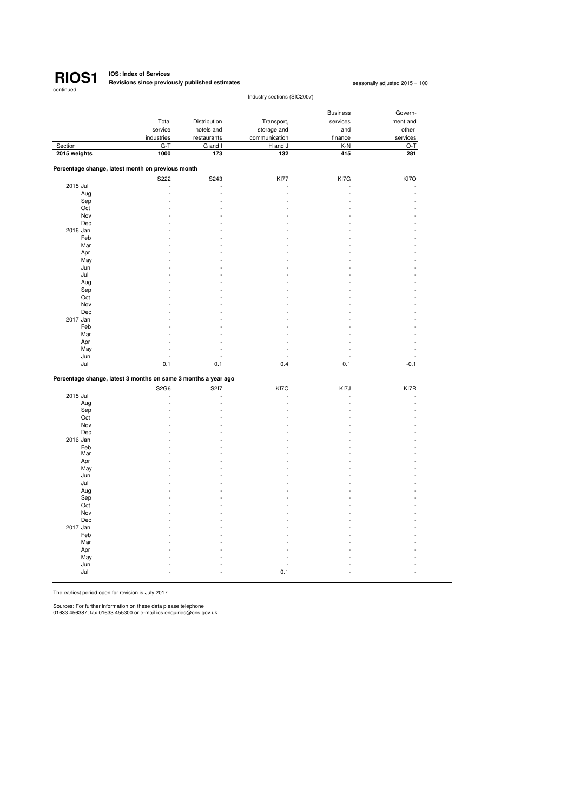

## **RIOS1** IOS: Index of Services<br>
RIOS1 Revisions since previously published estimates

seasonally adjusted 2015 = 100

|                                                                |            | Industry sections (SIC2007) |               |                 |          |  |  |  |
|----------------------------------------------------------------|------------|-----------------------------|---------------|-----------------|----------|--|--|--|
|                                                                |            |                             |               |                 |          |  |  |  |
|                                                                |            |                             |               | <b>Business</b> | Govern-  |  |  |  |
|                                                                | Total      | Distribution                | Transport,    | services        | ment and |  |  |  |
|                                                                | service    | hotels and                  | storage and   | and             | other    |  |  |  |
|                                                                | industries | restaurants                 | communication | finance         | services |  |  |  |
| Section                                                        | $G-T$      | G and I                     | H and J       | K-N             | $O-T$    |  |  |  |
| 2015 weights                                                   | 1000       | 173                         | 132           | 415             | 281      |  |  |  |
|                                                                |            |                             |               |                 |          |  |  |  |
| Percentage change, latest month on previous month              |            |                             |               |                 |          |  |  |  |
|                                                                | S222       | S243                        | <b>KI77</b>   | KI7G            | KI7O     |  |  |  |
| 2015 Jul                                                       |            |                             |               |                 |          |  |  |  |
| Aug                                                            |            |                             |               |                 |          |  |  |  |
| Sep                                                            |            |                             |               |                 |          |  |  |  |
| Oct                                                            |            |                             |               |                 |          |  |  |  |
| Nov                                                            |            |                             |               |                 |          |  |  |  |
| Dec                                                            |            |                             |               |                 |          |  |  |  |
| 2016 Jan                                                       |            |                             |               |                 |          |  |  |  |
| Feb                                                            |            |                             |               |                 |          |  |  |  |
| Mar                                                            |            |                             |               |                 |          |  |  |  |
| Apr                                                            |            |                             |               |                 |          |  |  |  |
| May                                                            |            |                             |               |                 |          |  |  |  |
| Jun                                                            |            |                             |               |                 |          |  |  |  |
| Jul                                                            |            |                             |               |                 |          |  |  |  |
| Aug                                                            |            |                             |               |                 |          |  |  |  |
| Sep                                                            |            |                             |               |                 |          |  |  |  |
| Oct                                                            |            |                             |               |                 |          |  |  |  |
| Nov                                                            |            |                             |               |                 |          |  |  |  |
| Dec                                                            |            |                             |               |                 |          |  |  |  |
| 2017 Jan                                                       |            |                             |               |                 |          |  |  |  |
| Feb                                                            |            |                             |               |                 |          |  |  |  |
| Mar                                                            |            |                             |               |                 |          |  |  |  |
| Apr                                                            |            |                             |               |                 |          |  |  |  |
| May                                                            |            |                             | L.            |                 |          |  |  |  |
| Jun                                                            |            |                             |               |                 |          |  |  |  |
| Jul                                                            | 0.1        | 0.1                         | 0.4           | 0.1             | $-0.1$   |  |  |  |
| Percentage change, latest 3 months on same 3 months a year ago |            |                             |               |                 |          |  |  |  |
|                                                                | S2G6       | S217                        | KI7C          | KI7J            | KI7R     |  |  |  |
| 2015 Jul                                                       |            |                             |               |                 |          |  |  |  |
| Aug                                                            |            |                             |               |                 |          |  |  |  |
| Sep                                                            |            |                             |               |                 |          |  |  |  |
| Oct                                                            |            |                             |               |                 |          |  |  |  |
| Nov                                                            |            |                             |               |                 |          |  |  |  |
| Dec                                                            |            |                             |               |                 |          |  |  |  |
| 2016 Jan                                                       |            |                             |               |                 |          |  |  |  |
| Feb                                                            |            |                             |               |                 |          |  |  |  |
| Mar                                                            |            |                             |               |                 |          |  |  |  |
| Apr                                                            |            |                             |               |                 |          |  |  |  |
| May                                                            |            |                             |               |                 |          |  |  |  |
| Jun                                                            |            |                             |               |                 |          |  |  |  |
| Jul                                                            |            |                             |               |                 |          |  |  |  |
| Aug                                                            |            |                             |               |                 |          |  |  |  |
| Sep                                                            |            |                             |               |                 |          |  |  |  |
| Oct                                                            |            |                             |               |                 |          |  |  |  |
| Nov                                                            |            |                             |               |                 |          |  |  |  |
| Dec                                                            |            |                             |               |                 |          |  |  |  |
| 2017 Jan                                                       |            |                             |               |                 |          |  |  |  |
| Feb                                                            |            |                             |               |                 |          |  |  |  |
| Mar                                                            |            |                             |               |                 |          |  |  |  |
| Apr                                                            |            |                             |               |                 |          |  |  |  |
| May                                                            |            |                             |               |                 |          |  |  |  |
| Jun                                                            |            |                             |               |                 |          |  |  |  |
| Jul                                                            |            |                             | 0.1           |                 |          |  |  |  |
|                                                                |            |                             |               |                 |          |  |  |  |

The earliest period open for revision is July 2017

Sources: For further information on these data please telephone 01633 456387; fax 01633 455300 or e-mail ios.enquiries@ons.gov.uk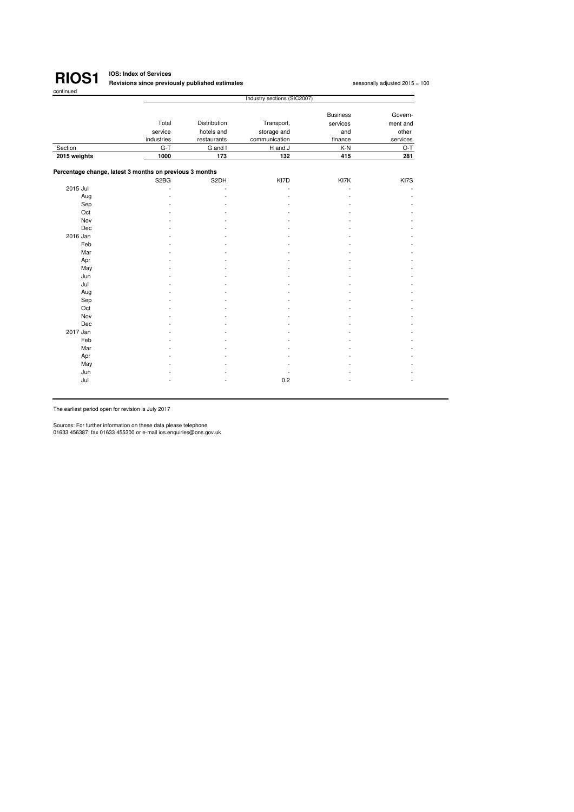

#### **IOS: Index of Services Revisions since previously published estimates<sup>1</sup>**

seasonally adjusted 2015 = 100

|              |                                                         |              | Industry sections (SIC2007) |                 |          |
|--------------|---------------------------------------------------------|--------------|-----------------------------|-----------------|----------|
|              |                                                         |              |                             | <b>Business</b> | Govern-  |
|              | Total                                                   | Distribution |                             |                 |          |
|              |                                                         |              | Transport,                  | services        | ment and |
|              | service<br>hotels and<br>storage and                    |              | and                         | other           |          |
|              | industries                                              | restaurants  | communication               | finance         | services |
| Section      | $G-T$                                                   | G and I      | H and J                     | K-N             | O-T      |
| 2015 weights | 1000                                                    | 173          | 132                         | 415             | 281      |
|              | Percentage change, latest 3 months on previous 3 months |              |                             |                 |          |
|              | S <sub>2</sub> B <sub>G</sub>                           | S2DH         | KI7D                        | KI7K            | KI7S     |
| 2015 Jul     |                                                         |              | ä,                          |                 |          |
| Aug          |                                                         |              |                             |                 |          |
| Sep          |                                                         |              |                             |                 |          |
| Oct          |                                                         |              |                             |                 |          |
| Nov          |                                                         |              |                             |                 |          |
| Dec          |                                                         |              |                             |                 |          |
| 2016 Jan     |                                                         |              |                             |                 |          |
| Feb          |                                                         |              |                             |                 |          |
| Mar          |                                                         |              |                             |                 |          |
| Apr          |                                                         |              |                             |                 |          |
| May          |                                                         |              |                             |                 |          |
| Jun          |                                                         |              |                             |                 |          |
| Jul          |                                                         |              |                             |                 |          |
| Aug          |                                                         |              |                             |                 |          |
| Sep          |                                                         |              |                             |                 |          |
| Oct          |                                                         |              |                             |                 |          |
| Nov          |                                                         |              |                             |                 |          |
| Dec          |                                                         |              |                             |                 |          |
| 2017 Jan     |                                                         |              |                             |                 |          |
| Feb          |                                                         |              |                             |                 |          |
| Mar          |                                                         |              |                             |                 |          |
| Apr          |                                                         |              |                             |                 |          |
| May          |                                                         |              |                             |                 |          |
| Jun          |                                                         |              |                             |                 |          |
| Jul          |                                                         |              | 0.2                         |                 |          |

The earliest period open for revision is July 2017

Sources: For further information on these data please telephone 01633 456387; fax 01633 455300 or e-mail ios.enquiries@ons.gov.uk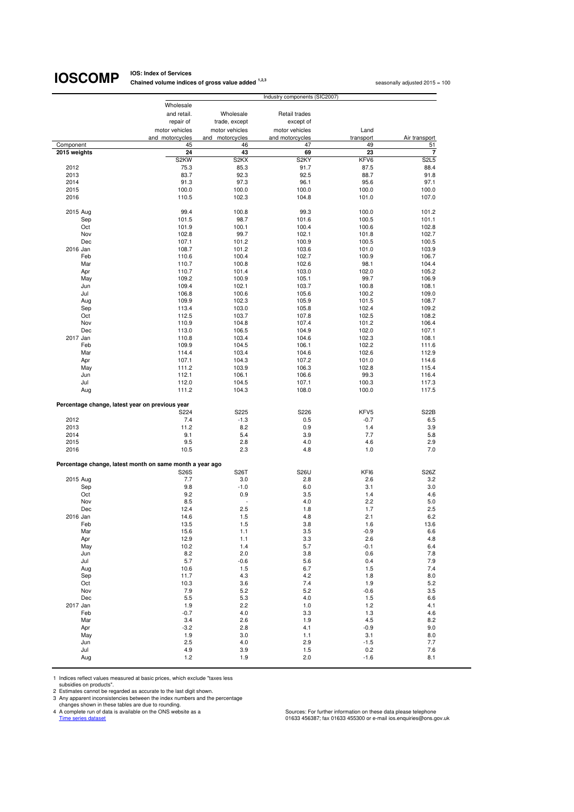## **IOSCOMP** Chained volume indice

**Chained volume indices of gross value added <sup>1,2,3</sup> seasonally adjusted 2015 = 100 seasonally adjusted 2015 = 100** 

| Wholesale<br>and retail.<br>Wholesale<br>Retail trades<br>repair of<br>trade, except<br>except of<br>motor vehicles<br>motor vehicles<br>Land<br>motor vehicles<br>and motorcycles<br>and motorcycles<br>and motorcycles<br>transport<br>Air transport<br>47<br>49<br>Component<br>45<br>46<br>51<br>23<br>$\overline{\mathbf{r}}$<br>24<br>43<br>69<br>2015 weights<br>S2KW<br>S <sub>2KY</sub><br>KFV6<br>S <sub>2</sub> L <sub>5</sub><br>S <sub>2</sub> KX<br>2012<br>75.3<br>85.3<br>91.7<br>87.5<br>88.4<br>2013<br>83.7<br>92.3<br>92.5<br>88.7<br>91.8<br>97.3<br>96.1<br>95.6<br>97.1<br>2014<br>91.3<br>2015<br>100.0<br>100.0<br>100.0<br>100.0<br>100.0<br>101.0<br>2016<br>110.5<br>102.3<br>104.8<br>107.0<br>2015 Aug<br>99.4<br>100.8<br>99.3<br>100.0<br>101.2<br>101.5<br>98.7<br>101.6<br>100.5<br>101.1<br>Sep<br>Oct<br>101.9<br>100.1<br>100.4<br>100.6<br>102.8<br>Nov<br>102.8<br>99.7<br>102.1<br>102.7<br>101.8<br>Dec<br>107.1<br>101.2<br>100.9<br>100.5<br>100.5<br>108.7<br>2016 Jan<br>101.2<br>103.6<br>101.0<br>103.9<br>Feb<br>100.4<br>102.7<br>110.6<br>100.9<br>106.7<br>98.1<br>Mar<br>110.7<br>100.8<br>102.6<br>104.4<br>103.0<br>Apr<br>110.7<br>101.4<br>102.0<br>105.2<br>100.9<br>99.7<br>May<br>109.2<br>105.1<br>106.9<br>103.7<br>Jun<br>109.4<br>102.1<br>100.8<br>108.1<br>Jul<br>106.8<br>100.6<br>105.6<br>100.2<br>109.0<br>102.3<br>105.9<br>101.5<br>Aug<br>109.9<br>108.7<br>102.4<br>Sep<br>113.4<br>103.0<br>105.8<br>109.2<br>Oct<br>112.5<br>103.7<br>107.8<br>102.5<br>108.2<br>Nov<br>107.4<br>101.2<br>110.9<br>104.8<br>106.4<br>Dec<br>113.0<br>106.5<br>104.9<br>102.0<br>107.1<br>2017 Jan<br>103.4<br>104.6<br>102.3<br>110.8<br>108.1<br>Feb<br>109.9<br>104.5<br>102.2<br>106.1<br>111.6<br>Mar<br>114.4<br>103.4<br>104.6<br>102.6<br>112.9<br>107.1<br>104.3<br>107.2<br>Apr<br>101.0<br>114.6<br>May<br>111.2<br>103.9<br>106.3<br>102.8<br>115.4<br>112.1<br>106.1<br>106.6<br>99.3<br>Jun<br>116.4<br>Jul<br>112.0<br>104.5<br>107.1<br>100.3<br>117.3<br>Aug<br>111.2<br>104.3<br>108.0<br>100.0<br>117.5<br>Percentage change, latest year on previous year<br>S225<br>S226<br>KFV5<br>S22B<br>S224<br>2012<br>7.4<br>$-1.3$<br>$-0.7$<br>0.5<br>6.5<br>3.9<br>2013<br>11.2<br>8.2<br>0.9<br>1.4<br>9.1<br>5.4<br>7.7<br>5.8<br>2014<br>3.9<br>2015<br>9.5<br>2.8<br>4.0<br>4.6<br>2.9<br>2016<br>10.5<br>2.3<br>4.8<br>1.0<br>7.0<br>Percentage change, latest month on same month a year ago<br><b>S26U</b><br>KFI6<br><b>S26S</b><br>S26T<br>S26Z<br>2015 Aug<br>7.7<br>3.0<br>2.8<br>2.6<br>3.2<br>9.8<br>$-1.0$<br>3.1<br>3.0<br>Sep<br>6.0<br>Oct<br>9.2<br>0.9<br>3.5<br>1.4<br>4.6<br>Nov<br>8.5<br>4.0<br>2.2<br>5.0<br>Dec<br>12.4<br>2.5<br>1.8<br>1.7<br>2.5<br>14.6<br>4.8<br>2.1<br>6.2<br>2016 Jan<br>1.5<br>Feb<br>13.5<br>1.5<br>3.8<br>13.6<br>1.6<br>Mar<br>15.6<br>1.1<br>6.6<br>3.5<br>-0.9<br>Apr<br>12.9<br>1.1<br>3.3<br>2.6<br>4.8<br>5.7<br>May<br>10.2<br>1.4<br>$-0.1$<br>6.4<br>8.2<br>2.0<br>3.8<br>0.6<br>7.8<br>Jun<br>5.7<br>$-0.6$<br>7.9<br>Jul<br>5.6<br>0.4<br>Aug<br>10.6<br>1.5<br>6.7<br>1.5<br>7.4<br>4.3<br>4.2<br>11.7<br>1.8<br>8.0<br>Sep<br>7.4<br>5.2<br>10.3<br>3.6<br>1.9<br>Oct<br>Nov<br>7.9<br>5.2<br>5.2<br>$-0.6$<br>3.5<br>$5.5\,$<br>Dec<br>5.3<br>4.0<br>1.5<br>6.6<br>2017 Jan<br>1.9<br>2.2<br>1.0<br>1.2<br>4.1<br>Feb<br>$-0.7$<br>4.0<br>3.3<br>1.3<br>4.6<br>4.5<br>Mar<br>3.4<br>2.6<br>1.9<br>8.2<br>Apr<br>$-3.2$<br>2.8<br>4.1<br>$-0.9$<br>9.0<br>1.9<br>3.0<br>1.1<br>3.1<br>8.0<br>May<br>2.5<br>4.0<br>2.9<br>$-1.5$<br>7.7<br>Jun<br>Jul<br>4.9<br>3.9<br>1.5<br>0.2<br>7.6<br>1.2<br>1.9<br>2.0<br>$-1.6$<br>8.1<br>Aug |  | Industry components (SIC2007) |  |
|------------------------------------------------------------------------------------------------------------------------------------------------------------------------------------------------------------------------------------------------------------------------------------------------------------------------------------------------------------------------------------------------------------------------------------------------------------------------------------------------------------------------------------------------------------------------------------------------------------------------------------------------------------------------------------------------------------------------------------------------------------------------------------------------------------------------------------------------------------------------------------------------------------------------------------------------------------------------------------------------------------------------------------------------------------------------------------------------------------------------------------------------------------------------------------------------------------------------------------------------------------------------------------------------------------------------------------------------------------------------------------------------------------------------------------------------------------------------------------------------------------------------------------------------------------------------------------------------------------------------------------------------------------------------------------------------------------------------------------------------------------------------------------------------------------------------------------------------------------------------------------------------------------------------------------------------------------------------------------------------------------------------------------------------------------------------------------------------------------------------------------------------------------------------------------------------------------------------------------------------------------------------------------------------------------------------------------------------------------------------------------------------------------------------------------------------------------------------------------------------------------------------------------------------------------------------------------------------------------------------------------------------------------------------------------------------------------------------------------------------------------------------------------------------------------------------------------------------------------------------------------------------------------------------------------------------------------------------------------------------------------------------------------------------------------------------------------------------------------------------------------------------------------------------------------------------------------------------------------------------------------------------------------------------------------------------------------------------------------------------------------------------------------------------------------------------------------------------------------------------------------------------------------------------------------------------------------------------------------------------------------------------------------------------------|--|-------------------------------|--|
|                                                                                                                                                                                                                                                                                                                                                                                                                                                                                                                                                                                                                                                                                                                                                                                                                                                                                                                                                                                                                                                                                                                                                                                                                                                                                                                                                                                                                                                                                                                                                                                                                                                                                                                                                                                                                                                                                                                                                                                                                                                                                                                                                                                                                                                                                                                                                                                                                                                                                                                                                                                                                                                                                                                                                                                                                                                                                                                                                                                                                                                                                                                                                                                                                                                                                                                                                                                                                                                                                                                                                                                                                                                                              |  |                               |  |
|                                                                                                                                                                                                                                                                                                                                                                                                                                                                                                                                                                                                                                                                                                                                                                                                                                                                                                                                                                                                                                                                                                                                                                                                                                                                                                                                                                                                                                                                                                                                                                                                                                                                                                                                                                                                                                                                                                                                                                                                                                                                                                                                                                                                                                                                                                                                                                                                                                                                                                                                                                                                                                                                                                                                                                                                                                                                                                                                                                                                                                                                                                                                                                                                                                                                                                                                                                                                                                                                                                                                                                                                                                                                              |  |                               |  |
|                                                                                                                                                                                                                                                                                                                                                                                                                                                                                                                                                                                                                                                                                                                                                                                                                                                                                                                                                                                                                                                                                                                                                                                                                                                                                                                                                                                                                                                                                                                                                                                                                                                                                                                                                                                                                                                                                                                                                                                                                                                                                                                                                                                                                                                                                                                                                                                                                                                                                                                                                                                                                                                                                                                                                                                                                                                                                                                                                                                                                                                                                                                                                                                                                                                                                                                                                                                                                                                                                                                                                                                                                                                                              |  |                               |  |
|                                                                                                                                                                                                                                                                                                                                                                                                                                                                                                                                                                                                                                                                                                                                                                                                                                                                                                                                                                                                                                                                                                                                                                                                                                                                                                                                                                                                                                                                                                                                                                                                                                                                                                                                                                                                                                                                                                                                                                                                                                                                                                                                                                                                                                                                                                                                                                                                                                                                                                                                                                                                                                                                                                                                                                                                                                                                                                                                                                                                                                                                                                                                                                                                                                                                                                                                                                                                                                                                                                                                                                                                                                                                              |  |                               |  |
|                                                                                                                                                                                                                                                                                                                                                                                                                                                                                                                                                                                                                                                                                                                                                                                                                                                                                                                                                                                                                                                                                                                                                                                                                                                                                                                                                                                                                                                                                                                                                                                                                                                                                                                                                                                                                                                                                                                                                                                                                                                                                                                                                                                                                                                                                                                                                                                                                                                                                                                                                                                                                                                                                                                                                                                                                                                                                                                                                                                                                                                                                                                                                                                                                                                                                                                                                                                                                                                                                                                                                                                                                                                                              |  |                               |  |
|                                                                                                                                                                                                                                                                                                                                                                                                                                                                                                                                                                                                                                                                                                                                                                                                                                                                                                                                                                                                                                                                                                                                                                                                                                                                                                                                                                                                                                                                                                                                                                                                                                                                                                                                                                                                                                                                                                                                                                                                                                                                                                                                                                                                                                                                                                                                                                                                                                                                                                                                                                                                                                                                                                                                                                                                                                                                                                                                                                                                                                                                                                                                                                                                                                                                                                                                                                                                                                                                                                                                                                                                                                                                              |  |                               |  |
|                                                                                                                                                                                                                                                                                                                                                                                                                                                                                                                                                                                                                                                                                                                                                                                                                                                                                                                                                                                                                                                                                                                                                                                                                                                                                                                                                                                                                                                                                                                                                                                                                                                                                                                                                                                                                                                                                                                                                                                                                                                                                                                                                                                                                                                                                                                                                                                                                                                                                                                                                                                                                                                                                                                                                                                                                                                                                                                                                                                                                                                                                                                                                                                                                                                                                                                                                                                                                                                                                                                                                                                                                                                                              |  |                               |  |
|                                                                                                                                                                                                                                                                                                                                                                                                                                                                                                                                                                                                                                                                                                                                                                                                                                                                                                                                                                                                                                                                                                                                                                                                                                                                                                                                                                                                                                                                                                                                                                                                                                                                                                                                                                                                                                                                                                                                                                                                                                                                                                                                                                                                                                                                                                                                                                                                                                                                                                                                                                                                                                                                                                                                                                                                                                                                                                                                                                                                                                                                                                                                                                                                                                                                                                                                                                                                                                                                                                                                                                                                                                                                              |  |                               |  |
|                                                                                                                                                                                                                                                                                                                                                                                                                                                                                                                                                                                                                                                                                                                                                                                                                                                                                                                                                                                                                                                                                                                                                                                                                                                                                                                                                                                                                                                                                                                                                                                                                                                                                                                                                                                                                                                                                                                                                                                                                                                                                                                                                                                                                                                                                                                                                                                                                                                                                                                                                                                                                                                                                                                                                                                                                                                                                                                                                                                                                                                                                                                                                                                                                                                                                                                                                                                                                                                                                                                                                                                                                                                                              |  |                               |  |
|                                                                                                                                                                                                                                                                                                                                                                                                                                                                                                                                                                                                                                                                                                                                                                                                                                                                                                                                                                                                                                                                                                                                                                                                                                                                                                                                                                                                                                                                                                                                                                                                                                                                                                                                                                                                                                                                                                                                                                                                                                                                                                                                                                                                                                                                                                                                                                                                                                                                                                                                                                                                                                                                                                                                                                                                                                                                                                                                                                                                                                                                                                                                                                                                                                                                                                                                                                                                                                                                                                                                                                                                                                                                              |  |                               |  |
|                                                                                                                                                                                                                                                                                                                                                                                                                                                                                                                                                                                                                                                                                                                                                                                                                                                                                                                                                                                                                                                                                                                                                                                                                                                                                                                                                                                                                                                                                                                                                                                                                                                                                                                                                                                                                                                                                                                                                                                                                                                                                                                                                                                                                                                                                                                                                                                                                                                                                                                                                                                                                                                                                                                                                                                                                                                                                                                                                                                                                                                                                                                                                                                                                                                                                                                                                                                                                                                                                                                                                                                                                                                                              |  |                               |  |
|                                                                                                                                                                                                                                                                                                                                                                                                                                                                                                                                                                                                                                                                                                                                                                                                                                                                                                                                                                                                                                                                                                                                                                                                                                                                                                                                                                                                                                                                                                                                                                                                                                                                                                                                                                                                                                                                                                                                                                                                                                                                                                                                                                                                                                                                                                                                                                                                                                                                                                                                                                                                                                                                                                                                                                                                                                                                                                                                                                                                                                                                                                                                                                                                                                                                                                                                                                                                                                                                                                                                                                                                                                                                              |  |                               |  |
|                                                                                                                                                                                                                                                                                                                                                                                                                                                                                                                                                                                                                                                                                                                                                                                                                                                                                                                                                                                                                                                                                                                                                                                                                                                                                                                                                                                                                                                                                                                                                                                                                                                                                                                                                                                                                                                                                                                                                                                                                                                                                                                                                                                                                                                                                                                                                                                                                                                                                                                                                                                                                                                                                                                                                                                                                                                                                                                                                                                                                                                                                                                                                                                                                                                                                                                                                                                                                                                                                                                                                                                                                                                                              |  |                               |  |
|                                                                                                                                                                                                                                                                                                                                                                                                                                                                                                                                                                                                                                                                                                                                                                                                                                                                                                                                                                                                                                                                                                                                                                                                                                                                                                                                                                                                                                                                                                                                                                                                                                                                                                                                                                                                                                                                                                                                                                                                                                                                                                                                                                                                                                                                                                                                                                                                                                                                                                                                                                                                                                                                                                                                                                                                                                                                                                                                                                                                                                                                                                                                                                                                                                                                                                                                                                                                                                                                                                                                                                                                                                                                              |  |                               |  |
|                                                                                                                                                                                                                                                                                                                                                                                                                                                                                                                                                                                                                                                                                                                                                                                                                                                                                                                                                                                                                                                                                                                                                                                                                                                                                                                                                                                                                                                                                                                                                                                                                                                                                                                                                                                                                                                                                                                                                                                                                                                                                                                                                                                                                                                                                                                                                                                                                                                                                                                                                                                                                                                                                                                                                                                                                                                                                                                                                                                                                                                                                                                                                                                                                                                                                                                                                                                                                                                                                                                                                                                                                                                                              |  |                               |  |
|                                                                                                                                                                                                                                                                                                                                                                                                                                                                                                                                                                                                                                                                                                                                                                                                                                                                                                                                                                                                                                                                                                                                                                                                                                                                                                                                                                                                                                                                                                                                                                                                                                                                                                                                                                                                                                                                                                                                                                                                                                                                                                                                                                                                                                                                                                                                                                                                                                                                                                                                                                                                                                                                                                                                                                                                                                                                                                                                                                                                                                                                                                                                                                                                                                                                                                                                                                                                                                                                                                                                                                                                                                                                              |  |                               |  |
|                                                                                                                                                                                                                                                                                                                                                                                                                                                                                                                                                                                                                                                                                                                                                                                                                                                                                                                                                                                                                                                                                                                                                                                                                                                                                                                                                                                                                                                                                                                                                                                                                                                                                                                                                                                                                                                                                                                                                                                                                                                                                                                                                                                                                                                                                                                                                                                                                                                                                                                                                                                                                                                                                                                                                                                                                                                                                                                                                                                                                                                                                                                                                                                                                                                                                                                                                                                                                                                                                                                                                                                                                                                                              |  |                               |  |
|                                                                                                                                                                                                                                                                                                                                                                                                                                                                                                                                                                                                                                                                                                                                                                                                                                                                                                                                                                                                                                                                                                                                                                                                                                                                                                                                                                                                                                                                                                                                                                                                                                                                                                                                                                                                                                                                                                                                                                                                                                                                                                                                                                                                                                                                                                                                                                                                                                                                                                                                                                                                                                                                                                                                                                                                                                                                                                                                                                                                                                                                                                                                                                                                                                                                                                                                                                                                                                                                                                                                                                                                                                                                              |  |                               |  |
|                                                                                                                                                                                                                                                                                                                                                                                                                                                                                                                                                                                                                                                                                                                                                                                                                                                                                                                                                                                                                                                                                                                                                                                                                                                                                                                                                                                                                                                                                                                                                                                                                                                                                                                                                                                                                                                                                                                                                                                                                                                                                                                                                                                                                                                                                                                                                                                                                                                                                                                                                                                                                                                                                                                                                                                                                                                                                                                                                                                                                                                                                                                                                                                                                                                                                                                                                                                                                                                                                                                                                                                                                                                                              |  |                               |  |
|                                                                                                                                                                                                                                                                                                                                                                                                                                                                                                                                                                                                                                                                                                                                                                                                                                                                                                                                                                                                                                                                                                                                                                                                                                                                                                                                                                                                                                                                                                                                                                                                                                                                                                                                                                                                                                                                                                                                                                                                                                                                                                                                                                                                                                                                                                                                                                                                                                                                                                                                                                                                                                                                                                                                                                                                                                                                                                                                                                                                                                                                                                                                                                                                                                                                                                                                                                                                                                                                                                                                                                                                                                                                              |  |                               |  |
|                                                                                                                                                                                                                                                                                                                                                                                                                                                                                                                                                                                                                                                                                                                                                                                                                                                                                                                                                                                                                                                                                                                                                                                                                                                                                                                                                                                                                                                                                                                                                                                                                                                                                                                                                                                                                                                                                                                                                                                                                                                                                                                                                                                                                                                                                                                                                                                                                                                                                                                                                                                                                                                                                                                                                                                                                                                                                                                                                                                                                                                                                                                                                                                                                                                                                                                                                                                                                                                                                                                                                                                                                                                                              |  |                               |  |
|                                                                                                                                                                                                                                                                                                                                                                                                                                                                                                                                                                                                                                                                                                                                                                                                                                                                                                                                                                                                                                                                                                                                                                                                                                                                                                                                                                                                                                                                                                                                                                                                                                                                                                                                                                                                                                                                                                                                                                                                                                                                                                                                                                                                                                                                                                                                                                                                                                                                                                                                                                                                                                                                                                                                                                                                                                                                                                                                                                                                                                                                                                                                                                                                                                                                                                                                                                                                                                                                                                                                                                                                                                                                              |  |                               |  |
|                                                                                                                                                                                                                                                                                                                                                                                                                                                                                                                                                                                                                                                                                                                                                                                                                                                                                                                                                                                                                                                                                                                                                                                                                                                                                                                                                                                                                                                                                                                                                                                                                                                                                                                                                                                                                                                                                                                                                                                                                                                                                                                                                                                                                                                                                                                                                                                                                                                                                                                                                                                                                                                                                                                                                                                                                                                                                                                                                                                                                                                                                                                                                                                                                                                                                                                                                                                                                                                                                                                                                                                                                                                                              |  |                               |  |
|                                                                                                                                                                                                                                                                                                                                                                                                                                                                                                                                                                                                                                                                                                                                                                                                                                                                                                                                                                                                                                                                                                                                                                                                                                                                                                                                                                                                                                                                                                                                                                                                                                                                                                                                                                                                                                                                                                                                                                                                                                                                                                                                                                                                                                                                                                                                                                                                                                                                                                                                                                                                                                                                                                                                                                                                                                                                                                                                                                                                                                                                                                                                                                                                                                                                                                                                                                                                                                                                                                                                                                                                                                                                              |  |                               |  |
|                                                                                                                                                                                                                                                                                                                                                                                                                                                                                                                                                                                                                                                                                                                                                                                                                                                                                                                                                                                                                                                                                                                                                                                                                                                                                                                                                                                                                                                                                                                                                                                                                                                                                                                                                                                                                                                                                                                                                                                                                                                                                                                                                                                                                                                                                                                                                                                                                                                                                                                                                                                                                                                                                                                                                                                                                                                                                                                                                                                                                                                                                                                                                                                                                                                                                                                                                                                                                                                                                                                                                                                                                                                                              |  |                               |  |
|                                                                                                                                                                                                                                                                                                                                                                                                                                                                                                                                                                                                                                                                                                                                                                                                                                                                                                                                                                                                                                                                                                                                                                                                                                                                                                                                                                                                                                                                                                                                                                                                                                                                                                                                                                                                                                                                                                                                                                                                                                                                                                                                                                                                                                                                                                                                                                                                                                                                                                                                                                                                                                                                                                                                                                                                                                                                                                                                                                                                                                                                                                                                                                                                                                                                                                                                                                                                                                                                                                                                                                                                                                                                              |  |                               |  |
|                                                                                                                                                                                                                                                                                                                                                                                                                                                                                                                                                                                                                                                                                                                                                                                                                                                                                                                                                                                                                                                                                                                                                                                                                                                                                                                                                                                                                                                                                                                                                                                                                                                                                                                                                                                                                                                                                                                                                                                                                                                                                                                                                                                                                                                                                                                                                                                                                                                                                                                                                                                                                                                                                                                                                                                                                                                                                                                                                                                                                                                                                                                                                                                                                                                                                                                                                                                                                                                                                                                                                                                                                                                                              |  |                               |  |
|                                                                                                                                                                                                                                                                                                                                                                                                                                                                                                                                                                                                                                                                                                                                                                                                                                                                                                                                                                                                                                                                                                                                                                                                                                                                                                                                                                                                                                                                                                                                                                                                                                                                                                                                                                                                                                                                                                                                                                                                                                                                                                                                                                                                                                                                                                                                                                                                                                                                                                                                                                                                                                                                                                                                                                                                                                                                                                                                                                                                                                                                                                                                                                                                                                                                                                                                                                                                                                                                                                                                                                                                                                                                              |  |                               |  |
|                                                                                                                                                                                                                                                                                                                                                                                                                                                                                                                                                                                                                                                                                                                                                                                                                                                                                                                                                                                                                                                                                                                                                                                                                                                                                                                                                                                                                                                                                                                                                                                                                                                                                                                                                                                                                                                                                                                                                                                                                                                                                                                                                                                                                                                                                                                                                                                                                                                                                                                                                                                                                                                                                                                                                                                                                                                                                                                                                                                                                                                                                                                                                                                                                                                                                                                                                                                                                                                                                                                                                                                                                                                                              |  |                               |  |
|                                                                                                                                                                                                                                                                                                                                                                                                                                                                                                                                                                                                                                                                                                                                                                                                                                                                                                                                                                                                                                                                                                                                                                                                                                                                                                                                                                                                                                                                                                                                                                                                                                                                                                                                                                                                                                                                                                                                                                                                                                                                                                                                                                                                                                                                                                                                                                                                                                                                                                                                                                                                                                                                                                                                                                                                                                                                                                                                                                                                                                                                                                                                                                                                                                                                                                                                                                                                                                                                                                                                                                                                                                                                              |  |                               |  |
|                                                                                                                                                                                                                                                                                                                                                                                                                                                                                                                                                                                                                                                                                                                                                                                                                                                                                                                                                                                                                                                                                                                                                                                                                                                                                                                                                                                                                                                                                                                                                                                                                                                                                                                                                                                                                                                                                                                                                                                                                                                                                                                                                                                                                                                                                                                                                                                                                                                                                                                                                                                                                                                                                                                                                                                                                                                                                                                                                                                                                                                                                                                                                                                                                                                                                                                                                                                                                                                                                                                                                                                                                                                                              |  |                               |  |
|                                                                                                                                                                                                                                                                                                                                                                                                                                                                                                                                                                                                                                                                                                                                                                                                                                                                                                                                                                                                                                                                                                                                                                                                                                                                                                                                                                                                                                                                                                                                                                                                                                                                                                                                                                                                                                                                                                                                                                                                                                                                                                                                                                                                                                                                                                                                                                                                                                                                                                                                                                                                                                                                                                                                                                                                                                                                                                                                                                                                                                                                                                                                                                                                                                                                                                                                                                                                                                                                                                                                                                                                                                                                              |  |                               |  |
|                                                                                                                                                                                                                                                                                                                                                                                                                                                                                                                                                                                                                                                                                                                                                                                                                                                                                                                                                                                                                                                                                                                                                                                                                                                                                                                                                                                                                                                                                                                                                                                                                                                                                                                                                                                                                                                                                                                                                                                                                                                                                                                                                                                                                                                                                                                                                                                                                                                                                                                                                                                                                                                                                                                                                                                                                                                                                                                                                                                                                                                                                                                                                                                                                                                                                                                                                                                                                                                                                                                                                                                                                                                                              |  |                               |  |
|                                                                                                                                                                                                                                                                                                                                                                                                                                                                                                                                                                                                                                                                                                                                                                                                                                                                                                                                                                                                                                                                                                                                                                                                                                                                                                                                                                                                                                                                                                                                                                                                                                                                                                                                                                                                                                                                                                                                                                                                                                                                                                                                                                                                                                                                                                                                                                                                                                                                                                                                                                                                                                                                                                                                                                                                                                                                                                                                                                                                                                                                                                                                                                                                                                                                                                                                                                                                                                                                                                                                                                                                                                                                              |  |                               |  |
|                                                                                                                                                                                                                                                                                                                                                                                                                                                                                                                                                                                                                                                                                                                                                                                                                                                                                                                                                                                                                                                                                                                                                                                                                                                                                                                                                                                                                                                                                                                                                                                                                                                                                                                                                                                                                                                                                                                                                                                                                                                                                                                                                                                                                                                                                                                                                                                                                                                                                                                                                                                                                                                                                                                                                                                                                                                                                                                                                                                                                                                                                                                                                                                                                                                                                                                                                                                                                                                                                                                                                                                                                                                                              |  |                               |  |
|                                                                                                                                                                                                                                                                                                                                                                                                                                                                                                                                                                                                                                                                                                                                                                                                                                                                                                                                                                                                                                                                                                                                                                                                                                                                                                                                                                                                                                                                                                                                                                                                                                                                                                                                                                                                                                                                                                                                                                                                                                                                                                                                                                                                                                                                                                                                                                                                                                                                                                                                                                                                                                                                                                                                                                                                                                                                                                                                                                                                                                                                                                                                                                                                                                                                                                                                                                                                                                                                                                                                                                                                                                                                              |  |                               |  |
|                                                                                                                                                                                                                                                                                                                                                                                                                                                                                                                                                                                                                                                                                                                                                                                                                                                                                                                                                                                                                                                                                                                                                                                                                                                                                                                                                                                                                                                                                                                                                                                                                                                                                                                                                                                                                                                                                                                                                                                                                                                                                                                                                                                                                                                                                                                                                                                                                                                                                                                                                                                                                                                                                                                                                                                                                                                                                                                                                                                                                                                                                                                                                                                                                                                                                                                                                                                                                                                                                                                                                                                                                                                                              |  |                               |  |
|                                                                                                                                                                                                                                                                                                                                                                                                                                                                                                                                                                                                                                                                                                                                                                                                                                                                                                                                                                                                                                                                                                                                                                                                                                                                                                                                                                                                                                                                                                                                                                                                                                                                                                                                                                                                                                                                                                                                                                                                                                                                                                                                                                                                                                                                                                                                                                                                                                                                                                                                                                                                                                                                                                                                                                                                                                                                                                                                                                                                                                                                                                                                                                                                                                                                                                                                                                                                                                                                                                                                                                                                                                                                              |  |                               |  |
|                                                                                                                                                                                                                                                                                                                                                                                                                                                                                                                                                                                                                                                                                                                                                                                                                                                                                                                                                                                                                                                                                                                                                                                                                                                                                                                                                                                                                                                                                                                                                                                                                                                                                                                                                                                                                                                                                                                                                                                                                                                                                                                                                                                                                                                                                                                                                                                                                                                                                                                                                                                                                                                                                                                                                                                                                                                                                                                                                                                                                                                                                                                                                                                                                                                                                                                                                                                                                                                                                                                                                                                                                                                                              |  |                               |  |
|                                                                                                                                                                                                                                                                                                                                                                                                                                                                                                                                                                                                                                                                                                                                                                                                                                                                                                                                                                                                                                                                                                                                                                                                                                                                                                                                                                                                                                                                                                                                                                                                                                                                                                                                                                                                                                                                                                                                                                                                                                                                                                                                                                                                                                                                                                                                                                                                                                                                                                                                                                                                                                                                                                                                                                                                                                                                                                                                                                                                                                                                                                                                                                                                                                                                                                                                                                                                                                                                                                                                                                                                                                                                              |  |                               |  |
|                                                                                                                                                                                                                                                                                                                                                                                                                                                                                                                                                                                                                                                                                                                                                                                                                                                                                                                                                                                                                                                                                                                                                                                                                                                                                                                                                                                                                                                                                                                                                                                                                                                                                                                                                                                                                                                                                                                                                                                                                                                                                                                                                                                                                                                                                                                                                                                                                                                                                                                                                                                                                                                                                                                                                                                                                                                                                                                                                                                                                                                                                                                                                                                                                                                                                                                                                                                                                                                                                                                                                                                                                                                                              |  |                               |  |
|                                                                                                                                                                                                                                                                                                                                                                                                                                                                                                                                                                                                                                                                                                                                                                                                                                                                                                                                                                                                                                                                                                                                                                                                                                                                                                                                                                                                                                                                                                                                                                                                                                                                                                                                                                                                                                                                                                                                                                                                                                                                                                                                                                                                                                                                                                                                                                                                                                                                                                                                                                                                                                                                                                                                                                                                                                                                                                                                                                                                                                                                                                                                                                                                                                                                                                                                                                                                                                                                                                                                                                                                                                                                              |  |                               |  |
|                                                                                                                                                                                                                                                                                                                                                                                                                                                                                                                                                                                                                                                                                                                                                                                                                                                                                                                                                                                                                                                                                                                                                                                                                                                                                                                                                                                                                                                                                                                                                                                                                                                                                                                                                                                                                                                                                                                                                                                                                                                                                                                                                                                                                                                                                                                                                                                                                                                                                                                                                                                                                                                                                                                                                                                                                                                                                                                                                                                                                                                                                                                                                                                                                                                                                                                                                                                                                                                                                                                                                                                                                                                                              |  |                               |  |
|                                                                                                                                                                                                                                                                                                                                                                                                                                                                                                                                                                                                                                                                                                                                                                                                                                                                                                                                                                                                                                                                                                                                                                                                                                                                                                                                                                                                                                                                                                                                                                                                                                                                                                                                                                                                                                                                                                                                                                                                                                                                                                                                                                                                                                                                                                                                                                                                                                                                                                                                                                                                                                                                                                                                                                                                                                                                                                                                                                                                                                                                                                                                                                                                                                                                                                                                                                                                                                                                                                                                                                                                                                                                              |  |                               |  |
|                                                                                                                                                                                                                                                                                                                                                                                                                                                                                                                                                                                                                                                                                                                                                                                                                                                                                                                                                                                                                                                                                                                                                                                                                                                                                                                                                                                                                                                                                                                                                                                                                                                                                                                                                                                                                                                                                                                                                                                                                                                                                                                                                                                                                                                                                                                                                                                                                                                                                                                                                                                                                                                                                                                                                                                                                                                                                                                                                                                                                                                                                                                                                                                                                                                                                                                                                                                                                                                                                                                                                                                                                                                                              |  |                               |  |
|                                                                                                                                                                                                                                                                                                                                                                                                                                                                                                                                                                                                                                                                                                                                                                                                                                                                                                                                                                                                                                                                                                                                                                                                                                                                                                                                                                                                                                                                                                                                                                                                                                                                                                                                                                                                                                                                                                                                                                                                                                                                                                                                                                                                                                                                                                                                                                                                                                                                                                                                                                                                                                                                                                                                                                                                                                                                                                                                                                                                                                                                                                                                                                                                                                                                                                                                                                                                                                                                                                                                                                                                                                                                              |  |                               |  |
|                                                                                                                                                                                                                                                                                                                                                                                                                                                                                                                                                                                                                                                                                                                                                                                                                                                                                                                                                                                                                                                                                                                                                                                                                                                                                                                                                                                                                                                                                                                                                                                                                                                                                                                                                                                                                                                                                                                                                                                                                                                                                                                                                                                                                                                                                                                                                                                                                                                                                                                                                                                                                                                                                                                                                                                                                                                                                                                                                                                                                                                                                                                                                                                                                                                                                                                                                                                                                                                                                                                                                                                                                                                                              |  |                               |  |
|                                                                                                                                                                                                                                                                                                                                                                                                                                                                                                                                                                                                                                                                                                                                                                                                                                                                                                                                                                                                                                                                                                                                                                                                                                                                                                                                                                                                                                                                                                                                                                                                                                                                                                                                                                                                                                                                                                                                                                                                                                                                                                                                                                                                                                                                                                                                                                                                                                                                                                                                                                                                                                                                                                                                                                                                                                                                                                                                                                                                                                                                                                                                                                                                                                                                                                                                                                                                                                                                                                                                                                                                                                                                              |  |                               |  |
|                                                                                                                                                                                                                                                                                                                                                                                                                                                                                                                                                                                                                                                                                                                                                                                                                                                                                                                                                                                                                                                                                                                                                                                                                                                                                                                                                                                                                                                                                                                                                                                                                                                                                                                                                                                                                                                                                                                                                                                                                                                                                                                                                                                                                                                                                                                                                                                                                                                                                                                                                                                                                                                                                                                                                                                                                                                                                                                                                                                                                                                                                                                                                                                                                                                                                                                                                                                                                                                                                                                                                                                                                                                                              |  |                               |  |
|                                                                                                                                                                                                                                                                                                                                                                                                                                                                                                                                                                                                                                                                                                                                                                                                                                                                                                                                                                                                                                                                                                                                                                                                                                                                                                                                                                                                                                                                                                                                                                                                                                                                                                                                                                                                                                                                                                                                                                                                                                                                                                                                                                                                                                                                                                                                                                                                                                                                                                                                                                                                                                                                                                                                                                                                                                                                                                                                                                                                                                                                                                                                                                                                                                                                                                                                                                                                                                                                                                                                                                                                                                                                              |  |                               |  |
|                                                                                                                                                                                                                                                                                                                                                                                                                                                                                                                                                                                                                                                                                                                                                                                                                                                                                                                                                                                                                                                                                                                                                                                                                                                                                                                                                                                                                                                                                                                                                                                                                                                                                                                                                                                                                                                                                                                                                                                                                                                                                                                                                                                                                                                                                                                                                                                                                                                                                                                                                                                                                                                                                                                                                                                                                                                                                                                                                                                                                                                                                                                                                                                                                                                                                                                                                                                                                                                                                                                                                                                                                                                                              |  |                               |  |
|                                                                                                                                                                                                                                                                                                                                                                                                                                                                                                                                                                                                                                                                                                                                                                                                                                                                                                                                                                                                                                                                                                                                                                                                                                                                                                                                                                                                                                                                                                                                                                                                                                                                                                                                                                                                                                                                                                                                                                                                                                                                                                                                                                                                                                                                                                                                                                                                                                                                                                                                                                                                                                                                                                                                                                                                                                                                                                                                                                                                                                                                                                                                                                                                                                                                                                                                                                                                                                                                                                                                                                                                                                                                              |  |                               |  |
|                                                                                                                                                                                                                                                                                                                                                                                                                                                                                                                                                                                                                                                                                                                                                                                                                                                                                                                                                                                                                                                                                                                                                                                                                                                                                                                                                                                                                                                                                                                                                                                                                                                                                                                                                                                                                                                                                                                                                                                                                                                                                                                                                                                                                                                                                                                                                                                                                                                                                                                                                                                                                                                                                                                                                                                                                                                                                                                                                                                                                                                                                                                                                                                                                                                                                                                                                                                                                                                                                                                                                                                                                                                                              |  |                               |  |
|                                                                                                                                                                                                                                                                                                                                                                                                                                                                                                                                                                                                                                                                                                                                                                                                                                                                                                                                                                                                                                                                                                                                                                                                                                                                                                                                                                                                                                                                                                                                                                                                                                                                                                                                                                                                                                                                                                                                                                                                                                                                                                                                                                                                                                                                                                                                                                                                                                                                                                                                                                                                                                                                                                                                                                                                                                                                                                                                                                                                                                                                                                                                                                                                                                                                                                                                                                                                                                                                                                                                                                                                                                                                              |  |                               |  |
|                                                                                                                                                                                                                                                                                                                                                                                                                                                                                                                                                                                                                                                                                                                                                                                                                                                                                                                                                                                                                                                                                                                                                                                                                                                                                                                                                                                                                                                                                                                                                                                                                                                                                                                                                                                                                                                                                                                                                                                                                                                                                                                                                                                                                                                                                                                                                                                                                                                                                                                                                                                                                                                                                                                                                                                                                                                                                                                                                                                                                                                                                                                                                                                                                                                                                                                                                                                                                                                                                                                                                                                                                                                                              |  |                               |  |
|                                                                                                                                                                                                                                                                                                                                                                                                                                                                                                                                                                                                                                                                                                                                                                                                                                                                                                                                                                                                                                                                                                                                                                                                                                                                                                                                                                                                                                                                                                                                                                                                                                                                                                                                                                                                                                                                                                                                                                                                                                                                                                                                                                                                                                                                                                                                                                                                                                                                                                                                                                                                                                                                                                                                                                                                                                                                                                                                                                                                                                                                                                                                                                                                                                                                                                                                                                                                                                                                                                                                                                                                                                                                              |  |                               |  |
|                                                                                                                                                                                                                                                                                                                                                                                                                                                                                                                                                                                                                                                                                                                                                                                                                                                                                                                                                                                                                                                                                                                                                                                                                                                                                                                                                                                                                                                                                                                                                                                                                                                                                                                                                                                                                                                                                                                                                                                                                                                                                                                                                                                                                                                                                                                                                                                                                                                                                                                                                                                                                                                                                                                                                                                                                                                                                                                                                                                                                                                                                                                                                                                                                                                                                                                                                                                                                                                                                                                                                                                                                                                                              |  |                               |  |
|                                                                                                                                                                                                                                                                                                                                                                                                                                                                                                                                                                                                                                                                                                                                                                                                                                                                                                                                                                                                                                                                                                                                                                                                                                                                                                                                                                                                                                                                                                                                                                                                                                                                                                                                                                                                                                                                                                                                                                                                                                                                                                                                                                                                                                                                                                                                                                                                                                                                                                                                                                                                                                                                                                                                                                                                                                                                                                                                                                                                                                                                                                                                                                                                                                                                                                                                                                                                                                                                                                                                                                                                                                                                              |  |                               |  |
|                                                                                                                                                                                                                                                                                                                                                                                                                                                                                                                                                                                                                                                                                                                                                                                                                                                                                                                                                                                                                                                                                                                                                                                                                                                                                                                                                                                                                                                                                                                                                                                                                                                                                                                                                                                                                                                                                                                                                                                                                                                                                                                                                                                                                                                                                                                                                                                                                                                                                                                                                                                                                                                                                                                                                                                                                                                                                                                                                                                                                                                                                                                                                                                                                                                                                                                                                                                                                                                                                                                                                                                                                                                                              |  |                               |  |
|                                                                                                                                                                                                                                                                                                                                                                                                                                                                                                                                                                                                                                                                                                                                                                                                                                                                                                                                                                                                                                                                                                                                                                                                                                                                                                                                                                                                                                                                                                                                                                                                                                                                                                                                                                                                                                                                                                                                                                                                                                                                                                                                                                                                                                                                                                                                                                                                                                                                                                                                                                                                                                                                                                                                                                                                                                                                                                                                                                                                                                                                                                                                                                                                                                                                                                                                                                                                                                                                                                                                                                                                                                                                              |  |                               |  |
|                                                                                                                                                                                                                                                                                                                                                                                                                                                                                                                                                                                                                                                                                                                                                                                                                                                                                                                                                                                                                                                                                                                                                                                                                                                                                                                                                                                                                                                                                                                                                                                                                                                                                                                                                                                                                                                                                                                                                                                                                                                                                                                                                                                                                                                                                                                                                                                                                                                                                                                                                                                                                                                                                                                                                                                                                                                                                                                                                                                                                                                                                                                                                                                                                                                                                                                                                                                                                                                                                                                                                                                                                                                                              |  |                               |  |
|                                                                                                                                                                                                                                                                                                                                                                                                                                                                                                                                                                                                                                                                                                                                                                                                                                                                                                                                                                                                                                                                                                                                                                                                                                                                                                                                                                                                                                                                                                                                                                                                                                                                                                                                                                                                                                                                                                                                                                                                                                                                                                                                                                                                                                                                                                                                                                                                                                                                                                                                                                                                                                                                                                                                                                                                                                                                                                                                                                                                                                                                                                                                                                                                                                                                                                                                                                                                                                                                                                                                                                                                                                                                              |  |                               |  |
|                                                                                                                                                                                                                                                                                                                                                                                                                                                                                                                                                                                                                                                                                                                                                                                                                                                                                                                                                                                                                                                                                                                                                                                                                                                                                                                                                                                                                                                                                                                                                                                                                                                                                                                                                                                                                                                                                                                                                                                                                                                                                                                                                                                                                                                                                                                                                                                                                                                                                                                                                                                                                                                                                                                                                                                                                                                                                                                                                                                                                                                                                                                                                                                                                                                                                                                                                                                                                                                                                                                                                                                                                                                                              |  |                               |  |
|                                                                                                                                                                                                                                                                                                                                                                                                                                                                                                                                                                                                                                                                                                                                                                                                                                                                                                                                                                                                                                                                                                                                                                                                                                                                                                                                                                                                                                                                                                                                                                                                                                                                                                                                                                                                                                                                                                                                                                                                                                                                                                                                                                                                                                                                                                                                                                                                                                                                                                                                                                                                                                                                                                                                                                                                                                                                                                                                                                                                                                                                                                                                                                                                                                                                                                                                                                                                                                                                                                                                                                                                                                                                              |  |                               |  |
|                                                                                                                                                                                                                                                                                                                                                                                                                                                                                                                                                                                                                                                                                                                                                                                                                                                                                                                                                                                                                                                                                                                                                                                                                                                                                                                                                                                                                                                                                                                                                                                                                                                                                                                                                                                                                                                                                                                                                                                                                                                                                                                                                                                                                                                                                                                                                                                                                                                                                                                                                                                                                                                                                                                                                                                                                                                                                                                                                                                                                                                                                                                                                                                                                                                                                                                                                                                                                                                                                                                                                                                                                                                                              |  |                               |  |
|                                                                                                                                                                                                                                                                                                                                                                                                                                                                                                                                                                                                                                                                                                                                                                                                                                                                                                                                                                                                                                                                                                                                                                                                                                                                                                                                                                                                                                                                                                                                                                                                                                                                                                                                                                                                                                                                                                                                                                                                                                                                                                                                                                                                                                                                                                                                                                                                                                                                                                                                                                                                                                                                                                                                                                                                                                                                                                                                                                                                                                                                                                                                                                                                                                                                                                                                                                                                                                                                                                                                                                                                                                                                              |  |                               |  |
|                                                                                                                                                                                                                                                                                                                                                                                                                                                                                                                                                                                                                                                                                                                                                                                                                                                                                                                                                                                                                                                                                                                                                                                                                                                                                                                                                                                                                                                                                                                                                                                                                                                                                                                                                                                                                                                                                                                                                                                                                                                                                                                                                                                                                                                                                                                                                                                                                                                                                                                                                                                                                                                                                                                                                                                                                                                                                                                                                                                                                                                                                                                                                                                                                                                                                                                                                                                                                                                                                                                                                                                                                                                                              |  |                               |  |
|                                                                                                                                                                                                                                                                                                                                                                                                                                                                                                                                                                                                                                                                                                                                                                                                                                                                                                                                                                                                                                                                                                                                                                                                                                                                                                                                                                                                                                                                                                                                                                                                                                                                                                                                                                                                                                                                                                                                                                                                                                                                                                                                                                                                                                                                                                                                                                                                                                                                                                                                                                                                                                                                                                                                                                                                                                                                                                                                                                                                                                                                                                                                                                                                                                                                                                                                                                                                                                                                                                                                                                                                                                                                              |  |                               |  |
|                                                                                                                                                                                                                                                                                                                                                                                                                                                                                                                                                                                                                                                                                                                                                                                                                                                                                                                                                                                                                                                                                                                                                                                                                                                                                                                                                                                                                                                                                                                                                                                                                                                                                                                                                                                                                                                                                                                                                                                                                                                                                                                                                                                                                                                                                                                                                                                                                                                                                                                                                                                                                                                                                                                                                                                                                                                                                                                                                                                                                                                                                                                                                                                                                                                                                                                                                                                                                                                                                                                                                                                                                                                                              |  |                               |  |
|                                                                                                                                                                                                                                                                                                                                                                                                                                                                                                                                                                                                                                                                                                                                                                                                                                                                                                                                                                                                                                                                                                                                                                                                                                                                                                                                                                                                                                                                                                                                                                                                                                                                                                                                                                                                                                                                                                                                                                                                                                                                                                                                                                                                                                                                                                                                                                                                                                                                                                                                                                                                                                                                                                                                                                                                                                                                                                                                                                                                                                                                                                                                                                                                                                                                                                                                                                                                                                                                                                                                                                                                                                                                              |  |                               |  |
|                                                                                                                                                                                                                                                                                                                                                                                                                                                                                                                                                                                                                                                                                                                                                                                                                                                                                                                                                                                                                                                                                                                                                                                                                                                                                                                                                                                                                                                                                                                                                                                                                                                                                                                                                                                                                                                                                                                                                                                                                                                                                                                                                                                                                                                                                                                                                                                                                                                                                                                                                                                                                                                                                                                                                                                                                                                                                                                                                                                                                                                                                                                                                                                                                                                                                                                                                                                                                                                                                                                                                                                                                                                                              |  |                               |  |
|                                                                                                                                                                                                                                                                                                                                                                                                                                                                                                                                                                                                                                                                                                                                                                                                                                                                                                                                                                                                                                                                                                                                                                                                                                                                                                                                                                                                                                                                                                                                                                                                                                                                                                                                                                                                                                                                                                                                                                                                                                                                                                                                                                                                                                                                                                                                                                                                                                                                                                                                                                                                                                                                                                                                                                                                                                                                                                                                                                                                                                                                                                                                                                                                                                                                                                                                                                                                                                                                                                                                                                                                                                                                              |  |                               |  |
|                                                                                                                                                                                                                                                                                                                                                                                                                                                                                                                                                                                                                                                                                                                                                                                                                                                                                                                                                                                                                                                                                                                                                                                                                                                                                                                                                                                                                                                                                                                                                                                                                                                                                                                                                                                                                                                                                                                                                                                                                                                                                                                                                                                                                                                                                                                                                                                                                                                                                                                                                                                                                                                                                                                                                                                                                                                                                                                                                                                                                                                                                                                                                                                                                                                                                                                                                                                                                                                                                                                                                                                                                                                                              |  |                               |  |
|                                                                                                                                                                                                                                                                                                                                                                                                                                                                                                                                                                                                                                                                                                                                                                                                                                                                                                                                                                                                                                                                                                                                                                                                                                                                                                                                                                                                                                                                                                                                                                                                                                                                                                                                                                                                                                                                                                                                                                                                                                                                                                                                                                                                                                                                                                                                                                                                                                                                                                                                                                                                                                                                                                                                                                                                                                                                                                                                                                                                                                                                                                                                                                                                                                                                                                                                                                                                                                                                                                                                                                                                                                                                              |  |                               |  |

1 Indices reflect values measured at basic prices, which exclude "taxes less

subsidies on products".<br>
2 Estimates cannot be regarded as accurate to the last digit shown.<br>
3 Any apparent inconsistencies between the index numbers and the percentage<br>
2 A complete run of data is available on the ONS we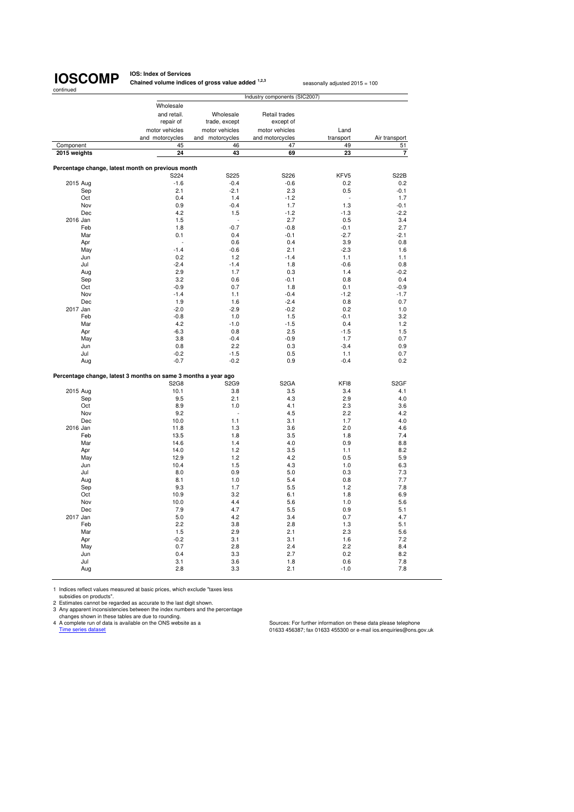**IOS: Index of Services Chained volume indices of gross value added <sup>1,2,3</sup> seasonally adjusted 2015 = 100** 

|              |                                                                |                 | Industry components (SIC2007) |                  |                         |
|--------------|----------------------------------------------------------------|-----------------|-------------------------------|------------------|-------------------------|
|              | Wholesale                                                      |                 |                               |                  |                         |
|              | and retail.                                                    | Wholesale       | Retail trades                 |                  |                         |
|              | repair of                                                      | trade, except   | except of                     |                  |                         |
|              | motor vehicles                                                 | motor vehicles  | motor vehicles                | Land             |                         |
|              | and motorcycles                                                | and motorcycles | and motorcycles               | transport        | Air transport           |
| Component    | 45                                                             | 46              | 47                            | 49               | 51                      |
| 2015 weights | 24                                                             | 43              | 69                            | 23               | $\overline{\mathbf{r}}$ |
|              |                                                                |                 |                               |                  |                         |
|              | Percentage change, latest month on previous month              |                 |                               |                  |                         |
|              | S224                                                           | S225            | S226                          | KFV5             | <b>S22B</b>             |
| 2015 Aug     | $-1.6$                                                         | $-0.4$          | $-0.6$                        | 0.2              | 0.2                     |
| Sep          | 2.1                                                            | $-2.1$          | 2.3                           | 0.5              | $-0.1$                  |
| Oct          | 0.4                                                            | 1.4             | $-1.2$                        |                  | 1.7                     |
| Nov          | 0.9                                                            | $-0.4$          | 1.7                           | 1.3              | $-0.1$                  |
| Dec          | 4.2                                                            | 1.5             | $-1.2$                        | $-1.3$           | $-2.2$                  |
| 2016 Jan     | 1.5                                                            |                 | 2.7                           | 0.5              | 3.4                     |
| Feb          | 1.8                                                            | $-0.7$          | $-0.8$                        | $-0.1$           | 2.7                     |
| Mar          | 0.1                                                            | 0.4             | $-0.1$                        | $-2.7$           | $-2.1$                  |
| Apr          |                                                                | 0.6             | 0.4                           | 3.9              | 0.8                     |
| May          | $-1.4$                                                         | $-0.6$          | 2.1                           | $-2.3$           | 1.6                     |
| Jun          | 0.2                                                            | 1.2             | $-1.4$                        | 1.1              | 1.1                     |
| Jul          | $-2.4$                                                         | $-1.4$          | 1.8                           | $-0.6$           | 0.8                     |
| Aug          | 2.9                                                            | 1.7             | 0.3                           | 1.4              | $-0.2$                  |
| Sep          | 3.2                                                            | 0.6             | $-0.1$                        | 0.8              | 0.4                     |
| Oct          | $-0.9$                                                         | 0.7             | 1.8                           | 0.1              | $-0.9$                  |
| Nov          | $-1.4$                                                         | 1.1             | $-0.4$                        | $-1.2$           | $-1.7$                  |
| Dec          | 1.9                                                            | 1.6             | $-2.4$                        | 0.8              | 0.7                     |
| 2017 Jan     | $-2.0$                                                         | $-2.9$          | $-0.2$                        | 0.2              | 1.0                     |
| Feb          | $-0.8$                                                         | 1.0             | 1.5                           | $-0.1$           | 3.2                     |
| Mar          | 4.2                                                            | $-1.0$<br>0.8   | $-1.5$                        | 0.4              | 1.2                     |
| Apr          | $-6.3$<br>3.8                                                  | $-0.4$          | 2.5<br>$-0.9$                 | $-1.5$           | 1.5                     |
| May          | 0.8                                                            | 2.2             | 0.3                           | 1.7<br>$-3.4$    | 0.7<br>0.9              |
| Jun<br>Jul   | $-0.2$                                                         | $-1.5$          | 0.5                           | 1.1              | 0.7                     |
| Aug          | $-0.7$                                                         | $-0.2$          | 0.9                           | $-0.4$           | 0.2                     |
|              |                                                                |                 |                               |                  |                         |
|              | Percentage change, latest 3 months on same 3 months a year ago |                 |                               |                  |                         |
|              | <b>S2G8</b>                                                    | <b>S2G9</b>     | S <sub>2</sub> GA             | KF <sub>18</sub> | S <sub>2</sub> GF       |
| 2015 Aug     | 10.1                                                           | 3.8             | 3.5                           | 3.4              | 4.1                     |
| Sep          | 9.5                                                            | 2.1             | 4.3                           | 2.9              | 4.0                     |
| Oct          | 8.9                                                            | 1.0             | 4.1                           | 2.3              | 3.6                     |
| Nov          | 9.2                                                            |                 | 4.5                           | 2.2              | 4.2                     |
| Dec          | 10.0                                                           | 1.1             | 3.1                           | 1.7              | 4.0                     |
| 2016 Jan     | 11.8                                                           | 1.3             | 3.6                           | 2.0              | 4.6                     |
| Feb          | 13.5                                                           | 1.8             | 3.5                           | 1.8              | 7.4                     |
| Mar          | 14.6                                                           | 1.4             | 4.0                           | 0.9              | 8.8                     |
| Apr          | 14.0                                                           | 1.2             | 3.5                           | 1.1              | 8.2                     |
| May          | 12.9                                                           | 1.2             | 4.2                           | 0.5              | 5.9                     |
| Jun          | 10.4                                                           | 1.5             | 4.3                           | 1.0              | 6.3                     |
| Jul          | 8.0                                                            | 0.9             | 5.0                           | 0.3              | 7.3                     |
| Aug          | 8.1                                                            | 1.0             | 5.4                           | 0.8              | 7.7                     |
| Sep          | 9.3                                                            | 1.7             | 5.5                           | 1.2              | 7.8                     |
| Oct          | 10.9                                                           | 3.2             | 6.1                           | 1.8              | 6.9                     |
| Nov          | 10.0                                                           | 4.4             | 5.6                           | 1.0              | 5.6                     |
| Dec          | 7.9                                                            | 4.7             | 5.5                           | 0.9              | 5.1                     |
| 2017 Jan     | 5.0                                                            | 4.2             | 3.4                           | 0.7              | 4.7                     |
| Feb          | 2.2                                                            | 3.8             | 2.8                           | 1.3              | 5.1                     |
| Mar          | 1.5                                                            | 2.9             | 2.1                           | 2.3              | 5.6                     |
| Apr          | $-0.2$                                                         | 3.1             | 3.1                           | 1.6              | 7.2                     |
| May          | 0.7                                                            | 2.8             | 2.4                           | 2.2              | 8.4                     |
| Jun          | 0.4                                                            | 3.3             | 2.7                           | 0.2              | 8.2                     |
| Jul          | 3.1                                                            | 3.6             | 1.8                           | 0.6              | 7.8                     |
| Aug          | 2.8                                                            | 3.3             | 2.1                           | $-1.0$           | 7.8                     |
|              |                                                                |                 |                               |                  |                         |

1 Indices reflect values measured at basic prices, which exclude "taxes less<br>subsidies on products".<br>2 Estimates cannot be regarded as accurate to the last digit shown.<br>3 Any apparent inconsistencies between the index numb

craariges snown in mese tables are que to rounding.<br>
A complete run of data is available on the ONS website as a<br>
Time series dataset dataset of data is available on the ONS website as a<br>
Time series dataset consequiries@o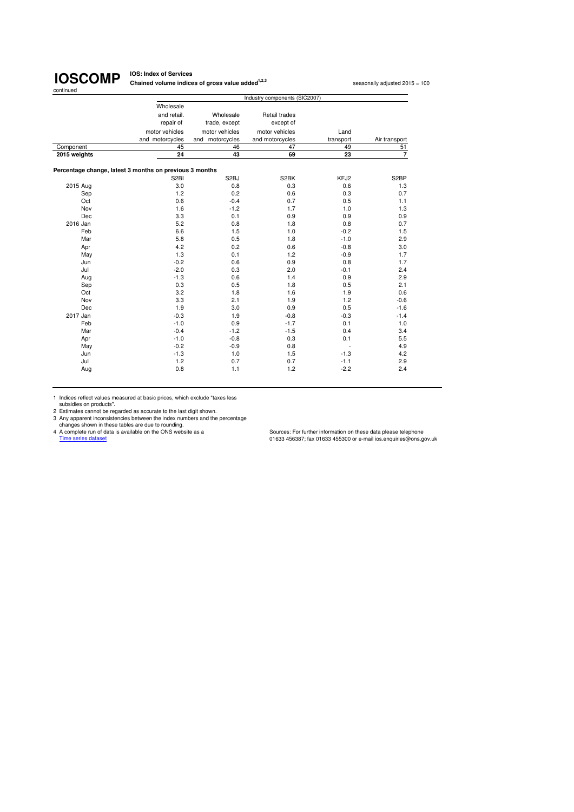**IOS: Index of Services Chained volume indices of gross value added<sup>1,2,3</sup> seasonally adjusted 2015 = 100** 

|              |                                                         | Industry components (SIC2007) |                 |           |                   |  |  |
|--------------|---------------------------------------------------------|-------------------------------|-----------------|-----------|-------------------|--|--|
|              | Wholesale                                               |                               |                 |           |                   |  |  |
|              | and retail.                                             | Wholesale                     | Retail trades   |           |                   |  |  |
|              | repair of                                               | trade, except                 | except of       |           |                   |  |  |
|              | motor vehicles                                          | motor vehicles                | motor vehicles  | Land      |                   |  |  |
|              | and motorcycles                                         | and motorcycles               | and motorcycles | transport | Air transport     |  |  |
| Component    | 45                                                      | 46                            | 47              | 49        | 51                |  |  |
| 2015 weights | 24                                                      | 43                            | 69              | 23        | $\overline{7}$    |  |  |
|              | Percentage change, latest 3 months on previous 3 months |                               |                 |           |                   |  |  |
|              | S <sub>2</sub> BI                                       | S <sub>2</sub> BJ             | S2BK            | KFJ2      | S <sub>2</sub> BP |  |  |
| 2015 Aug     | 3.0                                                     | 0.8                           | 0.3             | 0.6       | 1.3               |  |  |
| Sep          | 1.2                                                     | 0.2                           | 0.6             | 0.3       | 0.7               |  |  |
| Oct          | 0.6                                                     | $-0.4$                        | 0.7             | 0.5       | 1.1               |  |  |
| Nov          | 1.6                                                     | $-1.2$                        | 1.7             | 1.0       | 1.3               |  |  |
| Dec          | 3.3                                                     | 0.1                           | 0.9             | 0.9       | 0.9               |  |  |
| 2016 Jan     | 5.2                                                     | 0.8                           | 1.8             | 0.8       | 0.7               |  |  |
| Feb          | 6.6                                                     | 1.5                           | 1.0             | $-0.2$    | 1.5               |  |  |
| Mar          | 5.8                                                     | 0.5                           | 1.8             | $-1.0$    | 2.9               |  |  |
| Apr          | 4.2                                                     | 0.2                           | 0.6             | $-0.8$    | 3.0               |  |  |
| May          | 1.3                                                     | 0.1                           | 1.2             | $-0.9$    | 1.7               |  |  |
| Jun          | $-0.2$                                                  | 0.6                           | 0.9             | 0.8       | 1.7               |  |  |
| Jul          | $-2.0$                                                  | 0.3                           | 2.0             | $-0.1$    | 2.4               |  |  |
| Aug          | $-1.3$                                                  | 0.6                           | 1.4             | 0.9       | 2.9               |  |  |
| Sep          | 0.3                                                     | 0.5                           | 1.8             | 0.5       | 2.1               |  |  |
| Oct          | 3.2                                                     | 1.8                           | 1.6             | 1.9       | 0.6               |  |  |
| Nov          | 3.3                                                     | 2.1                           | 1.9             | 1.2       | $-0.6$            |  |  |
| Dec          | 1.9                                                     | 3.0                           | 0.9             | 0.5       | $-1.6$            |  |  |
| 2017 Jan     | $-0.3$                                                  | 1.9                           | $-0.8$          | $-0.3$    | $-1.4$            |  |  |
| Feb          | $-1.0$                                                  | 0.9                           | $-1.7$          | 0.1       | 1.0               |  |  |
| Mar          | $-0.4$                                                  | $-1.2$                        | $-1.5$          | 0.4       | 3.4               |  |  |
| Apr          | $-1.0$                                                  | $-0.8$                        | 0.3             | 0.1       | 5.5               |  |  |
| May          | $-0.2$                                                  | $-0.9$                        | 0.8             |           | 4.9               |  |  |
| Jun          | $-1.3$                                                  | 1.0                           | 1.5             | $-1.3$    | 4.2               |  |  |
| Jul          | 1.2                                                     | 0.7                           | 0.7             | $-1.1$    | 2.9               |  |  |
| Aug          | 0.8                                                     | 1.1                           | 1.2             | $-2.2$    | 2.4               |  |  |

1 Indices reflect values measured at basic prices, which exclude "taxes less

subsidies on products".<br>
2 Estimates cannot be regarded as accurate to the last digit shown.<br>
3 Any apparent inconsistencies between the index numbers and the percentage<br>
2 A complete run of data is a vailable on the ONS w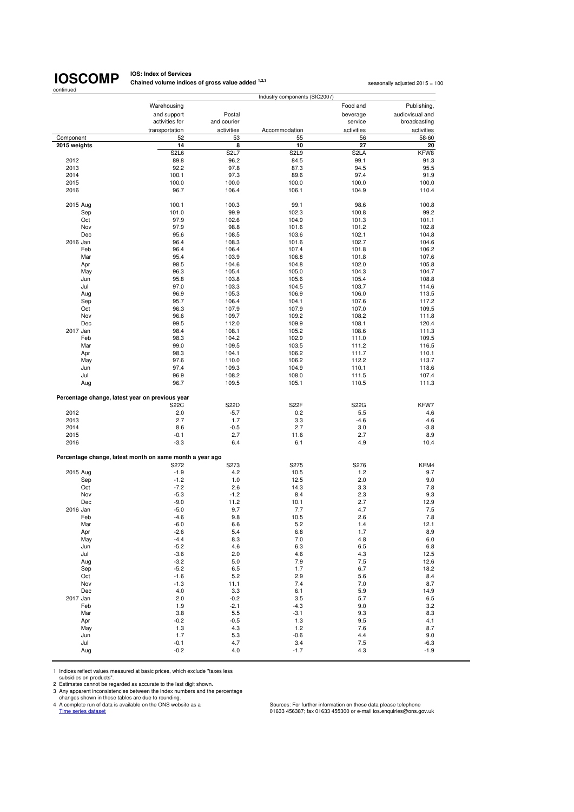## **IOSCOMP**

**IOS: Index of Services Chained volume indices of gross value added <sup>1,2,3</sup> seasonally adjusted 2015 = 100<br>
<b>Chained volume indices of gross value added** <sup>1,2,3</sup>

| continued    |                                                          |                               | Industry components (SIC2007) |                   |                                |  |
|--------------|----------------------------------------------------------|-------------------------------|-------------------------------|-------------------|--------------------------------|--|
|              | Warehousing                                              |                               | Food and                      |                   |                                |  |
|              | and support                                              | Postal                        |                               | beverage          | Publishing,<br>audiovisual and |  |
|              | activities for                                           | and courier                   |                               | service           | broadcasting                   |  |
|              | transportation                                           | activities                    | Accommodation                 | activities        | activities                     |  |
| Component    | 52                                                       | 53                            | 55                            | 56                | 58-60                          |  |
| 2015 weights | 14                                                       | 8                             | 10                            | 27                | 20                             |  |
|              | S <sub>2</sub> L <sub>6</sub>                            | S <sub>2</sub> L <sub>7</sub> | S <sub>2</sub> L <sub>9</sub> | S <sub>2</sub> LA | KFW8                           |  |
| 2012         | 89.8                                                     | 96.2                          | 84.5                          | 99.1              | 91.3                           |  |
| 2013         | 92.2                                                     | 97.8                          | 87.3                          | 94.5              | 95.5                           |  |
| 2014         | 100.1                                                    | 97.3                          | 89.6                          | 97.4              | 91.9                           |  |
| 2015<br>2016 | 100.0<br>96.7                                            | 100.0<br>106.4                | 100.0<br>106.1                | 100.0<br>104.9    | 100.0<br>110.4                 |  |
|              |                                                          |                               |                               |                   |                                |  |
| 2015 Aug     | 100.1                                                    | 100.3                         | 99.1                          | 98.6              | 100.8                          |  |
| Sep          | 101.0                                                    | 99.9                          | 102.3                         | 100.8             | 99.2                           |  |
| Oct          | 97.9                                                     | 102.6                         | 104.9                         | 101.3             | 101.1                          |  |
| Nov          | 97.9                                                     | 98.8                          | 101.6                         | 101.2             | 102.8                          |  |
| Dec          | 95.6                                                     | 108.5                         | 103.6                         | 102.1             | 104.8                          |  |
| 2016 Jan     | 96.4                                                     | 108.3                         | 101.6                         | 102.7             | 104.6                          |  |
| Feb          | 96.4                                                     | 106.4                         | 107.4                         | 101.8             | 106.2                          |  |
| Mar          | 95.4                                                     | 103.9                         | 106.8                         | 101.8             | 107.6                          |  |
| Apr          | 98.5                                                     | 104.6                         | 104.8                         | 102.0             | 105.8                          |  |
| May          | 96.3                                                     | 105.4                         | 105.0                         | 104.3             | 104.7                          |  |
| Jun          | 95.8                                                     | 103.8                         | 105.6                         | 105.4             | 108.8                          |  |
| Jul          | 97.0                                                     | 103.3                         | 104.5                         | 103.7             | 114.6                          |  |
| Aug          | 96.9                                                     | 105.3                         | 106.9                         | 106.0             | 113.5                          |  |
| Sep          | 95.7                                                     | 106.4                         | 104.1                         | 107.6             | 117.2                          |  |
| Oct          | 96.3                                                     | 107.9                         | 107.9                         | 107.0             | 109.5                          |  |
| Nov          | 96.6                                                     | 109.7                         | 109.2                         | 108.2             | 111.8                          |  |
| Dec          | 99.5                                                     | 112.0                         | 109.9                         | 108.1             | 120.4                          |  |
| 2017 Jan     | 98.4                                                     | 108.1                         | 105.2                         | 108.6             | 111.3                          |  |
| Feb          | 98.3                                                     | 104.2                         | 102.9                         | 111.0             | 109.5                          |  |
| Mar          | 99.0                                                     | 109.5                         | 103.5                         | 111.2             | 116.5                          |  |
| Apr          | 98.3                                                     | 104.1                         | 106.2                         | 111.7             | 110.1                          |  |
| May          | 97.6                                                     | 110.0                         | 106.2                         | 112.2             | 113.7                          |  |
| Jun          | 97.4                                                     | 109.3                         | 104.9                         | 110.1             | 118.6                          |  |
|              | 96.9                                                     | 108.2                         | 108.0                         | 111.5             |                                |  |
| Jul<br>Aug   | 96.7                                                     | 109.5                         | 105.1                         | 110.5             | 107.4<br>111.3                 |  |
|              | Percentage change, latest year on previous year          |                               |                               |                   |                                |  |
|              | <b>S22C</b>                                              | S22D                          | S <sub>2</sub> 2F             | S22G              | KFW7                           |  |
| 2012         | 2.0                                                      | $-5.7$                        | 0.2                           | 5.5               | 4.6                            |  |
| 2013         | 2.7                                                      | 1.7                           | 3.3                           | $-4.6$            | 4.6                            |  |
| 2014         | 8.6                                                      | $-0.5$                        | 2.7                           | 3.0               | $-3.8$                         |  |
| 2015         | $-0.1$                                                   | 2.7                           | 11.6                          | 2.7               | 8.9                            |  |
| 2016         | $-3.3$                                                   | 6.4                           | 6.1                           | 4.9               | 10.4                           |  |
|              | Percentage change, latest month on same month a year ago |                               |                               |                   |                                |  |
|              | S272                                                     | S273                          | S275                          | S276              | KFM4                           |  |
| 2015 Aug     | $-1.9$                                                   | 4.2                           | 10.5                          | 1.2               | 9.7                            |  |
| Sep          | $-1.2$                                                   | 1.0                           | 12.5                          | 2.0               | 9.0                            |  |
| Oct          | $-7.2$                                                   | 2.6                           | 14.3                          | 3.3               | 7.8                            |  |
| Nov          | $-5.3$                                                   | $-1.2$                        | 8.4                           | 2.3               | 9.3                            |  |
| Dec          | $-9.0$                                                   | 11.2                          | 10.1                          | 2.7               | 12.9                           |  |
| 2016 Jan     | $-5.0$                                                   | 9.7                           | 7.7                           | 4.7               | 7.5                            |  |
| Feb          | $-4.6$                                                   | 9.8                           | 10.5                          | 2.6               | 7.8                            |  |
| Mar          | $-6.0$                                                   | 6.6                           | 5.2                           | 1.4               | 12.1                           |  |
| Apr          | $-2.6$                                                   | 5.4                           | 6.8                           | 1.7               | 8.9                            |  |
| May          | $-4.4$                                                   | 8.3                           | $7.0$                         | 4.8               | 6.0                            |  |
| Jun          | $-5.2$                                                   | 4.6                           | 6.3                           | 6.5               | 6.8                            |  |
| Jul          | $-3.6$                                                   | 2.0                           | 4.6                           | 4.3               | 12.5                           |  |
| Aug          | $-3.2$                                                   | 5.0                           | 7.9                           | 7.5               | 12.6                           |  |
| Sep          | $-5.2$                                                   | 6.5                           | 1.7                           | 6.7               | 18.2                           |  |
| Oct          | $-1.6$                                                   | 5.2                           | 2.9                           | 5.6               | 8.4                            |  |
| Nov          | $-1.3$                                                   | 11.1                          | 7.4                           | 7.0               | 8.7                            |  |
| Dec          | 4.0                                                      | 3.3                           | 6.1                           | 5.9               | 14.9                           |  |
| 2017 Jan     | 2.0                                                      | $-0.2$                        | 3.5                           | 5.7               | 6.5                            |  |
| Feb          | 1.9                                                      | $-2.1$                        | $-4.3$                        | 9.0               | 3.2                            |  |
| Mar          | 3.8                                                      | 5.5                           | $-3.1$                        | 9.3               | 8.3                            |  |
| Apr          | $-0.2$                                                   | $-0.5$                        | 1.3                           | 9.5               | 4.1                            |  |
| May          | 1.3                                                      | 4.3                           | 1.2                           | 7.6               | 8.7                            |  |
| Jun          | 1.7                                                      | 5.3                           | $-0.6$                        | 4.4               | 9.0                            |  |
| Jul          | $-0.1$                                                   | 4.7                           | 3.4                           | 7.5               | $-6.3$                         |  |
| Aug          | $-0.2$                                                   | 4.0                           | $-1.7$                        | 4.3               | $-1.9$                         |  |
|              |                                                          |                               |                               |                   |                                |  |

1 Indices reflect values measured at basic prices, which exclude "taxes less

subsidies on products".<br>
2 Estimates cannot be regarded as accurate to the last digit shown.<br>
3 Any apparent inconsistencies between the index numbers and the percentage<br>
changes shown in these tables are due to rounding.<br>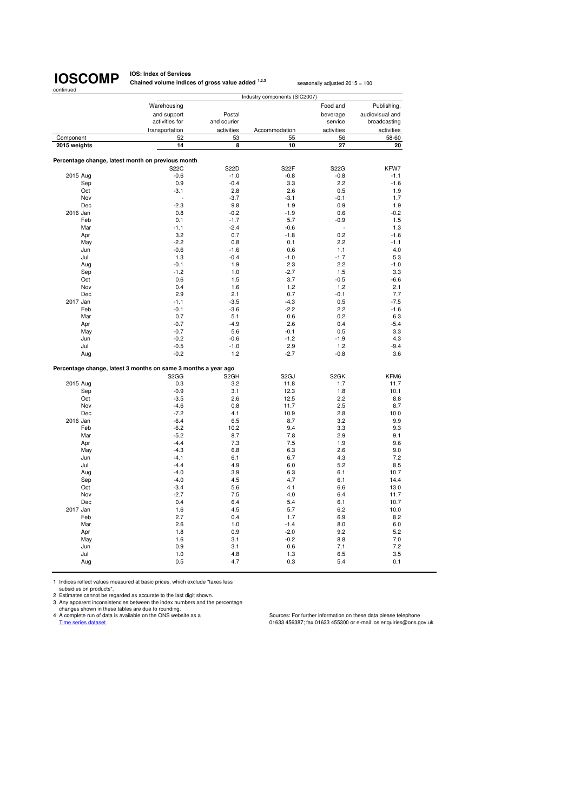**IOS: Index of Services Chained volume indices of gross value added <sup>1,2,3</sup> seasonally adjusted 2015 = 100** 

|              |                                                                |                          | Industry components (SIC2007) |                   |                 |
|--------------|----------------------------------------------------------------|--------------------------|-------------------------------|-------------------|-----------------|
|              | Warehousing                                                    |                          |                               | Food and          | Publishing,     |
|              | and support                                                    | Postal                   |                               | beverage          | audiovisual and |
|              | activities for                                                 | and courier              |                               | service           | broadcasting    |
|              | transportation                                                 | activities               | Accommodation                 | activities        | activities      |
| Component    | 52                                                             | 53                       | 55                            | 56                | 58-60           |
|              |                                                                |                          |                               |                   |                 |
| 2015 weights | 14                                                             | 8                        | 10                            | 27                | 20              |
|              | Percentage change, latest month on previous month              |                          |                               |                   |                 |
|              | <b>S22C</b>                                                    | S22D                     | S22F                          | <b>S22G</b>       | KFW7            |
| 2015 Aug     | $-0.6$                                                         | $-1.0$                   | $-0.8$                        | $-0.8$            | $-1.1$          |
| Sep          | 0.9                                                            | $-0.4$                   | 3.3                           | 2.2               | $-1.6$          |
| Oct          | $-3.1$                                                         | 2.8                      | 2.6                           | 0.5               | 1.9             |
| Nov          |                                                                | $-3.7$                   | $-3.1$                        | $-0.1$            | 1.7             |
| Dec          | $-2.3$                                                         | 9.8                      | 1.9                           | 0.9               | 1.9             |
| 2016 Jan     | 0.8                                                            | $-0.2$                   | $-1.9$                        | 0.6               | $-0.2$          |
| Feb          | 0.1                                                            | $-1.7$                   | 5.7                           | $-0.9$            | 1.5             |
| Mar          | $-1.1$                                                         | $-2.4$                   | $-0.6$                        |                   | 1.3             |
| Apr          | 3.2                                                            | 0.7                      | $-1.8$                        | 0.2               | $-1.6$          |
| May          | $-2.2$                                                         | 0.8                      | 0.1                           | 2.2               | $-1.1$          |
| Jun          | $-0.6$                                                         | $-1.6$                   | 0.6                           | 1.1               | 4.0             |
|              |                                                                | $-0.4$                   |                               | $-1.7$            | 5.3             |
| Jul          | 1.3                                                            |                          | $-1.0$<br>2.3                 |                   |                 |
| Aug          | $-0.1$                                                         | 1.9                      |                               | 2.2               | $-1.0$          |
| Sep          | $-1.2$                                                         | 1.0                      | $-2.7$                        | 1.5               | 3.3             |
| Oct          | 0.6                                                            | 1.5                      | 3.7                           | $-0.5$            | $-6.6$          |
| Nov          | 0.4                                                            | 1.6                      | 1.2                           | 1.2               | 2.1             |
| Dec          | 2.9                                                            | 2.1                      | 0.7                           | $-0.1$            | 7.7             |
| 2017 Jan     | $-1.1$                                                         | $-3.5$                   | $-4.3$                        | 0.5               | $-7.5$          |
| Feb          | $-0.1$                                                         | $-3.6$                   | $-2.2$                        | 2.2               | $-1.6$          |
| Mar          | 0.7                                                            | 5.1                      | 0.6                           | 0.2               | 6.3             |
| Apr          | $-0.7$                                                         | $-4.9$                   | 2.6                           | 0.4               | $-5.4$          |
| May          | $-0.7$                                                         | 5.6                      | $-0.1$                        | 0.5               | 3.3             |
| Jun          | $-0.2$                                                         | $-0.6$                   | $-1.2$                        | $-1.9$            | 4.3             |
| Jul          | $-0.5$                                                         | $-1.0$                   | 2.9                           | 1.2               | $-9.4$          |
| Aug          | $-0.2$                                                         | 1.2                      | $-2.7$                        | $-0.8$            | 3.6             |
|              |                                                                |                          |                               |                   |                 |
|              | Percentage change, latest 3 months on same 3 months a year ago |                          |                               | S <sub>2</sub> GK |                 |
|              | S <sub>2</sub> G <sub>G</sub><br>0.3                           | S <sub>2</sub> GH<br>3.2 | S <sub>2</sub> GJ             | 1.7               | KFM6            |
| 2015 Aug     |                                                                |                          | 11.8                          |                   | 11.7            |
| Sep          | $-0.9$                                                         | 3.1                      | 12.3                          | 1.8               | 10.1            |
| Oct          | $-3.5$                                                         | 2.6                      | 12.5                          | 2.2               | 8.8             |
| Nov          | $-4.6$                                                         | 0.8                      | 11.7                          | 2.5               | 8.7             |
| Dec          | $-7.2$                                                         | 4.1                      | 10.9                          | 2.8               | 10.0            |
| 2016 Jan     | $-6.4$                                                         | 6.5                      | 8.7                           | 3.2               | 9.9             |
| Feb          | $-6.2$                                                         | 10.2                     | 9.4                           | 3.3               | 9.3             |
| Mar          | $-5.2$                                                         | 8.7                      | 7.8                           | 2.9               | 9.1             |
| Apr          | $-4.4$                                                         | 7.3                      | 7.5                           | 1.9               | 9.6             |
| May          | $-4.3$                                                         | 6.8                      | 6.3                           | 2.6               | 9.0             |
| Jun          | $-4.1$                                                         | 6.1                      | 6.7                           | 4.3               | 7.2             |
| Jul          | $-4.4$                                                         | 4.9                      | 6.0                           | 5.2               | 8.5             |
| Aug          | $-4.0$                                                         | 3.9                      | 6.3                           | 6.1               | 10.7            |
| Sep          | $-4.0$                                                         | 4.5                      | 4.7                           | 6.1               | 14.4            |
| Oct          | $-3.4$                                                         | 5.6                      | 4.1                           | 6.6               | 13.0            |
| Nov          | $-2.7$                                                         | 7.5                      | 4.0                           | 6.4               | 11.7            |
| Dec          | 0.4                                                            | 6.4                      | 5.4                           | 6.1               | 10.7            |
| 2017 Jan     | 1.6                                                            | 4.5                      | 5.7                           | 6.2               | 10.0            |
| Feb          | 2.7                                                            | 0.4                      | 1.7                           | 6.9               | 8.2             |
| Mar          | 2.6                                                            | 1.0                      | $-1.4$                        | 8.0               | 6.0             |
| Apr          | 1.8                                                            | 0.9                      | $-2.0$                        | 9.2               | 5.2             |
| May          | 1.6                                                            | 3.1                      | $-0.2$                        | 8.8               | 7.0             |
| Jun          | 0.9                                                            | 3.1                      | 0.6                           | 7.1               | 7.2             |
| Jul          | 1.0                                                            | 4.8                      | 1.3                           | 6.5               | 3.5             |
|              | 0.5                                                            | 4.7                      | 0.3                           | 5.4               | 0.1             |
| Aug          |                                                                |                          |                               |                   |                 |
|              |                                                                |                          |                               |                   |                 |

1 Indices reflect values measured at basic prices, which exclude "taxes less

subsidies on products". 2 Estimates cannot be regarded as accurate to the last digit shown.

3 Any apparent inconsistencies between the index numbers and the percentage<br>changes shown in these tables are due to rounding.<br>4 A complete run of data is available on the ONS website as a complete the Sources: For further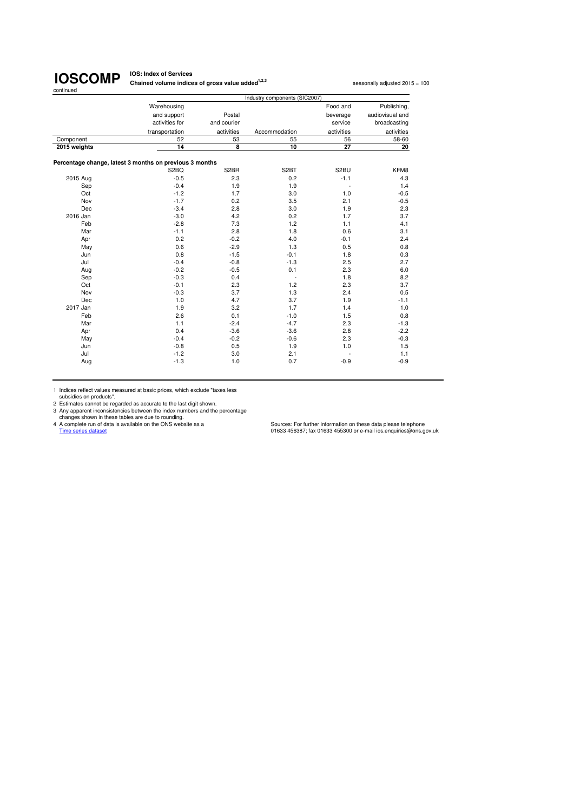**IOS: Index of Services Chained volume indices of gross value added<sup>1,2,3</sup> seasonally adjusted 2015 = 100** 

|              |                                                         |                   | Industry components (SIC2007) |            |                 |  |  |  |  |
|--------------|---------------------------------------------------------|-------------------|-------------------------------|------------|-----------------|--|--|--|--|
|              | Warehousing                                             |                   |                               | Food and   | Publishing,     |  |  |  |  |
|              | and support                                             | Postal            |                               | beverage   | audiovisual and |  |  |  |  |
|              | activities for                                          | and courier       |                               | service    | broadcasting    |  |  |  |  |
|              | transportation                                          | activities        | Accommodation                 | activities | activities      |  |  |  |  |
| Component    | 52                                                      | 53                | 55                            | 56         | 58-60           |  |  |  |  |
| 2015 weights | 14                                                      | 8                 | 10                            | 27         | 20              |  |  |  |  |
|              | Percentage change, latest 3 months on previous 3 months |                   |                               |            |                 |  |  |  |  |
|              | S2BQ                                                    | S <sub>2</sub> BR | S <sub>2</sub> BT             | S2BU       | KFM8            |  |  |  |  |
| 2015 Aug     | $-0.5$                                                  | 2.3               | 0.2                           | $-1.1$     | 4.3             |  |  |  |  |
| Sep          | $-0.4$                                                  | 1.9               | 1.9                           | ä,         | 1.4             |  |  |  |  |
| Oct          | $-1.2$                                                  | 1.7               | 3.0                           | 1.0        | $-0.5$          |  |  |  |  |
| Nov          | $-1.7$                                                  | 0.2               | 3.5                           | 2.1        | $-0.5$          |  |  |  |  |
| Dec          | $-3.4$                                                  | 2.8               | 3.0                           | 1.9        | 2.3             |  |  |  |  |
| 2016 Jan     | $-3.0$                                                  | 4.2               | 0.2                           | 1.7        | 3.7             |  |  |  |  |
| Feb          | $-2.8$                                                  | 7.3               | 1.2                           | 1.1        | 4.1             |  |  |  |  |
| Mar          | $-1.1$                                                  | 2.8               | 1.8                           | 0.6        | 3.1             |  |  |  |  |
| Apr          | 0.2                                                     | $-0.2$            | 4.0                           | $-0.1$     | 2.4             |  |  |  |  |
| May          | 0.6                                                     | $-2.9$            | 1.3                           | 0.5        | 0.8             |  |  |  |  |
| Jun          | 0.8                                                     | $-1.5$            | $-0.1$                        | 1.8        | 0.3             |  |  |  |  |
| Jul          | $-0.4$                                                  | $-0.8$            | $-1.3$                        | 2.5        | 2.7             |  |  |  |  |
| Aug          | $-0.2$                                                  | $-0.5$            | 0.1                           | 2.3        | 6.0             |  |  |  |  |
| Sep          | $-0.3$                                                  | 0.4               | $\sim$                        | 1.8        | 8.2             |  |  |  |  |
| Oct          | $-0.1$                                                  | 2.3               | 1.2                           | 2.3        | 3.7             |  |  |  |  |
| Nov          | $-0.3$                                                  | 3.7               | 1.3                           | 2.4        | 0.5             |  |  |  |  |
| Dec          | 1.0                                                     | 4.7               | 3.7                           | 1.9        | $-1.1$          |  |  |  |  |
| 2017 Jan     | 1.9                                                     | 3.2               | 1.7                           | 1.4        | 1.0             |  |  |  |  |
| Feb          | 2.6                                                     | 0.1               | $-1.0$                        | 1.5        | 0.8             |  |  |  |  |
| Mar          | 1.1                                                     | $-2.4$            | $-4.7$                        | 2.3        | $-1.3$          |  |  |  |  |
| Apr          | 0.4                                                     | $-3.6$            | $-3.6$                        | 2.8        | $-2.2$          |  |  |  |  |
| May          | $-0.4$                                                  | $-0.2$            | $-0.6$                        | 2.3        | $-0.3$          |  |  |  |  |
| Jun          | $-0.8$                                                  | 0.5               | 1.9                           | 1.0        | 1.5             |  |  |  |  |
| Jul          | $-1.2$                                                  | 3.0               | 2.1                           |            | 1.1             |  |  |  |  |
| Aug          | $-1.3$                                                  | 1.0               | 0.7                           | $-0.9$     | $-0.9$          |  |  |  |  |

1 Indices reflect values measured at basic prices, which exclude "taxes less

subsidies on products".<br>
2 Estimates cannot be regarded as accurate to the last digit shown.<br>
3 Any apparent inconsistencies between the index numbers and the percentage<br>
2 Any apparent inconsistencies between the index nu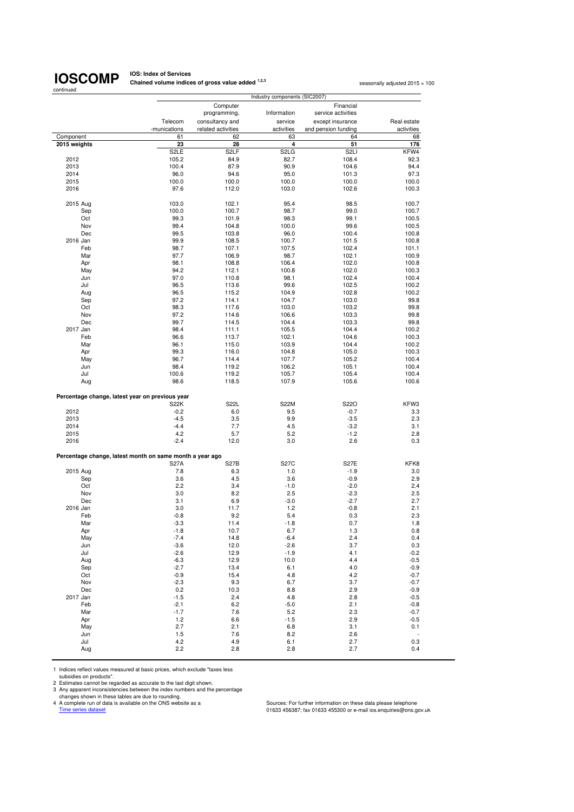# **IOSCOMP**

**IOS: Index of Services Chained volume indices of gross value added <sup>1,2,3</sup> seasonally adjusted 2015 = 100<br>
<b>Chained volume indices of gross value added** <sup>1,2,3</sup>

| continued                 | Industry components (SIC2007)                            |                    |                               |                     |                          |
|---------------------------|----------------------------------------------------------|--------------------|-------------------------------|---------------------|--------------------------|
|                           |                                                          | Computer           |                               | Financial           |                          |
|                           |                                                          | programming,       | Information                   | service activities  |                          |
|                           | Telecom                                                  | consultancy and    | service                       | except insurance    | Real estate              |
|                           | -munications                                             | related activities | activities                    | and pension funding | activities               |
| Component<br>2015 weights | 61<br>23                                                 | 62<br>28           | 63<br>4                       | 64<br>51            | 68<br>176                |
|                           | S <sub>2</sub> LE                                        | S <sub>2</sub> LF  | S <sub>2</sub> L <sub>G</sub> | S <sub>2LI</sub>    | KFW4                     |
| 2012                      | 105.2                                                    | 84.9               | 82.7                          | 108.4               | 92.3                     |
| 2013                      | 100.4                                                    | 87.9               | 90.9                          | 104.6               | 94.4                     |
| 2014                      | 96.0                                                     | 94.6               | 95.0                          | 101.3               | 97.3                     |
| 2015                      | 100.0                                                    | 100.0              | 100.0                         | 100.0               | 100.0                    |
| 2016                      | 97.6                                                     | 112.0              | 103.0                         | 102.6               | 100.3                    |
|                           |                                                          |                    |                               |                     |                          |
| 2015 Aug                  | 103.0                                                    | 102.1              | 95.4                          | 98.5                | 100.7                    |
| Sep                       | 100.0                                                    | 100.7              | 98.7                          | 99.0                | 100.7                    |
| Oct                       | 99.3                                                     | 101.9              | 98.3                          | 99.1                | 100.5                    |
| Nov                       | 99.4                                                     | 104.8              | 100.0                         | 99.6                | 100.5                    |
| Dec                       | 99.5                                                     | 103.8              | 96.0                          | 100.4               | 100.8                    |
| 2016 Jan                  | 99.9                                                     | 108.5              | 100.7                         | 101.5               | 100.8                    |
| Feb                       | 98.7                                                     | 107.1              | 107.5                         | 102.4               | 101.1                    |
| Mar                       | 97.7                                                     | 106.9              | 98.7                          | 102.1               | 100.9                    |
| Apr                       | 98.1                                                     | 108.8              | 106.4                         | 102.0               | 100.8                    |
| May                       | 94.2                                                     | 112.1              | 100.8                         | 102.0               | 100.3                    |
| Jun                       | 97.0                                                     | 110.8              | 98.1                          | 102.4               | 100.4                    |
| Jul                       | 96.5                                                     | 113.6              | 99.6                          | 102.5               | 100.2                    |
| Aug                       | 96.5                                                     | 115.2              | 104.9                         | 102.8               | 100.2                    |
|                           | 97.2                                                     | 114.1              | 104.7                         | 103.0               | 99.8                     |
| Sep                       |                                                          |                    |                               |                     |                          |
| Oct                       | 98.3                                                     | 117.6              | 103.0                         | 103.2               | 99.8                     |
| Nov                       | 97.2                                                     | 114.6              | 106.6                         | 103.3               | 99.8                     |
| Dec                       | 99.7                                                     | 114.5              | 104.4                         | 103.3               | 99.8                     |
| 2017 Jan                  | 98.4                                                     | 111.1              | 105.5                         | 104.4               | 100.2                    |
| Feb                       | 96.6                                                     | 113.7              | 102.1                         | 104.6               | 100.3                    |
| Mar                       | 96.1                                                     | 115.0              | 103.9                         | 104.4               | 100.2                    |
| Apr                       | 99.3                                                     | 116.0              | 104.8                         | 105.0               | 100.3                    |
| May                       | 96.7                                                     | 114.4              | 107.7                         | 105.2               | 100.4                    |
| Jun                       | 98.4                                                     | 119.2              | 106.2                         | 105.1               | 100.4                    |
| Jul                       | 100.6                                                    | 119.2              | 105.7                         | 105.4               | 100.4                    |
| Aug                       | 98.6                                                     | 118.5              | 107.9                         | 105.6               | 100.6                    |
|                           | Percentage change, latest year on previous year          |                    |                               |                     |                          |
|                           | <b>S22K</b>                                              | S22L               | <b>S22M</b>                   | S22O                | KFW3                     |
| 2012                      | $-0.2$                                                   | 6.0                | 9.5                           | $-0.7$              | 3.3                      |
| 2013                      | $-4.5$                                                   | 3.5                | 9.9                           | $-3.5$              | 2.3                      |
| 2014                      | $-4.4$                                                   | 7.7                | 4.5                           | $-3.2$              | 3.1                      |
| 2015                      | 4.2                                                      | 5.7                | 5.2                           | $-1.2$              | 2.8                      |
| 2016                      | $-2.4$                                                   | 12.0               | 3.0                           | 2.6                 | 0.3                      |
|                           | Percentage change, latest month on same month a year ago |                    |                               |                     |                          |
|                           | <b>S27A</b>                                              | S27B               | <b>S27C</b>                   | <b>S27E</b>         | KFK8                     |
| 2015 Aug                  | 7.8                                                      | 6.3                | 1.0                           | $-1.9$              | 3.0                      |
| Sep                       | 3.6                                                      | 4.5                | 3.6                           | $-0.9$              | 2.9                      |
| Oct                       | 2.2                                                      | 3.4                | $-1.0$                        | $-2.0$              | 2.4                      |
| Nov                       | 3.0                                                      | 8.2                | 2.5                           | $-2.3$              | 2.5                      |
| Dec                       | 3.1                                                      | 6.9                | $-3.0$                        | $-2.7$              | 2.7                      |
| 2016 Jan                  | 3.0                                                      | 11.7               | 1.2                           | $-0.8$              | 2.1                      |
|                           | $-0.8$                                                   | 9.2                | 5.4                           | 0.3                 | 2.3                      |
| Feb                       |                                                          |                    |                               |                     |                          |
| Mar                       | $-3.3$                                                   | 11.4               | $-1.8$                        | 0.7                 | 1.8                      |
| Apr                       | $-1.8$                                                   | 10.7               | 6.7                           | 1.3                 | 0.8                      |
| May                       | $-7.4$                                                   | 14.8               | $-6.4$                        | 2.4                 | 0.4                      |
| Jun                       | $-3.6$                                                   | 12.0               | $-2.6$                        | 3.7                 | 0.3                      |
| Jul                       | $-2.6$                                                   | 12.9               | $-1.9$                        | 4.1                 | $-0.2$                   |
| Aug                       | $-6.3$                                                   | 12.9               | 10.0                          | 4.4                 | $-0.5$                   |
| Sep                       | $-2.7$                                                   | 13.4               | 6.1                           | 4.0                 | $-0.9$                   |
| Oct                       | $-0.9$                                                   | 15.4               | 4.8                           | 4.2                 | $-0.7$                   |
| Nov                       | $-2.3$                                                   | 9.3                | 6.7                           | 3.7                 | $-0.7$                   |
| Dec                       | 0.2                                                      | 10.3               | 8.8                           | 2.9                 | $-0.9$                   |
| 2017 Jan                  | $-1.5$                                                   | 2.4                | 4.8                           | 2.8                 | $-0.5$                   |
| Feb                       | $-2.1$                                                   | 6.2                | $-5.0$                        | 2.1                 | $-0.8$                   |
| Mar                       | $-1.7$                                                   | 7.6                | 5.2                           | 2.3                 | $-0.7$                   |
|                           |                                                          |                    |                               | 2.9                 |                          |
| Apr                       | 1.2                                                      | 6.6                | $-1.5$                        |                     | $-0.5$                   |
| May                       | 2.7                                                      | 2.1                | 6.8                           | 3.1                 | 0.1                      |
| Jun                       | 1.5                                                      | 7.6                | 8.2                           | 2.6                 | $\overline{\phantom{a}}$ |
| Jul                       | 4.2                                                      | 4.9                | 6.1                           | 2.7                 | 0.3                      |
| Aug                       | 2.2                                                      | 2.8                | 2.8                           | 2.7                 | 0.4                      |

1 Indices reflect values measured at basic prices, which exclude "taxes less

subsidies on products".<br>
2 Estimates cannot be regarded as accurate to the last digit shown.<br>
3 Any apparent inconsistencies between the index numbers and the percentage<br>
2 Any apparent inconsistencies between the index nu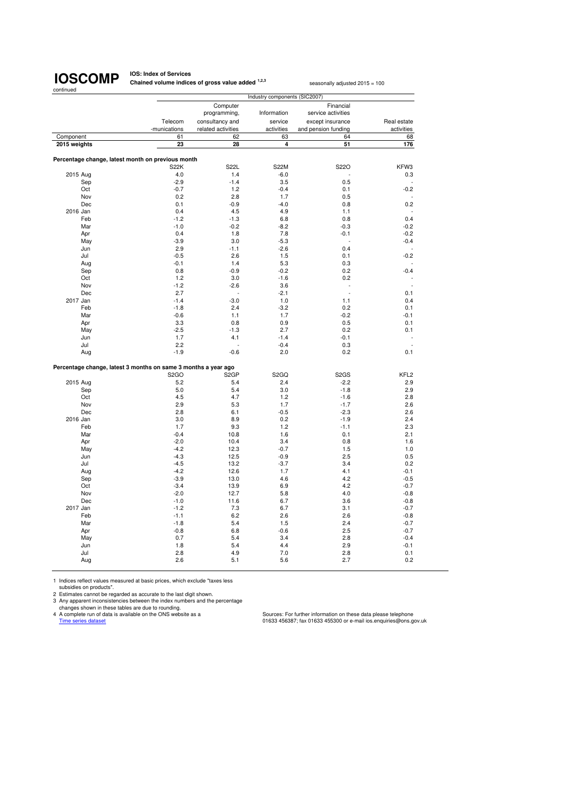**IOS: Index of Services Chained volume indices of gross value added <sup>1,2,3</sup> seasonally adjusted 2015 = 100** 

|              |                                                                                     |                                       | Industry components (SIC2007) |                                         |                           |
|--------------|-------------------------------------------------------------------------------------|---------------------------------------|-------------------------------|-----------------------------------------|---------------------------|
|              |                                                                                     | Computer<br>programming,              | Information                   | Financial<br>service activities         |                           |
|              | Telecom<br>-munications                                                             | consultancy and<br>related activities | service<br>activities         | except insurance<br>and pension funding | Real estate<br>activities |
| Component    | 61                                                                                  | 62                                    | 63                            | 64                                      | 68                        |
| 2015 weights | 23                                                                                  | 28                                    | 4                             | 51                                      | 176                       |
|              |                                                                                     |                                       |                               |                                         |                           |
|              | Percentage change, latest month on previous month                                   |                                       |                               |                                         |                           |
|              | <b>S22K</b>                                                                         | <b>S22L</b>                           | <b>S22M</b>                   | S22O                                    | KFW3                      |
| 2015 Aug     | 4.0                                                                                 | 1.4                                   | $-6.0$                        |                                         | 0.3                       |
| Sep          | $-2.9$                                                                              | $-1.4$                                | 3.5                           | 0.5                                     |                           |
| Oct          | $-0.7$                                                                              | 1.2                                   | $-0.4$                        | 0.1                                     | $-0.2$                    |
| Nov          | 0.2                                                                                 | 2.8                                   | 1.7                           | 0.5                                     |                           |
| Dec          | 0.1                                                                                 | $-0.9$                                | $-4.0$                        | 0.8                                     | 0.2                       |
| 2016 Jan     | 0.4                                                                                 | 4.5                                   | 4.9                           | 1.1                                     |                           |
| Feb          | $-1.2$                                                                              | $-1.3$                                | 6.8                           | 0.8                                     | 0.4                       |
| Mar          | $-1.0$                                                                              | $-0.2$                                | $-8.2$                        | $-0.3$                                  | $-0.2$                    |
| Apr          | 0.4                                                                                 | 1.8                                   | 7.8                           | $-0.1$                                  | $-0.2$                    |
| May          | $-3.9$                                                                              | 3.0                                   | $-5.3$                        | ÷,                                      | $-0.4$                    |
| Jun          | 2.9                                                                                 | $-1.1$                                | $-2.6$                        | 0.4                                     |                           |
| Jul          | $-0.5$                                                                              | 2.6                                   | 1.5                           | 0.1                                     | $-0.2$                    |
| Aug          | $-0.1$                                                                              | 1.4                                   | 5.3                           | 0.3                                     |                           |
| Sep          | 0.8                                                                                 | $-0.9$                                | $-0.2$                        | 0.2                                     | $-0.4$                    |
| Oct          | 1.2                                                                                 | 3.0                                   | $-1.6$                        | 0.2                                     |                           |
| Nov          | $-1.2$                                                                              | $-2.6$                                | 3.6                           | ÷,                                      | ÷,                        |
| Dec          | 2.7                                                                                 |                                       | $-2.1$                        | $\overline{a}$                          | 0.1                       |
| 2017 Jan     | $-1.4$                                                                              | $-3.0$                                | 1.0                           | 1.1                                     | 0.4                       |
| Feb          | $-1.8$                                                                              | 2.4                                   | $-3.2$                        | 0.2                                     | 0.1                       |
| Mar          | $-0.6$                                                                              | 1.1                                   | 1.7                           | $-0.2$                                  | $-0.1$                    |
| Apr          | 3.3                                                                                 | 0.8                                   | 0.9                           | 0.5                                     | 0.1                       |
| May          | $-2.5$                                                                              | $-1.3$                                | 2.7                           | 0.2                                     | 0.1                       |
| Jun          | 1.7                                                                                 | 4.1                                   | $-1.4$                        | $-0.1$                                  |                           |
| Jul          | 2.2                                                                                 |                                       | $-0.4$                        | 0.3                                     |                           |
| Aug          | $-1.9$                                                                              | $-0.6$                                | 2.0                           | 0.2                                     | 0.1                       |
|              |                                                                                     |                                       |                               |                                         |                           |
|              | Percentage change, latest 3 months on same 3 months a year ago<br>S <sub>2</sub> GO | S <sub>2</sub> GP                     | S <sub>2</sub> GQ             | S <sub>2</sub> GS                       | KFL <sub>2</sub>          |
| 2015 Aug     | 5.2                                                                                 | 5.4                                   | 2.4                           | $-2.2$                                  | 2.9                       |
| Sep          | 5.0                                                                                 | 5.4                                   | 3.0                           | $-1.8$                                  | 2.9                       |
| Oct          | 4.5                                                                                 | 4.7                                   | 1.2                           | $-1.6$                                  | 2.8                       |
| Nov          | 2.9                                                                                 | 5.3                                   | 1.7                           | $-1.7$                                  | 2.6                       |
| Dec          | 2.8                                                                                 | 6.1                                   | $-0.5$                        | $-2.3$                                  | 2.6                       |
| 2016 Jan     | 3.0                                                                                 | 8.9                                   | 0.2                           | $-1.9$                                  | 2.4                       |
| Feb          | 1.7                                                                                 | 9.3                                   | 1.2                           | $-1.1$                                  | 2.3                       |
| Mar          | $-0.4$                                                                              | 10.8                                  | 1.6                           | 0.1                                     | 2.1                       |
| Apr          | $-2.0$                                                                              | 10.4                                  | 3.4                           | 0.8                                     | 1.6                       |
| May          | $-4.2$                                                                              | 12.3                                  | $-0.7$                        | 1.5                                     | 1.0                       |
| Jun          | $-4.3$                                                                              | 12.5                                  | $-0.9$                        | 2.5                                     | 0.5                       |
| Jul          | $-4.5$                                                                              | 13.2                                  | $-3.7$                        | 3.4                                     | 0.2                       |
| Aug          | $-4.2$                                                                              | 12.6                                  | 1.7                           | 4.1                                     | $-0.1$                    |
| Sep          | $-3.9$                                                                              | 13.0                                  | 4.6                           | 4.2                                     | $-0.5$                    |
| Oct          | $-3.4$                                                                              | 13.9                                  | 6.9                           | 4.2                                     | $-0.7$                    |
| Nov          | $-2.0$                                                                              | 12.7                                  | 5.8                           | 4.0                                     | $-0.8$                    |
| Dec          | $-1.0$                                                                              | 11.6                                  | 6.7                           | 3.6                                     | $-0.8$                    |
| 2017 Jan     | $-1.2$                                                                              | 7.3                                   | 6.7                           | 3.1                                     | $-0.7$                    |
| Feb          | $-1.1$                                                                              | 6.2                                   | 2.6                           | 2.6                                     | $-0.8$                    |
| Mar          | $-1.8$                                                                              | 5.4                                   | 1.5                           | 2.4                                     | $-0.7$                    |
| Apr          | $-0.8$                                                                              | 6.8                                   | $-0.6$                        | 2.5                                     | $-0.7$                    |
| May          | 0.7                                                                                 | 5.4                                   | 3.4                           | 2.8                                     | $-0.4$                    |
| Jun          | 1.8                                                                                 | 5.4                                   | 4.4                           | 2.9                                     | $-0.1$                    |
| Jul          | 2.8                                                                                 | 4.9                                   | 7.0                           | 2.8                                     | 0.1                       |
| Aug          | 2.6                                                                                 | 5.1                                   | 5.6                           | 2.7                                     | 0.2                       |
|              |                                                                                     |                                       |                               |                                         |                           |
|              |                                                                                     |                                       |                               |                                         |                           |

1 Indices reflect values measured at basic prices, which exclude "taxes less<br>subsidies on products".<br>2 Estimates cannot be regarded as accurate to the last digit shown.<br>3 Any apparent inconsistencies between the index numb

Time series data is available on the ONS website as a<br>
A complete run of data is available on the ONS website as a<br>
Time series dataset dataset of data is available on the ONS website as a<br>
O1633 456387; fax 01633 456300 o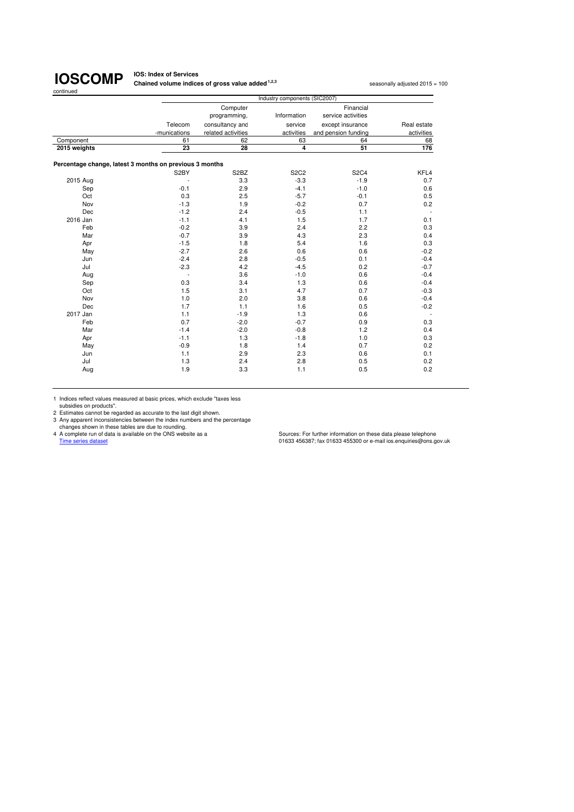**IOS: Index of Services Chained volume indices of gross value added <sup>1,2,3</sup> seasonally adjusted 2015 = 100** 

|                                                         |              |                               | Industry components (SIC2007) |                     |             |
|---------------------------------------------------------|--------------|-------------------------------|-------------------------------|---------------------|-------------|
|                                                         |              | Computer                      |                               | Financial           |             |
|                                                         |              | programming,                  | Information                   | service activities  |             |
|                                                         | Telecom      | consultancy and               | service                       | except insurance    | Real estate |
|                                                         | -munications | related activities            | activities                    | and pension funding | activities  |
| Component                                               | 61           | 62                            | 63                            | 64                  | 68          |
| 2015 weights                                            | 23           | 28                            | $\overline{\mathbf{4}}$       | 51                  | 176         |
| Percentage change, latest 3 months on previous 3 months |              |                               |                               |                     |             |
|                                                         | S2BY         | S <sub>2</sub> B <sub>Z</sub> | <b>S2C2</b>                   | <b>S2C4</b>         | KFL4        |
| 2015 Aug                                                |              | 3.3                           | $-3.3$                        | $-1.9$              | 0.7         |
| Sep                                                     | $-0.1$       | 2.9                           | $-4.1$                        | $-1.0$              | 0.6         |
| Oct                                                     | 0.3          | 2.5                           | $-5.7$                        | $-0.1$              | 0.5         |
| Nov                                                     | $-1.3$       | 1.9                           | $-0.2$                        | 0.7                 | 0.2         |
| Dec                                                     | $-1.2$       | 2.4                           | $-0.5$                        | 1.1                 |             |
| 2016 Jan                                                | $-1.1$       | 4.1                           | 1.5                           | 1.7                 | 0.1         |
| Feb                                                     | $-0.2$       | 3.9                           | 2.4                           | 2.2                 | 0.3         |
| Mar                                                     | $-0.7$       | 3.9                           | 4.3                           | 2.3                 | 0.4         |
| Apr                                                     | $-1.5$       | 1.8                           | 5.4                           | 1.6                 | 0.3         |
| May                                                     | $-2.7$       | 2.6                           | 0.6                           | 0.6                 | $-0.2$      |
| Jun                                                     | $-2.4$       | 2.8                           | $-0.5$                        | 0.1                 | $-0.4$      |
| Jul                                                     | $-2.3$       | 4.2                           | $-4.5$                        | 0.2                 | $-0.7$      |
| Aug                                                     | $\sim$       | 3.6                           | $-1.0$                        | 0.6                 | $-0.4$      |
| Sep                                                     | 0.3          | 3.4                           | 1.3                           | 0.6                 | $-0.4$      |
| Oct                                                     | 1.5          | 3.1                           | 4.7                           | 0.7                 | $-0.3$      |
| Nov                                                     | 1.0          | 2.0                           | 3.8                           | 0.6                 | $-0.4$      |
| Dec                                                     | 1.7          | 1.1                           | 1.6                           | 0.5                 | $-0.2$      |
| 2017 Jan                                                | 1.1          | $-1.9$                        | 1.3                           | 0.6                 |             |
| Feb                                                     | 0.7          | $-2.0$                        | $-0.7$                        | 0.9                 | 0.3         |
| Mar                                                     | $-1.4$       | $-2.0$                        | $-0.8$                        | 1.2                 | 0.4         |
| Apr                                                     | $-1.1$       | 1.3                           | $-1.8$                        | 1.0                 | 0.3         |
| May                                                     | $-0.9$       | 1.8                           | 1.4                           | 0.7                 | 0.2         |
| Jun                                                     | 1.1          | 2.9                           | 2.3                           | 0.6                 | 0.1         |
| Jul                                                     | 1.3          | 2.4                           | 2.8                           | 0.5                 | 0.2         |
| Aug                                                     | 1.9          | 3.3                           | 1.1                           | 0.5                 | 0.2         |
|                                                         |              |                               |                               |                     |             |

1 Indices reflect values measured at basic prices, which exclude "taxes less subsidies on products".

2 Estimates cannot be regarded as accurate to the last digit shown.<br>
2 Any apparent inconsistencies between the index numbers and the percentage<br>
changes shown in these tables are due to rounding.<br>
4 A complete run of data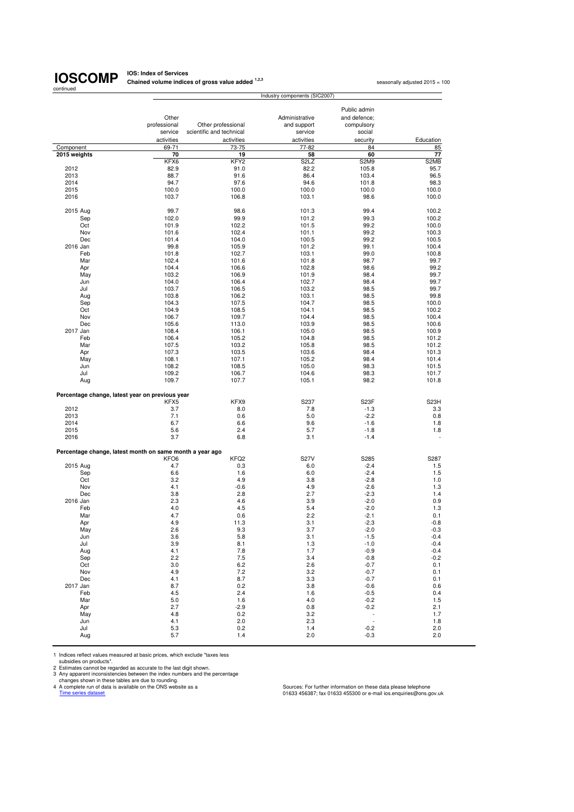# continued

**IOSCOMP** Chained volume indices of gross value added <sup>1,2,3</sup> seasonally adjusted 2015 = 100<br>
seasonally adjusted 2015 = 100

|                                                          |                         |                                                | Industry components (SIC2007) |                               |                   |
|----------------------------------------------------------|-------------------------|------------------------------------------------|-------------------------------|-------------------------------|-------------------|
|                                                          |                         |                                                |                               |                               |                   |
|                                                          |                         |                                                |                               | Public admin                  |                   |
|                                                          | Other                   |                                                | Administrative                | and defence;<br>compulsory    |                   |
|                                                          | professional<br>service | Other professional<br>scientific and technical | and support<br>service        | social                        |                   |
|                                                          |                         |                                                |                               |                               |                   |
| Component                                                | activities<br>69-71     | activities<br>73-75                            | activities<br>77-82           | security<br>84                | Education<br>85   |
| 2015 weights                                             | 70                      | 19                                             | 58                            | 60                            | 77                |
|                                                          | KFX6                    | KFY <sub>2</sub>                               | S <sub>2</sub> LZ             | S <sub>2</sub> M <sub>9</sub> | S2MB              |
| 2012                                                     | 82.9                    | 91.0                                           | 82.2                          | 105.8                         | 95.7              |
| 2013                                                     | 88.7                    | 91.6                                           | 86.4                          | 103.4                         | 96.5              |
| 2014                                                     | 94.7                    | 97.6                                           | 94.6                          | 101.8                         | 98.3              |
| 2015                                                     | 100.0                   | 100.0                                          | 100.0                         | 100.0                         | 100.0             |
| 2016                                                     | 103.7                   | 106.8                                          | 103.1                         | 98.6                          | 100.0             |
| 2015 Aug                                                 | 99.7                    | 98.6                                           | 101.3                         | 99.4                          | 100.2             |
| Sep                                                      | 102.0                   | 99.9                                           | 101.2                         | 99.3                          | 100.2             |
| Oct                                                      | 101.9                   | 102.2                                          | 101.5                         | 99.2                          | 100.0             |
| Nov                                                      | 101.6                   | 102.4                                          | 101.1                         | 99.2                          | 100.3             |
| Dec                                                      | 101.4                   | 104.0                                          | 100.5                         | 99.2                          | 100.5             |
| 2016 Jan                                                 | 99.8                    | 105.9                                          | 101.2                         | 99.1                          | 100.4             |
| Feb                                                      | 101.8                   | 102.7                                          | 103.1                         | 99.0                          | 100.8             |
| Mar                                                      | 102.4                   | 101.6                                          | 101.8                         | 98.7                          | 99.7              |
| Apr                                                      | 104.4                   | 106.6                                          | 102.8                         | 98.6                          | 99.2              |
| May                                                      | 103.2                   | 106.9                                          | 101.9                         | 98.4                          | 99.7              |
| Jun                                                      | 104.0                   | 106.4                                          | 102.7                         | 98.4                          | 99.7              |
| Jul                                                      | 103.7                   | 106.5                                          | 103.2                         | 98.5                          | 99.7              |
| Aug                                                      | 103.8                   | 106.2                                          | 103.1                         | 98.5                          | 99.8              |
| Sep                                                      | 104.3                   | 107.5                                          | 104.7                         | 98.5                          | 100.0             |
| Oct                                                      | 104.9                   | 108.5                                          | 104.1                         | 98.5                          | 100.2             |
| Nov<br>Dec                                               | 106.7<br>105.6          | 109.7<br>113.0                                 | 104.4<br>103.9                | 98.5<br>98.5                  | 100.4<br>100.6    |
| 2017 Jan                                                 | 108.4                   | 106.1                                          | 105.0                         | 98.5                          | 100.9             |
| Feb                                                      | 106.4                   | 105.2                                          | 104.8                         | 98.5                          | 101.2             |
| Mar                                                      | 107.5                   | 103.2                                          | 105.8                         | 98.5                          | 101.2             |
| Apr                                                      | 107.3                   | 103.5                                          | 103.6                         | 98.4                          | 101.3             |
| May                                                      | 108.1                   | 107.1                                          | 105.2                         | 98.4                          | 101.4             |
| Jun                                                      | 108.2                   | 108.5                                          | 105.0                         | 98.3                          | 101.5             |
| Jul                                                      | 109.2                   | 106.7                                          | 104.6                         | 98.3                          | 101.7             |
| Aug                                                      | 109.7                   | 107.7                                          | 105.1                         | 98.2                          | 101.8             |
| Percentage change, latest year on previous year          |                         |                                                |                               |                               |                   |
|                                                          | KFX5                    | KFX9                                           | S237                          | S23F                          | S <sub>23</sub> H |
| 2012                                                     | 3.7                     | 8.0                                            | 7.8                           | $-1.3$                        | 3.3               |
| 2013                                                     | 7.1                     | 0.6                                            | 5.0                           | $-2.2$                        | 0.8               |
| 2014                                                     | 6.7                     | 6.6                                            | 9.6                           | $-1.6$                        | 1.8               |
| 2015                                                     | 5.6                     | 2.4                                            | 5.7                           | $-1.8$                        | 1.8               |
| 2016                                                     | 3.7                     | 6.8                                            | 3.1                           | $-1.4$                        |                   |
| Percentage change, latest month on same month a year ago |                         |                                                |                               |                               |                   |
|                                                          | KFO <sub>6</sub>        | KFQ2                                           | <b>S27V</b>                   | S285                          | S287              |
| 2015 Aug                                                 | 4.7                     | 0.3                                            | 6.0                           | $-2.4$                        | 1.5               |
| Sep                                                      | 6.6                     | 1.6                                            | 6.0                           | $-2.4$                        | 1.5               |
| Oct                                                      | 3.2                     | 4.9                                            | 3.8                           | $-2.8$                        | 1.0               |
| Nov                                                      | 4.1                     | $-0.6$                                         | 4.9                           | $-2.6$                        | 1.3               |
| Dec                                                      | 3.8                     | 2.8                                            | 2.7                           | $-2.3$                        | 1.4               |
| 2016 Jan                                                 | 2.3                     | 4.6                                            | 3.9                           | $-2.0$                        | 0.9               |
| Feb                                                      | 4.0                     | 4.5                                            | 5.4                           | $-2.0$                        | 1.3               |
| Mar                                                      | 4.7<br>4.9              | 0.6                                            | 2.2                           | $-2.1$                        | 0.1               |
| Apr                                                      |                         | 11.3                                           | 3.1<br>3.7                    | $-2.3$                        | $-0.8$            |
| May<br>Jun                                               | 2.6<br>3.6              | 9.3<br>5.8                                     | 3.1                           | $-2.0$<br>$-1.5$              | $-0.3$<br>$-0.4$  |
| Jul                                                      | 3.9                     | 8.1                                            | 1.3                           | $-1.0$                        | $-0.4$            |
| Aug                                                      | 4.1                     | 7.8                                            | 1.7                           | $-0.9$                        | $-0.4$            |
| Sep                                                      | 2.2                     | 7.5                                            | 3.4                           | $-0.8$                        | $-0.2$            |
| Oct                                                      | 3.0                     | 6.2                                            | 2.6                           | $-0.7$                        | 0.1               |
| Nov                                                      | 4.9                     | 7.2                                            | 3.2                           | $-0.7$                        | 0.1               |
| Dec                                                      | 4.1                     | 8.7                                            | 3.3                           | $-0.7$                        | 0.1               |
| 2017 Jan                                                 | 8.7                     | 0.2                                            | 3.8                           | $-0.6$                        | 0.6               |
| Feb                                                      | 4.5                     | 2.4                                            | 1.6                           | $-0.5$                        | 0.4               |
| Mar                                                      | 5.0                     | 1.6                                            | 4.0                           | $-0.2$                        | 1.5               |
| Apr                                                      | 2.7                     | $-2.9$                                         | 0.8                           | $-0.2$                        | 2.1               |
| May                                                      | 4.8                     | 0.2                                            | 3.2                           | $\frac{1}{2}$                 | 1.7               |
| Jun                                                      | 4.1                     | 2.0                                            | 2.3                           |                               | 1.8               |
| Jul                                                      | 5.3                     | 0.2                                            | 1.4                           | $-0.2$                        | 2.0               |
| Aug                                                      | 5.7                     | 1.4                                            | 2.0                           | $-0.3$                        | 2.0               |

1 Indices reflect values measured at basic prices, which exclude "taxes less<br>
2 Estimates can products".<br>
2 Estimates cannot be regarded as accurate to the last digit shown.<br>
2 Any apparent inconsistencies between the inde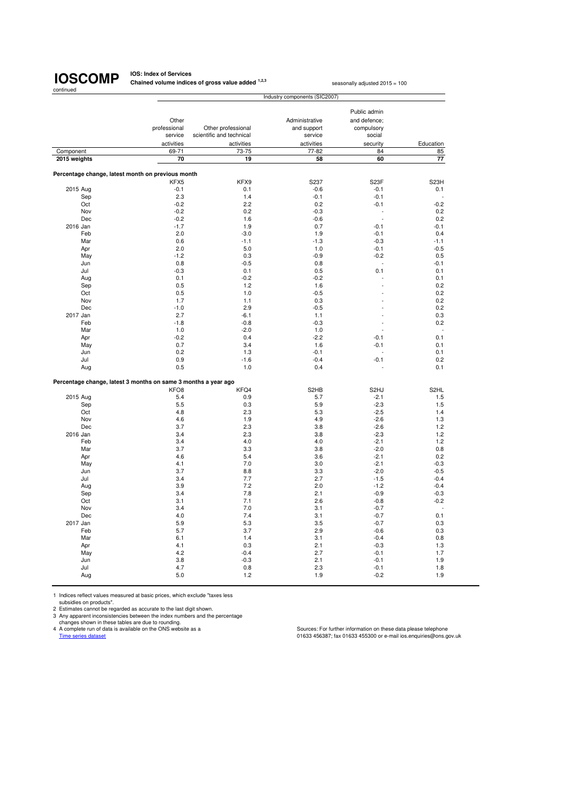**IOS: Index of Services Chained volume indices of gross value added <sup>1,2,3</sup> seasonally adjusted 2015 = 100** 

|                                                                |                         |                                                | Industry components (SIC2007) |                              |                   |
|----------------------------------------------------------------|-------------------------|------------------------------------------------|-------------------------------|------------------------------|-------------------|
|                                                                | Other                   |                                                | Administrative                | Public admin<br>and defence: |                   |
|                                                                | professional<br>service | Other professional<br>scientific and technical | and support<br>service        | compulsory<br>social         |                   |
|                                                                | activities              | activities                                     | activities                    | security                     | Education         |
| Component                                                      | 69-71                   | 73-75                                          | 77-82                         | 84                           | 85                |
| 2015 weights                                                   | 70                      | 19                                             | 58                            | 60                           | 77                |
| Percentage change, latest month on previous month              |                         |                                                |                               |                              |                   |
|                                                                | KFX5                    | KFX9                                           | S237                          | S23F                         | S <sub>23</sub> H |
| 2015 Aug                                                       | $-0.1$                  | 0.1                                            | $-0.6$                        | $-0.1$                       | 0.1               |
| Sep                                                            | 2.3                     | 1.4                                            | $-0.1$                        | $-0.1$                       |                   |
| Oct                                                            | $-0.2$                  | 2.2                                            | 0.2                           | $-0.1$                       | $-0.2$            |
| Nov                                                            | $-0.2$                  | 0.2                                            | $-0.3$                        |                              | 0.2               |
| Dec                                                            | $-0.2$                  | 1.6                                            | $-0.6$                        | ÷,                           | 0.2               |
| 2016 Jan                                                       | $-1.7$                  | 1.9                                            | 0.7                           | $-0.1$                       | $-0.1$            |
| Feb                                                            | 2.0                     | $-3.0$                                         | 1.9                           | $-0.1$                       | 0.4               |
| Mar                                                            | 0.6                     | $-1.1$                                         | $-1.3$                        | $-0.3$                       | $-1.1$            |
| Apr                                                            | 2.0                     | 5.0                                            | 1.0                           | $-0.1$                       | $-0.5$            |
| May                                                            | $-1.2$                  | 0.3                                            | $-0.9$                        | $-0.2$                       | 0.5               |
| Jun                                                            | 0.8                     | $-0.5$                                         | 0.8                           |                              | $-0.1$            |
| Jul                                                            | $-0.3$                  | 0.1                                            | 0.5                           | 0.1                          | 0.1               |
| Aug                                                            | 0.1                     | $-0.2$                                         | $-0.2$                        |                              | 0.1               |
| Sep                                                            | 0.5                     | 1.2                                            | 1.6                           | $\overline{a}$               | 0.2               |
| Oct                                                            | 0.5                     | 1.0                                            | $-0.5$                        | L.                           | 0.2               |
| Nov                                                            | 1.7                     | 1.1                                            | 0.3                           | ÷,                           | 0.2               |
| Dec                                                            | $-1.0$                  | 2.9                                            | $-0.5$                        |                              | 0.2               |
| 2017 Jan                                                       | 2.7                     | $-6.1$                                         | 1.1                           |                              | 0.3               |
| Feb                                                            | $-1.8$                  | $-0.8$                                         | $-0.3$                        | ÷,                           | 0.2               |
| Mar                                                            | 1.0                     | $-2.0$                                         | 1.0                           |                              |                   |
| Apr                                                            | $-0.2$                  | 0.4                                            | $-2.2$                        | $-0.1$                       | 0.1               |
| May                                                            | 0.7                     | 3.4                                            | 1.6                           | $-0.1$                       | 0.1               |
| Jun                                                            | 0.2                     | 1.3                                            | $-0.1$                        |                              | 0.1               |
| Jul                                                            | 0.9                     | $-1.6$                                         | $-0.4$                        | $-0.1$                       | 0.2               |
| Aug                                                            | 0.5                     | 1.0                                            | 0.4                           |                              | 0.1               |
| Percentage change, latest 3 months on same 3 months a year ago |                         |                                                |                               |                              |                   |
|                                                                | KFO <sub>8</sub>        | KFQ4                                           | S <sub>2</sub> HB             | S <sub>2</sub> HJ            | S <sub>2HL</sub>  |
| 2015 Aug                                                       | 5.4                     | 0.9                                            | 5.7                           | $-2.1$                       | 1.5               |
| Sep                                                            | 5.5                     | 0.3                                            | 5.9                           | $-2.3$                       | 1.5               |
| Oct                                                            | 4.8                     | 2.3                                            | 5.3                           | $-2.5$                       | 1.4               |
| Nov                                                            | 4.6                     | 1.9                                            | 4.9                           | $-2.6$                       | 1.3               |
| Dec                                                            | 3.7                     | 2.3                                            | 3.8                           | $-2.6$                       | 1.2               |
| 2016 Jan                                                       | 3.4                     | 2.3                                            | 3.8                           | $-2.3$                       | 1.2               |
| Feb                                                            | 3.4                     | 4.0                                            | 4.0                           | $-2.1$                       | 1.2               |
| Mar                                                            | 3.7                     | 3.3                                            | 3.8                           | $-2.0$                       | 0.8               |
| Apr                                                            | 4.6                     | 5.4                                            | 3.6                           | $-2.1$                       | 0.2               |
| May                                                            | 4.1                     | 7.0                                            | 3.0                           | $-2.1$                       | $-0.3$            |
| Jun                                                            | 3.7                     | 8.8                                            | 3.3                           | $-2.0$                       | $-0.5$            |
| Jul                                                            | 3.4                     | 7.7                                            | 2.7                           | $-1.5$                       | $-0.4$            |
| Aug                                                            | 3.9                     | 7.2                                            | 2.0                           | $-1.2$                       | $-0.4$            |
| Sep                                                            | 3.4                     | 7.8                                            | 2.1                           | $-0.9$                       | $-0.3$            |
| Oct                                                            | 3.1                     | 7.1                                            | 2.6                           | $-0.8$                       | $-0.2$            |
| Nov                                                            | 3.4                     | 7.0                                            | 3.1                           | $-0.7$                       |                   |
| Dec                                                            | 4.0                     | 7.4                                            | 3.1                           | $-0.7$                       | 0.1               |
| 2017 Jan                                                       | 5.9                     | 5.3                                            | 3.5                           | $-0.7$                       | 0.3               |
| Feb                                                            | 5.7                     | 3.7                                            | 2.9                           | $-0.6$                       | 0.3               |
| Mar                                                            | 6.1                     | 1.4                                            | 3.1                           | $-0.4$                       | 0.8               |
| Apr                                                            | 4.1                     | 0.3                                            | 2.1                           | $-0.3$                       | 1.3               |
| May                                                            | 4.2                     | $-0.4$                                         | 2.7                           | $-0.1$                       | 1.7               |
| Jun                                                            | 3.8<br>4.7              | $-0.3$<br>0.8                                  | 2.1<br>2.3                    | $-0.1$<br>$-0.1$             | 1.9               |
| Jul                                                            | 5.0                     | 1.2                                            | 1.9                           | $-0.2$                       | 1.8<br>1.9        |
| Aug                                                            |                         |                                                |                               |                              |                   |

1 Indices reflect values measured at basic prices, which exclude "taxes less

subsidies on products".<br>
2 Estimates cannot be regarded as accurate to the last digit shown.<br>
3 Any apparent inconsistencies between the index numbers and the percentage<br>
changes shown in these tables are due to rounding.<br>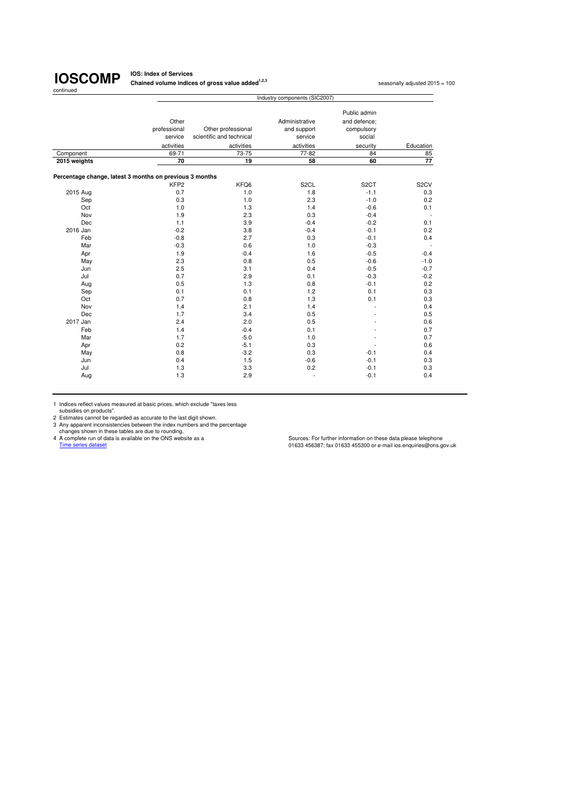**IOS: Index of Services Chained volume indices of gross value added<sup>1,2,3</sup> seasonally adjusted 2015 = 100<br>
<b>Chained volume indices of gross value added**<sup>1,2,3</sup>

|                                                         |                       |                          | Industry components (SIC2007) |                            |                   |
|---------------------------------------------------------|-----------------------|--------------------------|-------------------------------|----------------------------|-------------------|
|                                                         |                       |                          |                               | Public admin               |                   |
|                                                         | Other<br>professional | Other professional       | Administrative<br>and support | and defence:<br>compulsory |                   |
|                                                         | service               | scientific and technical | service                       | social                     |                   |
|                                                         | activities            | activities               | activities                    | security                   | Education         |
| Component                                               | 69-71                 | 73-75                    | 77-82                         | 84                         | 85                |
| 2015 weights                                            | 70                    | 19                       | 58                            | 60                         | $\overline{77}$   |
| Percentage change, latest 3 months on previous 3 months |                       |                          |                               |                            |                   |
|                                                         | KFP <sub>2</sub>      | KFQ6                     | S <sub>2</sub> CL             | S <sub>2</sub> CT          | S <sub>2</sub> CV |
| 2015 Aug                                                | 0.7                   | 1.0                      | 1.8                           | $-1.1$                     | 0.3               |
| Sep                                                     | 0.3                   | 1.0                      | 2.3                           | $-1.0$                     | 0.2               |
| Oct                                                     | 1.0                   | 1.3                      | 1.4                           | $-0.6$                     | 0.1               |
| Nov                                                     | 1.9                   | 2.3                      | 0.3                           | $-0.4$                     |                   |
| Dec                                                     | $1.1$                 | 3.9                      | $-0.4$                        | $-0.2$                     | 0.1               |
| 2016 Jan                                                | $-0.2$                | 3.8                      | $-0.4$                        | $-0.1$                     | 0.2               |
| Feb                                                     | $-0.8$                | 2.7                      | 0.3                           | $-0.1$                     | 0.4               |
| Mar                                                     | $-0.3$                | 0.6                      | 1.0                           | $-0.3$                     |                   |
| Apr                                                     | 1.9                   | $-0.4$                   | 1.6                           | $-0.5$                     | $-0.4$            |
| May                                                     | 2.3                   | 0.8                      | 0.5                           | $-0.6$                     | $-1.0$            |
| Jun                                                     | 2.5                   | 3.1                      | 0.4                           | $-0.5$                     | $-0.7$            |
| Jul                                                     | 0.7                   | 2.9                      | 0.1                           | $-0.3$                     | $-0.2$            |
| Aug                                                     | 0.5                   | 1.3                      | 0.8                           | $-0.1$                     | 0.2               |
| Sep                                                     | 0.1                   | 0.1                      | 1.2                           | 0.1                        | 0.3               |
| Oct                                                     | 0.7                   | 0.8                      | 1.3                           | 0.1                        | 0.3               |
| Nov                                                     | 1.4                   | 2.1                      | 1.4                           |                            | 0.4               |
| Dec                                                     | 1.7                   | 3.4                      | 0.5                           |                            | 0.5               |
| 2017 Jan                                                | 2.4                   | 2.0                      | 0.5                           |                            | 0.6               |
| Feb                                                     | 1.4                   | $-0.4$                   | 0.1                           |                            | 0.7               |
| Mar                                                     | 1.7                   | $-5.0$                   | 1.0                           |                            | 0.7               |
| Apr                                                     | 0.2                   | $-5.1$                   | 0.3                           |                            | 0.6               |
| May                                                     | 0.8                   | $-3.2$                   | 0.3                           | $-0.1$                     | 0.4               |
| Jun                                                     | 0.4                   | 1.5                      | $-0.6$                        | $-0.1$                     | 0.3               |
| Jul                                                     | 1.3                   | 3.3                      | 0.2                           | $-0.1$                     | 0.3               |
| Aug                                                     | 1.3                   | 2.9                      | ÷,                            | $-0.1$                     | 0.4               |

1 Indices reflect values measured at basic prices, which exclude "taxes less<br>
2 Estimates cannot be regarded as accurate to the last digit shown.<br>
2 Any apparent inconsistencies between the index numbers and the percentage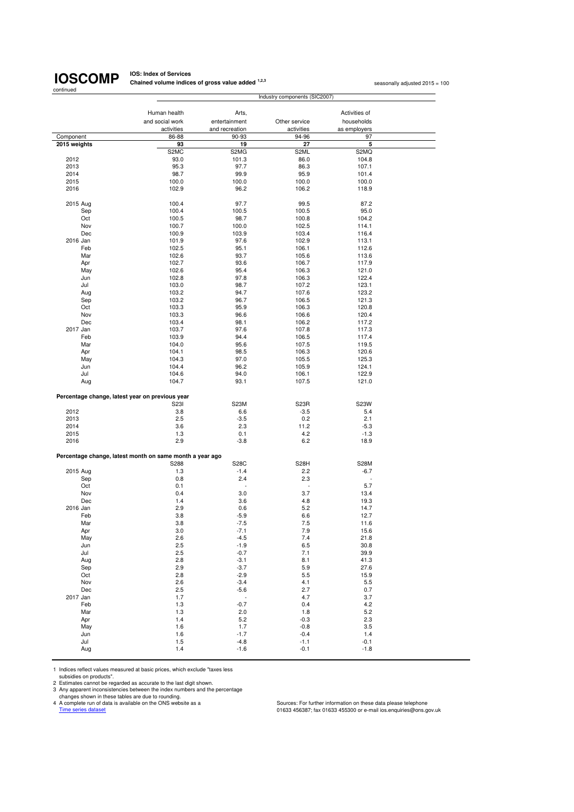**IOS: Index of Services Chained volume indices of gross value added <sup>1,2,3</sup> seasonally adjusted 2015 = 100<br>** 

|              |                                                          | Industry components (SIC2007) |                   |                          |  |  |
|--------------|----------------------------------------------------------|-------------------------------|-------------------|--------------------------|--|--|
|              |                                                          |                               |                   |                          |  |  |
|              | Human health                                             | Arts,                         |                   | Activities of            |  |  |
|              | and social work                                          | entertainment                 | Other service     | households               |  |  |
|              | activities                                               | and recreation                | activities        | as employers             |  |  |
| Component    | 86-88                                                    | 90-93                         | 94-96             | 97                       |  |  |
| 2015 weights | 93<br>S <sub>2</sub> M <sub>C</sub>                      | 19<br>S2MG                    | 27<br>S2ML        | 5<br>S2MQ                |  |  |
| 2012         | 93.0                                                     | 101.3                         | 86.0              | 104.8                    |  |  |
| 2013         | 95.3                                                     | 97.7                          | 86.3              | 107.1                    |  |  |
| 2014         | 98.7                                                     | 99.9                          | 95.9              | 101.4                    |  |  |
| 2015         | 100.0                                                    | 100.0                         | 100.0             | 100.0                    |  |  |
| 2016         | 102.9                                                    | 96.2                          | 106.2             | 118.9                    |  |  |
|              |                                                          |                               |                   |                          |  |  |
| 2015 Aug     | 100.4                                                    | 97.7                          | 99.5              | 87.2                     |  |  |
| Sep          | 100.4                                                    | 100.5                         | 100.5             | 95.0                     |  |  |
| Oct          | 100.5                                                    | 98.7                          | 100.8             | 104.2                    |  |  |
| Nov          | 100.7                                                    | 100.0                         | 102.5             | 114.1                    |  |  |
| Dec          | 100.9                                                    | 103.9                         | 103.4             | 116.4                    |  |  |
| 2016 Jan     | 101.9                                                    | 97.6                          | 102.9             | 113.1                    |  |  |
| Feb          | 102.5                                                    | 95.1                          | 106.1             | 112.6                    |  |  |
| Mar          | 102.6                                                    | 93.7                          | 105.6             | 113.6                    |  |  |
| Apr          | 102.7                                                    | 93.6                          | 106.7             | 117.9                    |  |  |
| May          | 102.6                                                    | 95.4                          | 106.3             | 121.0                    |  |  |
| Jun          | 102.8                                                    | 97.8                          | 106.3             | 122.4                    |  |  |
| Jul          | 103.0                                                    | 98.7                          | 107.2             | 123.1                    |  |  |
| Aug          | 103.2                                                    | 94.7                          | 107.6             | 123.2                    |  |  |
| Sep          | 103.2                                                    | 96.7                          | 106.5             | 121.3                    |  |  |
| Oct          | 103.3                                                    | 95.9                          | 106.3             | 120.8                    |  |  |
| Nov          | 103.3                                                    | 96.6                          | 106.6             | 120.4                    |  |  |
| Dec          | 103.4                                                    | 98.1                          | 106.2             | 117.2                    |  |  |
| 2017 Jan     | 103.7                                                    | 97.6                          | 107.8             | 117.3                    |  |  |
| Feb          | 103.9                                                    | 94.4                          | 106.5<br>107.5    | 117.4                    |  |  |
| Mar          | 104.0<br>104.1                                           | 95.6<br>98.5                  |                   | 119.5                    |  |  |
| Apr          | 104.3                                                    | 97.0                          | 106.3<br>105.5    | 120.6<br>125.3           |  |  |
| May<br>Jun   | 104.4                                                    | 96.2                          | 105.9             | 124.1                    |  |  |
| Jul          | 104.6                                                    | 94.0                          | 106.1             | 122.9                    |  |  |
| Aug          | 104.7                                                    | 93.1                          | 107.5             | 121.0                    |  |  |
|              |                                                          |                               |                   |                          |  |  |
|              | Percentage change, latest year on previous year          |                               |                   |                          |  |  |
|              | S23I                                                     | S23M                          | S <sub>23</sub> R | S23W                     |  |  |
| 2012         | 3.8                                                      | 6.6                           | $-3.5$            | 5.4                      |  |  |
| 2013         | 2.5                                                      | $-3.5$                        | 0.2               | 2.1                      |  |  |
| 2014         | 3.6                                                      | 2.3                           | 11.2              | -5.3                     |  |  |
| 2015         | 1.3                                                      | 0.1                           | 4.2               | $-1.3$                   |  |  |
| 2016         | 2.9                                                      | $-3.8$                        | 6.2               | 18.9                     |  |  |
|              |                                                          |                               |                   |                          |  |  |
|              | Percentage change, latest month on same month a year ago |                               |                   |                          |  |  |
|              | S288                                                     | S28C                          | S <sub>28</sub> H | <b>S28M</b>              |  |  |
| 2015 Aug     | 1.3                                                      | $-1.4$                        | 2.2               | $-6.7$                   |  |  |
| Sep          | 0.8                                                      | 2.4                           | 2.3               | $\overline{\phantom{a}}$ |  |  |
| Oct          | 0.1                                                      | $\blacksquare$                | $\sim$            | 5.7                      |  |  |
| Nov          | 0.4                                                      | 3.0                           | 3.7               | 13.4                     |  |  |
| Dec          | 1.4                                                      | 3.6                           | 4.8               | 19.3                     |  |  |
| 2016 Jan     | 2.9                                                      | 0.6                           | 5.2               | 14.7                     |  |  |
| Feb          | 3.8                                                      | $-5.9$                        | 6.6               | 12.7                     |  |  |
| Mar          | 3.8                                                      | $-7.5$                        | 7.5               | 11.6                     |  |  |
| Apr          | 3.0                                                      | $-7.1$                        | 7.9               | 15.6                     |  |  |
| May<br>Jun   | 2.6<br>2.5                                               | $-4.5$<br>$-1.9$              | 7.4<br>6.5        | 21.8<br>30.8             |  |  |
| Jul          | 2.5                                                      | $-0.7$                        | 7.1               | 39.9                     |  |  |
| Aug          | 2.8                                                      | $-3.1$                        | 8.1               | 41.3                     |  |  |
| Sep          | 2.9                                                      | $-3.7$                        | 5.9               | 27.6                     |  |  |
| Oct          | 2.8                                                      | $-2.9$                        | $5.5\,$           | 15.9                     |  |  |
| Nov          | 2.6                                                      | $-3.4$                        | 4.1               | 5.5                      |  |  |
| Dec          | 2.5                                                      | $-5.6$                        | 2.7               | 0.7                      |  |  |
| 2017 Jan     | 1.7                                                      | $\overline{\phantom{a}}$      | 4.7               | 3.7                      |  |  |
| Feb          | 1.3                                                      | $-0.7$                        | 0.4               | 4.2                      |  |  |
| Mar          | 1.3                                                      | 2.0                           | 1.8               | 5.2                      |  |  |
| Apr          | 1.4                                                      | 5.2                           | $-0.3$            | 2.3                      |  |  |
| May          | 1.6                                                      | 1.7                           | $-0.8$            | 3.5                      |  |  |
| Jun          | 1.6                                                      | $-1.7$                        | $-0.4$            | 1.4                      |  |  |
| Jul          | 1.5                                                      | $-4.8$                        | $-1.1$            | $-0.1$                   |  |  |
| Aug          | 1.4                                                      | $-1.6$                        | $-0.1$            | $-1.8$                   |  |  |

1 Indices reflect values measured at basic prices, which exclude "taxes less

subsidies on products".<br>2 Estimates cannot be regarded as accurate to the last digit shown.<br>3 Any apparent inconsistencies between the index numbers and the percentage<br>4 A complete run of data is available on the ONS websi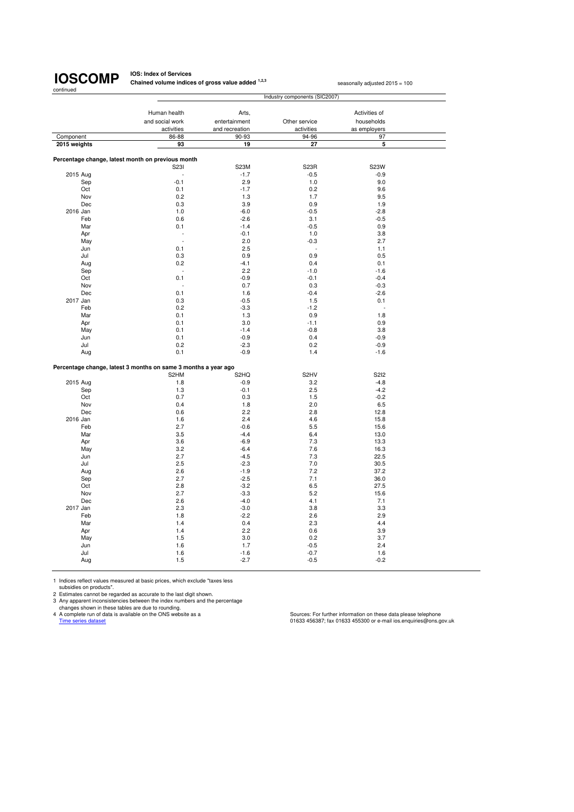**IOS: Index of Services Chained volume indices of gross value added <sup>1,2,3</sup> seasonally adjusted 2015 = 100** 

| Component<br>2015 weights<br>2015 Aug<br>Sep<br>Oct<br>Nov<br>Dec<br>2016 Jan<br>Feb<br>Mar<br>Apr<br>May<br>Jun<br>Jul<br>Aug<br>Sep<br>Oct<br>Nov<br>Dec<br>2017 Jan<br>Feb<br>Mar<br>Apr<br>May<br>Jun<br>Jul<br>Aug<br>2015 Aug<br>Sep<br>Oct<br>Nov<br>Dec<br>2016 Jan<br>Feb<br>Mar<br>Apr | Human health<br>and social work<br>activities<br>86-88<br>93<br>Percentage change, latest month on previous month<br>S231<br>L | Arts,<br>entertainment<br>and recreation<br>90-93<br>19 | Other service<br>activities<br>94-96<br>27 | Activities of<br>households<br>as employers<br>97<br>5 |  |
|--------------------------------------------------------------------------------------------------------------------------------------------------------------------------------------------------------------------------------------------------------------------------------------------------|--------------------------------------------------------------------------------------------------------------------------------|---------------------------------------------------------|--------------------------------------------|--------------------------------------------------------|--|
|                                                                                                                                                                                                                                                                                                  |                                                                                                                                |                                                         |                                            |                                                        |  |
|                                                                                                                                                                                                                                                                                                  |                                                                                                                                |                                                         |                                            |                                                        |  |
|                                                                                                                                                                                                                                                                                                  |                                                                                                                                |                                                         |                                            |                                                        |  |
|                                                                                                                                                                                                                                                                                                  |                                                                                                                                |                                                         |                                            |                                                        |  |
|                                                                                                                                                                                                                                                                                                  |                                                                                                                                |                                                         |                                            |                                                        |  |
|                                                                                                                                                                                                                                                                                                  |                                                                                                                                |                                                         |                                            |                                                        |  |
|                                                                                                                                                                                                                                                                                                  |                                                                                                                                |                                                         |                                            |                                                        |  |
|                                                                                                                                                                                                                                                                                                  |                                                                                                                                | S23M                                                    | S <sub>23</sub> R                          | S23W                                                   |  |
|                                                                                                                                                                                                                                                                                                  |                                                                                                                                | $-1.7$                                                  | $-0.5$                                     | $-0.9$                                                 |  |
|                                                                                                                                                                                                                                                                                                  | $-0.1$                                                                                                                         | 2.9                                                     | 1.0                                        | 9.0                                                    |  |
|                                                                                                                                                                                                                                                                                                  | 0.1                                                                                                                            | $-1.7$                                                  | 0.2                                        | 9.6                                                    |  |
|                                                                                                                                                                                                                                                                                                  | 0.2                                                                                                                            | 1.3                                                     | 1.7                                        | 9.5                                                    |  |
|                                                                                                                                                                                                                                                                                                  | 0.3                                                                                                                            | 3.9                                                     | 0.9                                        | 1.9                                                    |  |
|                                                                                                                                                                                                                                                                                                  | 1.0                                                                                                                            | $-6.0$                                                  | $-0.5$                                     | $-2.8$                                                 |  |
|                                                                                                                                                                                                                                                                                                  | 0.6                                                                                                                            | $-2.6$                                                  | 3.1                                        | $-0.5$                                                 |  |
|                                                                                                                                                                                                                                                                                                  | 0.1                                                                                                                            | $-1.4$                                                  | $-0.5$                                     | 0.9                                                    |  |
|                                                                                                                                                                                                                                                                                                  | ä,                                                                                                                             | $-0.1$                                                  | 1.0                                        | 3.8                                                    |  |
|                                                                                                                                                                                                                                                                                                  | $\overline{a}$                                                                                                                 | 2.0                                                     | $-0.3$                                     | 2.7                                                    |  |
|                                                                                                                                                                                                                                                                                                  | 0.1                                                                                                                            | 2.5                                                     |                                            | 1.1                                                    |  |
|                                                                                                                                                                                                                                                                                                  | 0.3                                                                                                                            | 0.9                                                     | 0.9                                        | 0.5                                                    |  |
|                                                                                                                                                                                                                                                                                                  | 0.2                                                                                                                            | $-4.1$                                                  | 0.4                                        | 0.1                                                    |  |
|                                                                                                                                                                                                                                                                                                  | L,                                                                                                                             | 2.2                                                     | $-1.0$                                     | $-1.6$                                                 |  |
|                                                                                                                                                                                                                                                                                                  | 0.1                                                                                                                            | $-0.9$                                                  | $-0.1$                                     | $-0.4$                                                 |  |
|                                                                                                                                                                                                                                                                                                  |                                                                                                                                | 0.7                                                     | 0.3                                        | $-0.3$                                                 |  |
|                                                                                                                                                                                                                                                                                                  | 0.1                                                                                                                            |                                                         | $-0.4$                                     | $-2.6$                                                 |  |
|                                                                                                                                                                                                                                                                                                  |                                                                                                                                | 1.6<br>$-0.5$                                           |                                            |                                                        |  |
|                                                                                                                                                                                                                                                                                                  | 0.3                                                                                                                            |                                                         | 1.5                                        | 0.1                                                    |  |
|                                                                                                                                                                                                                                                                                                  | 0.2                                                                                                                            | $-3.3$                                                  | $-1.2$                                     | ÷.                                                     |  |
|                                                                                                                                                                                                                                                                                                  | 0.1                                                                                                                            | 1.3                                                     | 0.9                                        | 1.8                                                    |  |
|                                                                                                                                                                                                                                                                                                  | 0.1                                                                                                                            | 3.0                                                     | $-1.1$                                     | 0.9                                                    |  |
|                                                                                                                                                                                                                                                                                                  | 0.1                                                                                                                            | $-1.4$                                                  | $-0.8$                                     | 3.8                                                    |  |
|                                                                                                                                                                                                                                                                                                  | 0.1                                                                                                                            | $-0.9$                                                  | 0.4                                        | $-0.9$                                                 |  |
|                                                                                                                                                                                                                                                                                                  | 0.2                                                                                                                            | $-2.3$                                                  | 0.2                                        | $-0.9$                                                 |  |
|                                                                                                                                                                                                                                                                                                  | 0.1                                                                                                                            | $-0.9$                                                  | 1.4                                        | $-1.6$                                                 |  |
|                                                                                                                                                                                                                                                                                                  | Percentage change, latest 3 months on same 3 months a year ago                                                                 |                                                         |                                            |                                                        |  |
|                                                                                                                                                                                                                                                                                                  | S2HM                                                                                                                           | S <sub>2</sub> HQ                                       | S <sub>2</sub> HV                          | <b>S2I2</b>                                            |  |
|                                                                                                                                                                                                                                                                                                  | 1.8                                                                                                                            | $-0.9$                                                  | 3.2                                        | $-4.8$                                                 |  |
|                                                                                                                                                                                                                                                                                                  | 1.3                                                                                                                            | $-0.1$                                                  | 2.5                                        | $-4.2$                                                 |  |
|                                                                                                                                                                                                                                                                                                  | 0.7                                                                                                                            | 0.3                                                     | 1.5                                        | $-0.2$                                                 |  |
|                                                                                                                                                                                                                                                                                                  | 0.4                                                                                                                            | 1.8                                                     | 2.0                                        | 6.5                                                    |  |
|                                                                                                                                                                                                                                                                                                  | 0.6                                                                                                                            | 2.2                                                     | 2.8                                        | 12.8                                                   |  |
|                                                                                                                                                                                                                                                                                                  | 1.6                                                                                                                            | 2.4                                                     | 4.6                                        | 15.8                                                   |  |
|                                                                                                                                                                                                                                                                                                  | 2.7                                                                                                                            | $-0.6$                                                  | 5.5                                        | 15.6                                                   |  |
|                                                                                                                                                                                                                                                                                                  | 3.5                                                                                                                            | $-4.4$                                                  | 6.4                                        | 13.0                                                   |  |
|                                                                                                                                                                                                                                                                                                  | 3.6                                                                                                                            | $-6.9$                                                  | 7.3                                        | 13.3                                                   |  |
|                                                                                                                                                                                                                                                                                                  | 3.2                                                                                                                            | $-6.4$                                                  | 7.6                                        |                                                        |  |
| May                                                                                                                                                                                                                                                                                              |                                                                                                                                |                                                         |                                            | 16.3                                                   |  |
| Jun                                                                                                                                                                                                                                                                                              | 2.7                                                                                                                            | $-4.5$                                                  | 7.3                                        | 22.5                                                   |  |
| Jul                                                                                                                                                                                                                                                                                              | 2.5                                                                                                                            | $-2.3$                                                  | 7.0                                        | 30.5                                                   |  |
| Aug                                                                                                                                                                                                                                                                                              | 2.6                                                                                                                            | $-1.9$                                                  | 7.2                                        | 37.2                                                   |  |
| Sep                                                                                                                                                                                                                                                                                              | 2.7                                                                                                                            | $-2.5$                                                  | 7.1                                        | 36.0                                                   |  |
| Oct                                                                                                                                                                                                                                                                                              | 2.8                                                                                                                            | $-3.2$                                                  | 6.5                                        | 27.5                                                   |  |
| Nov                                                                                                                                                                                                                                                                                              |                                                                                                                                | $-3.3$                                                  | 5.2                                        | 15.6                                                   |  |
| Dec                                                                                                                                                                                                                                                                                              | 2.7                                                                                                                            | $-4.0$                                                  | 4.1                                        | 7.1                                                    |  |
| 2017 Jan                                                                                                                                                                                                                                                                                         | 2.6                                                                                                                            |                                                         |                                            | 3.3                                                    |  |
| Feb                                                                                                                                                                                                                                                                                              | 2.3                                                                                                                            | $-3.0$                                                  | 3.8                                        |                                                        |  |
| Mar                                                                                                                                                                                                                                                                                              | 1.8                                                                                                                            | $-2.2$                                                  | 2.6                                        | 2.9                                                    |  |
| Apr                                                                                                                                                                                                                                                                                              | 1.4                                                                                                                            | 0.4                                                     | 2.3                                        | 4.4                                                    |  |
| May                                                                                                                                                                                                                                                                                              | 1.4                                                                                                                            | 2.2                                                     | 0.6                                        | 3.9                                                    |  |
| Jun                                                                                                                                                                                                                                                                                              | 1.5                                                                                                                            | 3.0                                                     | 0.2                                        | 3.7                                                    |  |
| Jul                                                                                                                                                                                                                                                                                              | 1.6                                                                                                                            | 1.7                                                     | $-0.5$                                     | 2.4                                                    |  |
| Aug                                                                                                                                                                                                                                                                                              | 1.6                                                                                                                            | $-1.6$<br>$-2.7$                                        | $-0.7$                                     | 1.6<br>$-0.2$                                          |  |

1 Indices reflect values measured at basic prices, which exclude "taxes less<br>subsidies on products".<br>2 Estimates cannot be regarded as accurate to the last digit shown.<br>3 Any apparent inconsistencies between the index numb

Cources: For further information on these data please telephone<br>A complete run of data is available on the ONS website as a<br>Time series dataset dataset of data is available on the ONS website as a<br>Time series dataset